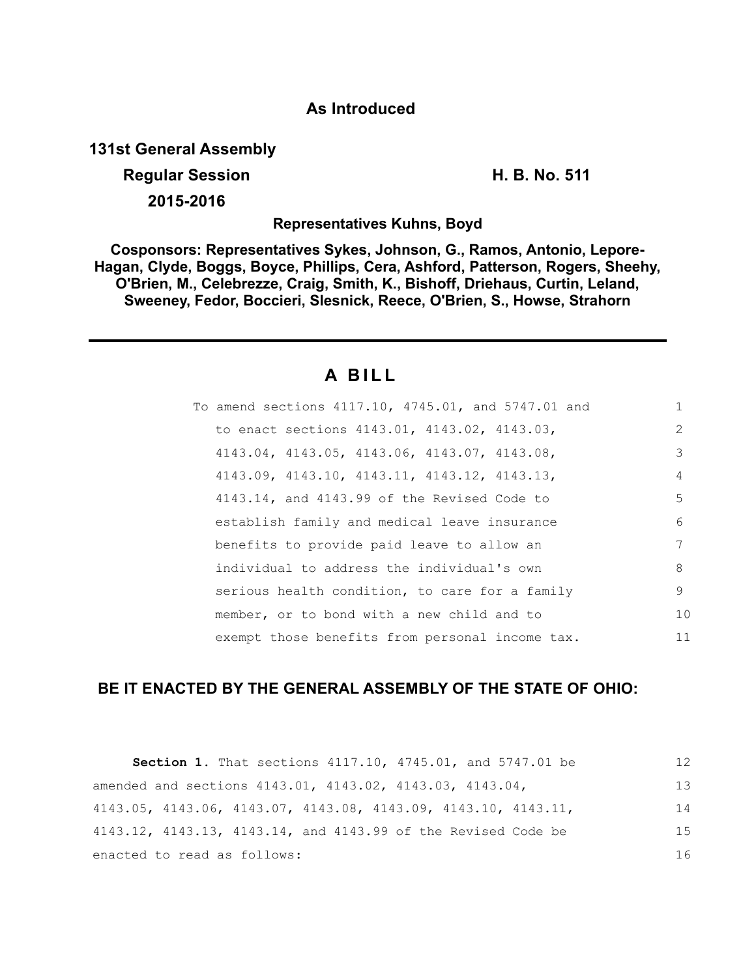## **As Introduced**

**131st General Assembly**

**Regular Session H. B. No. 511 2015-2016**

**Representatives Kuhns, Boyd**

**Cosponsors: Representatives Sykes, Johnson, G., Ramos, Antonio, Lepore-Hagan, Clyde, Boggs, Boyce, Phillips, Cera, Ashford, Patterson, Rogers, Sheehy, O'Brien, M., Celebrezze, Craig, Smith, K., Bishoff, Driehaus, Curtin, Leland, Sweeney, Fedor, Boccieri, Slesnick, Reece, O'Brien, S., Howse, Strahorn**

# **A B I L L**

| To amend sections 4117.10, 4745.01, and 5747.01 and |               |
|-----------------------------------------------------|---------------|
| to enact sections 4143.01, 4143.02, 4143.03,        | $\mathcal{L}$ |
| 4143.04, 4143.05, 4143.06, 4143.07, 4143.08,        | 3             |
| 4143.09, 4143.10, 4143.11, 4143.12, 4143.13,        | 4             |
| 4143.14, and 4143.99 of the Revised Code to         | 5             |
| establish family and medical leave insurance        | 6             |
| benefits to provide paid leave to allow an          | 7             |
| individual to address the individual's own          | 8             |
| serious health condition, to care for a family      | 9             |
| member, or to bond with a new child and to          | 10            |
| exempt those benefits from personal income tax.     | 11            |

## **BE IT ENACTED BY THE GENERAL ASSEMBLY OF THE STATE OF OHIO:**

| <b>Section 1.</b> That sections $4117.10$ , $4745.01$ , and $5747.01$ be            | 12  |
|-------------------------------------------------------------------------------------|-----|
| amended and sections 4143.01, 4143.02, 4143.03, 4143.04,                            | 13  |
| $4143.05$ , $4143.06$ , $4143.07$ , $4143.08$ , $4143.09$ , $4143.10$ , $4143.11$ , | 14  |
| 4143.12, 4143.13, 4143.14, and 4143.99 of the Revised Code be                       | 1.5 |
| enacted to read as follows:                                                         | 16  |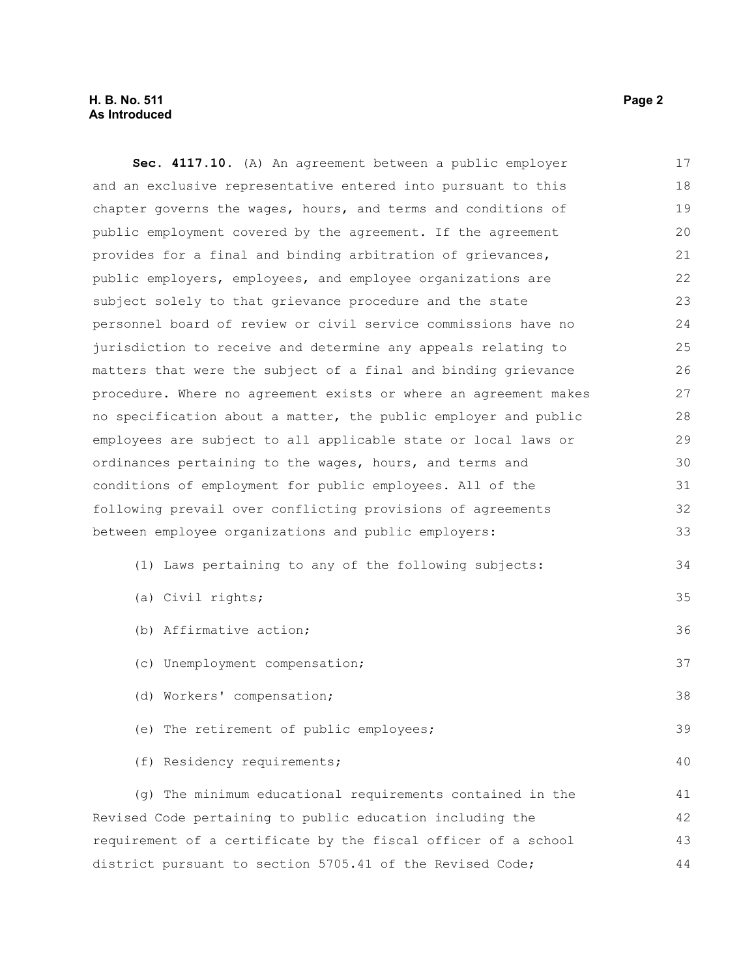#### **H. B. No. 511 Page 2 As Introduced**

**Sec. 4117.10.** (A) An agreement between a public employer and an exclusive representative entered into pursuant to this chapter governs the wages, hours, and terms and conditions of public employment covered by the agreement. If the agreement provides for a final and binding arbitration of grievances, public employers, employees, and employee organizations are subject solely to that grievance procedure and the state personnel board of review or civil service commissions have no jurisdiction to receive and determine any appeals relating to matters that were the subject of a final and binding grievance procedure. Where no agreement exists or where an agreement makes no specification about a matter, the public employer and public employees are subject to all applicable state or local laws or ordinances pertaining to the wages, hours, and terms and conditions of employment for public employees. All of the following prevail over conflicting provisions of agreements between employee organizations and public employers: (1) Laws pertaining to any of the following subjects: (a) Civil rights; (b) Affirmative action; (c) Unemployment compensation; (d) Workers' compensation; (e) The retirement of public employees; (f) Residency requirements; (g) The minimum educational requirements contained in the Revised Code pertaining to public education including the requirement of a certificate by the fiscal officer of a school 17 18 19 20 21 22 23 24 25 26 27 28 29 30 31 32 33 34 35 36 37 38 39 40 41 42 43

district pursuant to section 5705.41 of the Revised Code;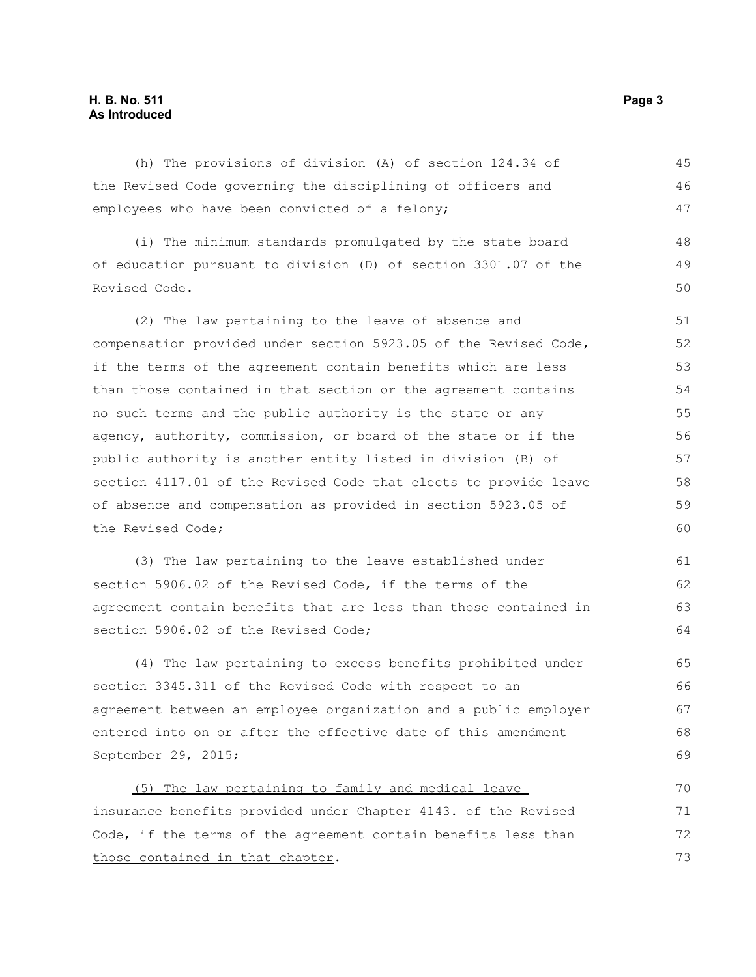#### **H. B. No. 511 Page 3 As Introduced**

(h) The provisions of division (A) of section 124.34 of the Revised Code governing the disciplining of officers and employees who have been convicted of a felony; 45 46 47

(i) The minimum standards promulgated by the state board of education pursuant to division (D) of section 3301.07 of the Revised Code. 48 49 50

(2) The law pertaining to the leave of absence and compensation provided under section 5923.05 of the Revised Code, if the terms of the agreement contain benefits which are less than those contained in that section or the agreement contains no such terms and the public authority is the state or any agency, authority, commission, or board of the state or if the public authority is another entity listed in division (B) of section 4117.01 of the Revised Code that elects to provide leave of absence and compensation as provided in section 5923.05 of the Revised Code; 51 52 53 54 55 56 57 58 59  $60$ 

(3) The law pertaining to the leave established under section 5906.02 of the Revised Code, if the terms of the agreement contain benefits that are less than those contained in section 5906.02 of the Revised Code;

(4) The law pertaining to excess benefits prohibited under section 3345.311 of the Revised Code with respect to an agreement between an employee organization and a public employer entered into on or after the effective date of this amendment September 29, 2015;

(5) The law pertaining to family and medical leave insurance benefits provided under Chapter 4143. of the Revised Code, if the terms of the agreement contain benefits less than those contained in that chapter. 70 71 72 73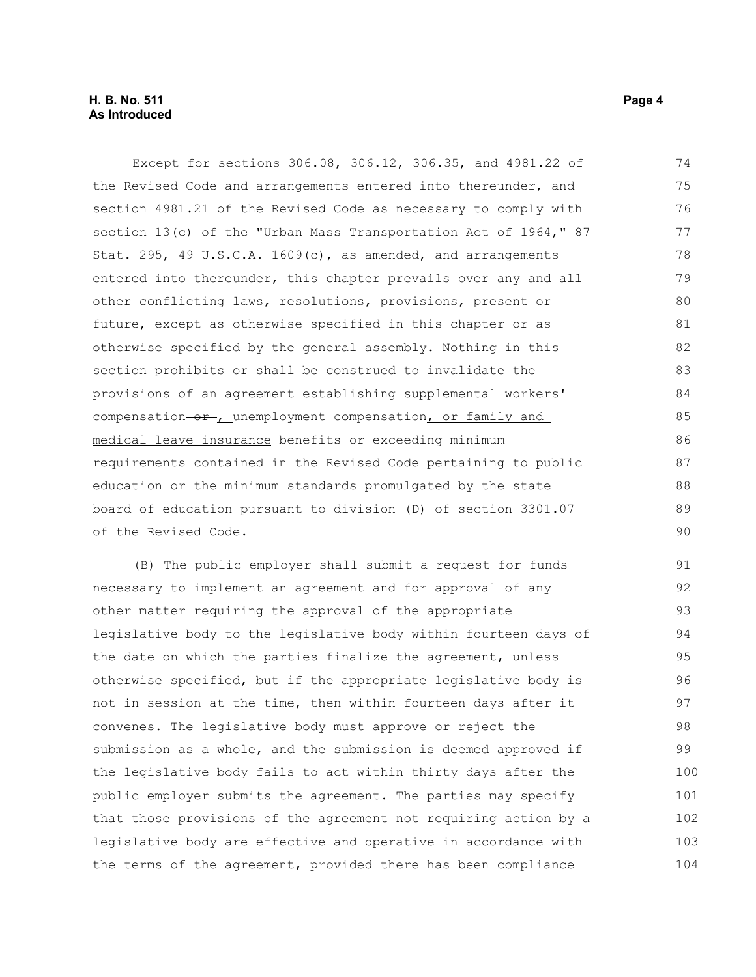Except for sections 306.08, 306.12, 306.35, and 4981.22 of the Revised Code and arrangements entered into thereunder, and section 4981.21 of the Revised Code as necessary to comply with section 13(c) of the "Urban Mass Transportation Act of 1964," 87 Stat. 295, 49 U.S.C.A. 1609(c), as amended, and arrangements entered into thereunder, this chapter prevails over any and all other conflicting laws, resolutions, provisions, present or future, except as otherwise specified in this chapter or as otherwise specified by the general assembly. Nothing in this section prohibits or shall be construed to invalidate the provisions of an agreement establishing supplemental workers' compensation-or-, unemployment compensation, or family and medical leave insurance benefits or exceeding minimum requirements contained in the Revised Code pertaining to public education or the minimum standards promulgated by the state board of education pursuant to division (D) of section 3301.07 of the Revised Code. 74 75 76 77 78 79 80 81 82 83 84 85 86 87 88 89 90

(B) The public employer shall submit a request for funds necessary to implement an agreement and for approval of any other matter requiring the approval of the appropriate legislative body to the legislative body within fourteen days of the date on which the parties finalize the agreement, unless otherwise specified, but if the appropriate legislative body is not in session at the time, then within fourteen days after it convenes. The legislative body must approve or reject the submission as a whole, and the submission is deemed approved if the legislative body fails to act within thirty days after the public employer submits the agreement. The parties may specify that those provisions of the agreement not requiring action by a legislative body are effective and operative in accordance with the terms of the agreement, provided there has been compliance 91 92 93 94 95 96 97 98 99 100 101 102 103 104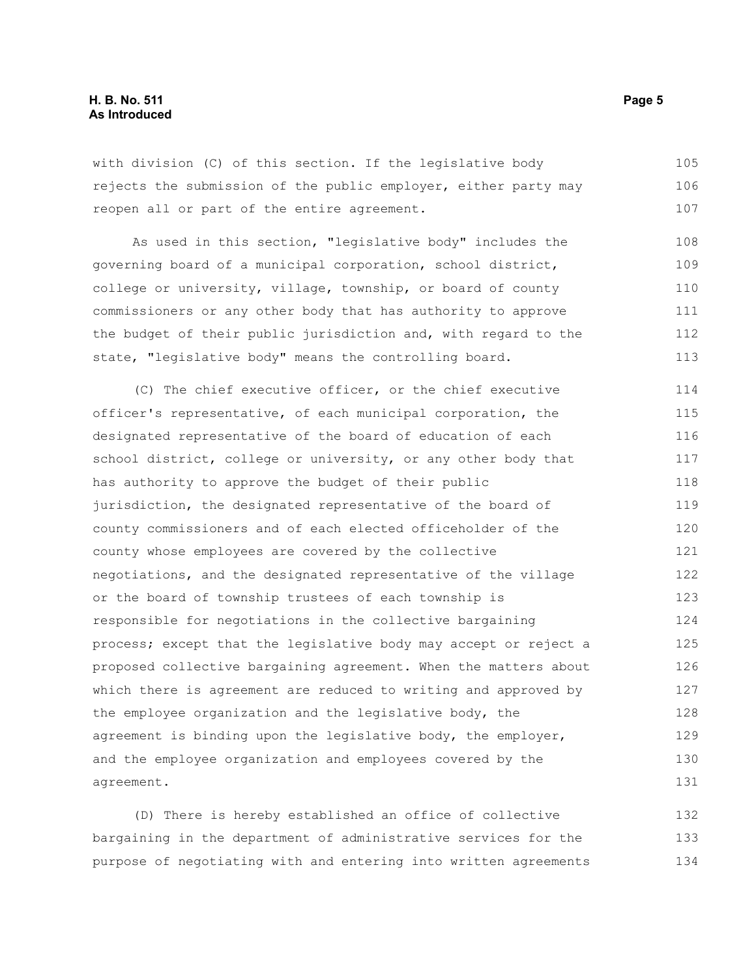#### **H. B. No. 511 Page 5 As Introduced**

with division (C) of this section. If the legislative body rejects the submission of the public employer, either party may reopen all or part of the entire agreement. 105 106 107

As used in this section, "legislative body" includes the governing board of a municipal corporation, school district, college or university, village, township, or board of county commissioners or any other body that has authority to approve the budget of their public jurisdiction and, with regard to the state, "legislative body" means the controlling board. 108 109 110 111 112 113

(C) The chief executive officer, or the chief executive officer's representative, of each municipal corporation, the designated representative of the board of education of each school district, college or university, or any other body that has authority to approve the budget of their public jurisdiction, the designated representative of the board of county commissioners and of each elected officeholder of the county whose employees are covered by the collective negotiations, and the designated representative of the village or the board of township trustees of each township is responsible for negotiations in the collective bargaining process; except that the legislative body may accept or reject a proposed collective bargaining agreement. When the matters about which there is agreement are reduced to writing and approved by the employee organization and the legislative body, the agreement is binding upon the legislative body, the employer, and the employee organization and employees covered by the agreement. 114 115 116 117 118 119 120 121 122 123 124 125 126 127 128 129 130 131

(D) There is hereby established an office of collective bargaining in the department of administrative services for the purpose of negotiating with and entering into written agreements 132 133 134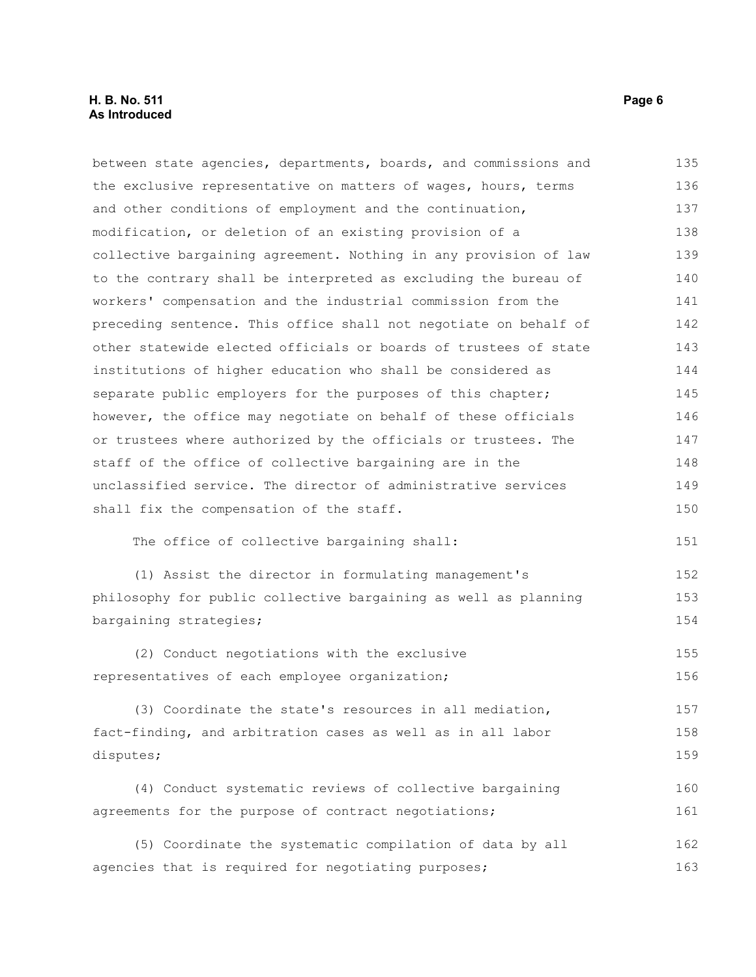between state agencies, departments, boards, and commissions and the exclusive representative on matters of wages, hours, terms and other conditions of employment and the continuation, modification, or deletion of an existing provision of a collective bargaining agreement. Nothing in any provision of law to the contrary shall be interpreted as excluding the bureau of workers' compensation and the industrial commission from the preceding sentence. This office shall not negotiate on behalf of other statewide elected officials or boards of trustees of state institutions of higher education who shall be considered as separate public employers for the purposes of this chapter; however, the office may negotiate on behalf of these officials or trustees where authorized by the officials or trustees. The staff of the office of collective bargaining are in the unclassified service. The director of administrative services shall fix the compensation of the staff. The office of collective bargaining shall: (1) Assist the director in formulating management's philosophy for public collective bargaining as well as planning bargaining strategies; (2) Conduct negotiations with the exclusive representatives of each employee organization; (3) Coordinate the state's resources in all mediation, fact-finding, and arbitration cases as well as in all labor disputes; (4) Conduct systematic reviews of collective bargaining agreements for the purpose of contract negotiations; (5) Coordinate the systematic compilation of data by all agencies that is required for negotiating purposes; 135 136 137 138 139 140 141 142 143 144 145 146 147 148 149 150 151 152 153 154 155 156 157 158 159 160 161 162 163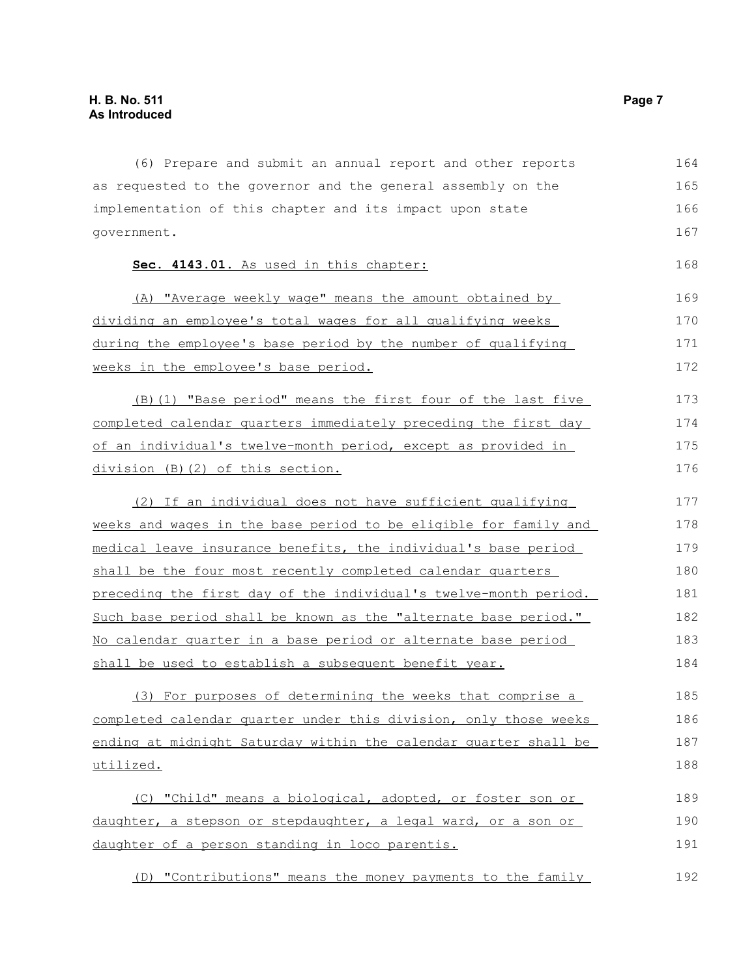| (6) Prepare and submit an annual report and other reports             | 164 |
|-----------------------------------------------------------------------|-----|
| as requested to the governor and the general assembly on the          | 165 |
| implementation of this chapter and its impact upon state              | 166 |
| government.                                                           | 167 |
| Sec. 4143.01. As used in this chapter:                                | 168 |
| (A) "Average weekly wage" means the amount obtained by                | 169 |
| dividing an employee's total wages for all qualifying weeks           | 170 |
| during the employee's base period by the number of qualifying         | 171 |
| weeks in the employee's base period.                                  | 172 |
| (B) (1) "Base period" means the first four of the last five           | 173 |
| completed calendar quarters immediately preceding the first day       | 174 |
| of an individual's twelve-month period, except as provided in         | 175 |
| division (B)(2) of this section.                                      | 176 |
| (2) If an individual does not have sufficient qualifying              | 177 |
| weeks and wages in the base period to be eligible for family and      | 178 |
| medical leave insurance benefits, the individual's base period        | 179 |
| shall be the four most recently completed calendar quarters           | 180 |
| preceding the first day of the individual's twelve-month period.      | 181 |
| Such base period shall be known as the "alternate base period."       | 182 |
| <u>No calendar quarter in a base period or alternate base period </u> | 183 |
| shall be used to establish a subsequent benefit year.                 | 184 |
| (3) For purposes of determining the weeks that comprise a             | 185 |
| completed calendar quarter under this division, only those weeks      | 186 |
| ending at midnight Saturday within the calendar quarter shall be      | 187 |
| utilized.                                                             | 188 |
| (C) "Child" means a biological, adopted, or foster son or             | 189 |
| daughter, a stepson or stepdaughter, a legal ward, or a son or        | 190 |
| daughter of a person standing in loco parentis.                       | 191 |
| (D) "Contributions" means the money payments to the family            | 192 |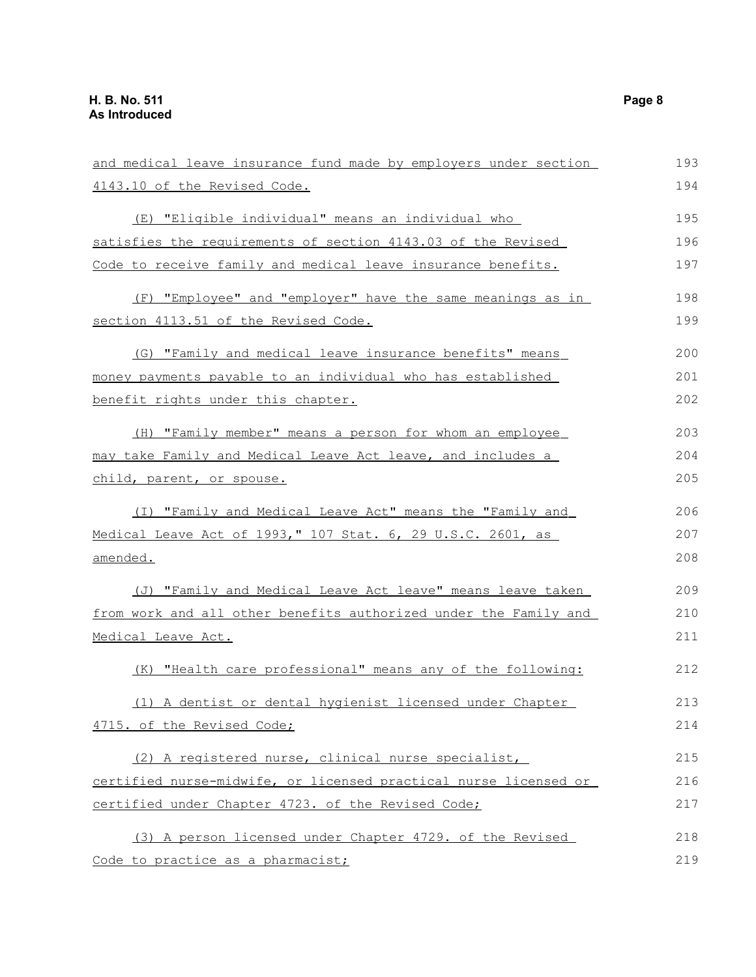| and medical leave insurance fund made by employers under section | 193 |
|------------------------------------------------------------------|-----|
| 4143.10 of the Revised Code.                                     | 194 |
| (E) "Eligible individual" means an individual who                | 195 |
| satisfies the requirements of section 4143.03 of the Revised     | 196 |
| Code to receive family and medical leave insurance benefits.     | 197 |
| (F) "Employee" and "employer" have the same meanings as in       | 198 |
| section 4113.51 of the Revised Code.                             | 199 |
| (G) "Family and medical leave insurance benefits" means          | 200 |
| money payments payable to an individual who has established      | 201 |
| benefit rights under this chapter.                               | 202 |
| (H) "Family member" means a person for whom an employee          | 203 |
| may take Family and Medical Leave Act leave, and includes a      | 204 |
| child, parent, or spouse.                                        | 205 |
| (I) "Family and Medical Leave Act" means the "Family and         | 206 |
| Medical Leave Act of 1993," 107 Stat. 6, 29 U.S.C. 2601, as      | 207 |
| amended.                                                         | 208 |
| (J) "Family and Medical Leave Act leave" means leave taken       | 209 |
| from work and all other benefits authorized under the Family and | 210 |
| Medical Leave Act.                                               | 211 |
| (K) "Health care professional" means any of the following:       | 212 |
| (1) A dentist or dental hygienist licensed under Chapter         | 213 |
| 4715. of the Revised Code;                                       | 214 |
| (2) A registered nurse, clinical nurse specialist,               | 215 |
| certified nurse-midwife, or licensed practical nurse licensed or | 216 |
| certified under Chapter 4723. of the Revised Code;               | 217 |
| (3) A person licensed under Chapter 4729. of the Revised         | 218 |
| Code to practice as a pharmacist;                                | 219 |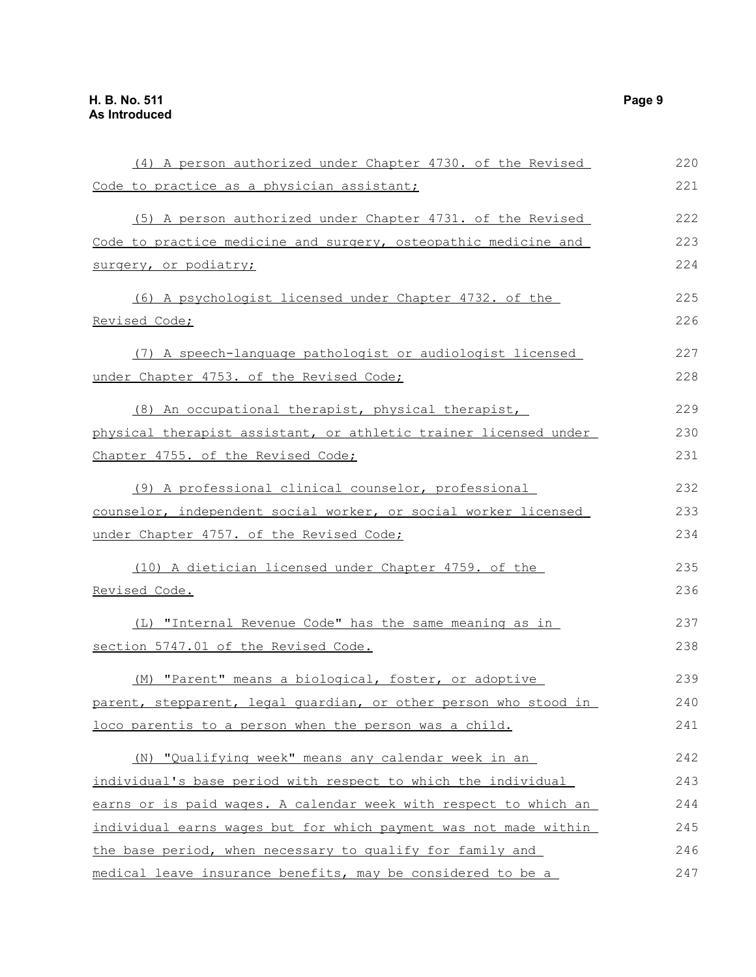| (4) A person authorized under Chapter 4730. of the Revised       | 220 |
|------------------------------------------------------------------|-----|
| Code to practice as a physician assistant;                       | 221 |
| (5) A person authorized under Chapter 4731. of the Revised       | 222 |
| Code to practice medicine and surgery, osteopathic medicine and  | 223 |
| surgery, or podiatry;                                            | 224 |
| (6) A psychologist licensed under Chapter 4732. of the           | 225 |
| Revised Code;                                                    | 226 |
| (7) A speech-language pathologist or audiologist licensed        | 227 |
| under Chapter 4753. of the Revised Code;                         | 228 |
| (8) An occupational therapist, physical therapist,               | 229 |
| physical therapist assistant, or athletic trainer licensed under | 230 |
| Chapter 4755. of the Revised Code;                               | 231 |
| (9) A professional clinical counselor, professional              | 232 |
| counselor, independent social worker, or social worker licensed  | 233 |
| under Chapter 4757. of the Revised Code;                         | 234 |
| (10) A dietician licensed under Chapter 4759. of the             | 235 |
| <u>Revised Code.</u>                                             | 236 |
| (L) "Internal Revenue Code" has the same meaning as in           | 237 |
| section 5747.01 of the Revised Code.                             | 238 |
| (M) "Parent" means a biological, foster, or adoptive             | 239 |
| parent, stepparent, legal quardian, or other person who stood in | 240 |
| loco parentis to a person when the person was a child.           | 241 |
| (N) "Qualifying week" means any calendar week in an              | 242 |
| individual's base period with respect to which the individual    | 243 |
| earns or is paid wages. A calendar week with respect to which an | 244 |
| individual earns wages but for which payment was not made within | 245 |
| the base period, when necessary to qualify for family and        | 246 |
| medical leave insurance benefits, may be considered to be a      | 247 |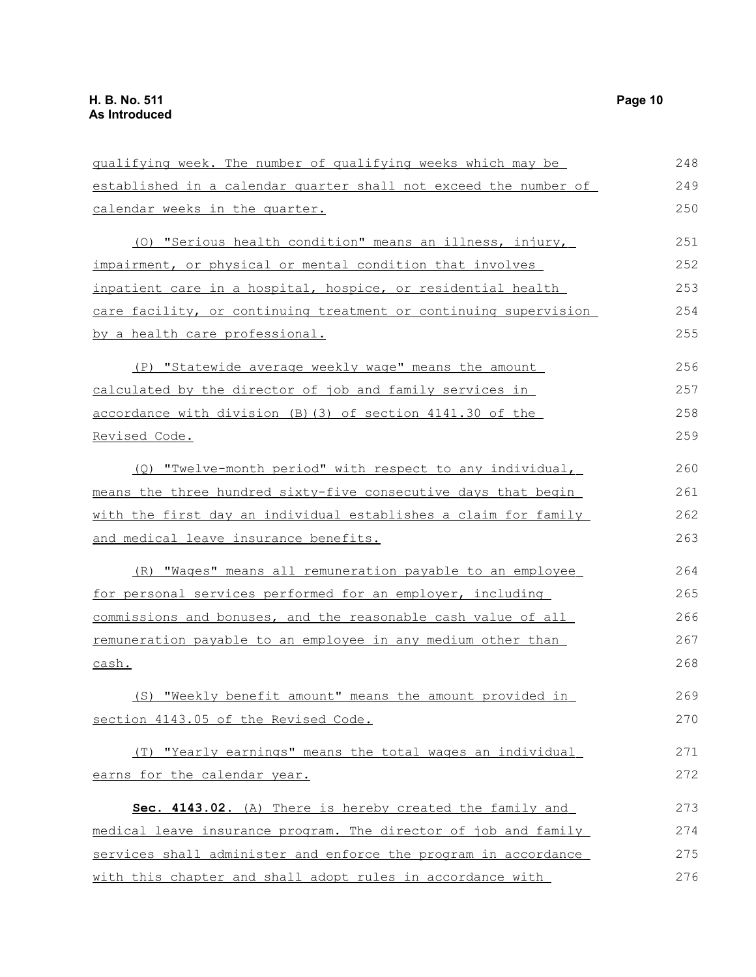| qualifying week. The number of qualifying weeks which may be     | 248 |
|------------------------------------------------------------------|-----|
| established in a calendar quarter shall not exceed the number of | 249 |
| calendar weeks in the quarter.                                   | 250 |
| (0) "Serious health condition" means an illness, injury,         | 251 |
| impairment, or physical or mental condition that involves        | 252 |
| inpatient care in a hospital, hospice, or residential health     | 253 |
| care facility, or continuing treatment or continuing supervision | 254 |
| by a health care professional.                                   | 255 |
| (P) "Statewide average weekly wage" means the amount             | 256 |
| calculated by the director of job and family services in         | 257 |
| accordance with division (B) (3) of section 4141.30 of the       | 258 |
| <u>Revised Code.</u>                                             | 259 |
| (Q) "Twelve-month period" with respect to any individual,        | 260 |
| means the three hundred sixty-five consecutive days that begin   | 261 |
| with the first day an individual establishes a claim for family  | 262 |
| and medical leave insurance benefits.                            | 263 |
| (R) "Wages" means all remuneration payable to an employee        | 264 |
| for personal services performed for an employer, including       | 265 |
| commissions and bonuses, and the reasonable cash value of all    | 266 |
| remuneration payable to an employee in any medium other than     | 267 |
| cash.                                                            | 268 |
| (S) "Weekly benefit amount" means the amount provided in         | 269 |
| section 4143.05 of the Revised Code.                             | 270 |
| (T) "Yearly earnings" means the total wages an individual        | 271 |
| earns for the calendar year.                                     | 272 |
| Sec. 4143.02. (A) There is hereby created the family and         | 273 |
| medical leave insurance program. The director of job and family  | 274 |
| services shall administer and enforce the program in accordance  | 275 |
| with this chapter and shall adopt rules in accordance with       | 276 |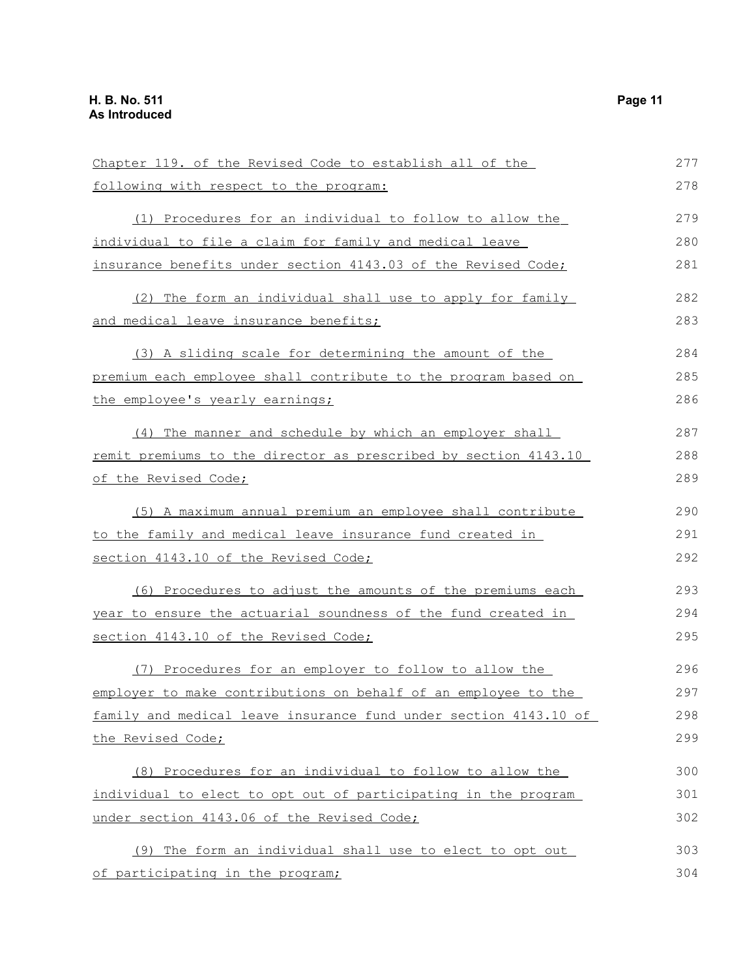Chapter 119. of the Revised Code to establish all of the following with respect to the program: (1) Procedures for an individual to follow to allow the individual to file a claim for family and medical leave insurance benefits under section 4143.03 of the Revised Code; (2) The form an individual shall use to apply for family and medical leave insurance benefits; (3) A sliding scale for determining the amount of the premium each employee shall contribute to the program based on the employee's yearly earnings; (4) The manner and schedule by which an employer shall remit premiums to the director as prescribed by section 4143.10 of the Revised Code; (5) A maximum annual premium an employee shall contribute to the family and medical leave insurance fund created in section 4143.10 of the Revised Code; (6) Procedures to adjust the amounts of the premiums each year to ensure the actuarial soundness of the fund created in section 4143.10 of the Revised Code; (7) Procedures for an employer to follow to allow the employer to make contributions on behalf of an employee to the family and medical leave insurance fund under section 4143.10 of the Revised Code; (8) Procedures for an individual to follow to allow the individual to elect to opt out of participating in the program under section 4143.06 of the Revised Code; (9) The form an individual shall use to elect to opt out of participating in the program; 277 278 279 280 281 282 283 284 285 286 287 288 289 290 291 292 293 294 295 296 297 298 299 300 301 302 303 304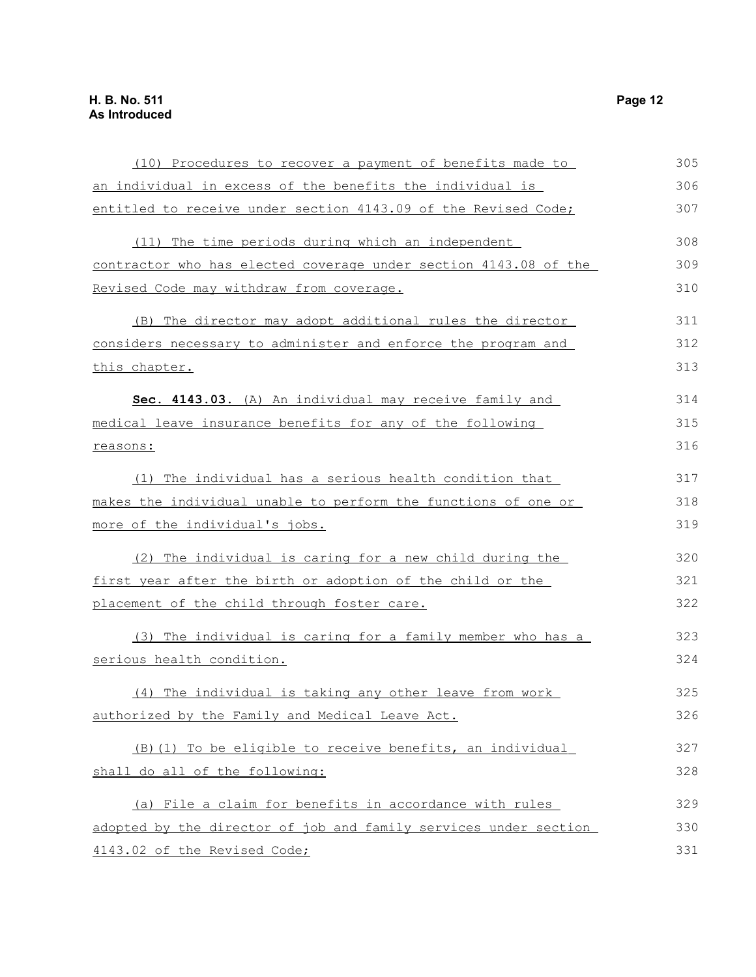| (10) Procedures to recover a payment of benefits made to         | 305 |
|------------------------------------------------------------------|-----|
| an individual in excess of the benefits the individual is        | 306 |
| entitled to receive under section 4143.09 of the Revised Code;   | 307 |
| (11) The time periods during which an independent                | 308 |
| contractor who has elected coverage under section 4143.08 of the | 309 |
| Revised Code may withdraw from coverage.                         | 310 |
| (B) The director may adopt additional rules the director         | 311 |
| considers necessary to administer and enforce the program and    | 312 |
| this chapter.                                                    | 313 |
| Sec. 4143.03. (A) An individual may receive family and           | 314 |
| medical leave insurance benefits for any of the following        | 315 |
| reasons:                                                         | 316 |
| (1) The individual has a serious health condition that           | 317 |
| makes the individual unable to perform the functions of one or   | 318 |
| more of the individual's jobs.                                   | 319 |
| (2) The individual is caring for a new child during the          | 320 |
| first year after the birth or adoption of the child or the       | 321 |
| placement of the child through foster care.                      | 322 |
| (3) The individual is caring for a family member who has a       | 323 |
| serious health condition.                                        | 324 |
| (4) The individual is taking any other leave from work           | 325 |
| authorized by the Family and Medical Leave Act.                  | 326 |
| (B) (1) To be eligible to receive benefits, an individual        | 327 |
| shall do all of the following:                                   | 328 |
| (a) File a claim for benefits in accordance with rules           | 329 |
| adopted by the director of job and family services under section | 330 |
| 4143.02 of the Revised Code;                                     | 331 |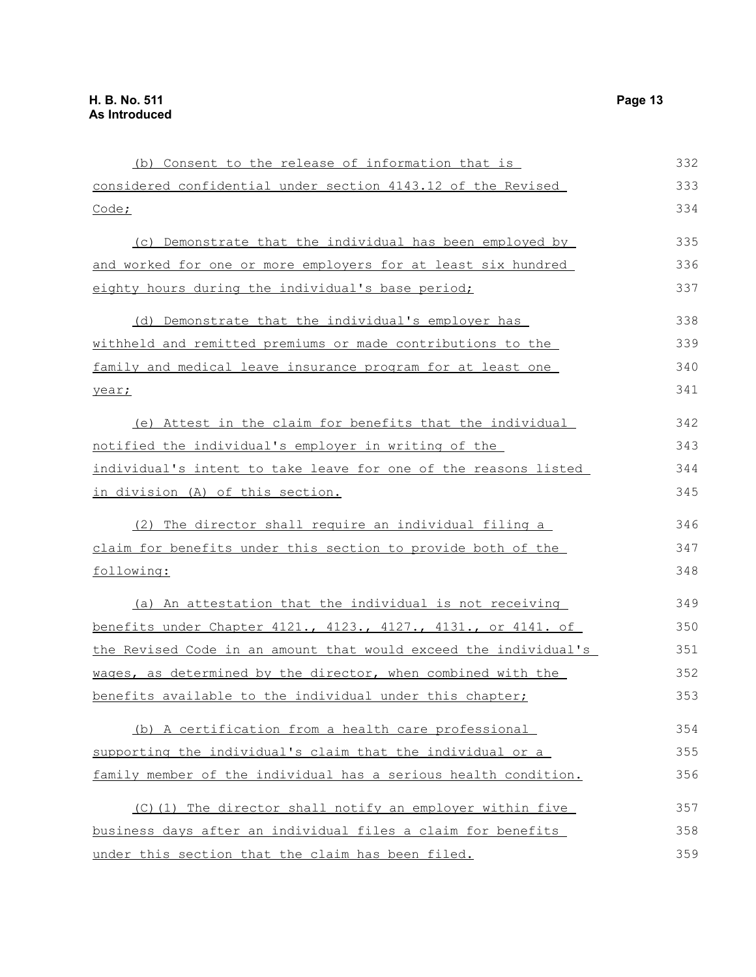| (b) Consent to the release of information that is                | 332 |
|------------------------------------------------------------------|-----|
| considered confidential under section 4143.12 of the Revised     | 333 |
| Code;                                                            | 334 |
| (c) Demonstrate that the individual has been employed by         | 335 |
| and worked for one or more employers for at least six hundred    | 336 |
| eighty hours during the individual's base period;                | 337 |
| (d) Demonstrate that the individual's employer has               | 338 |
| withheld and remitted premiums or made contributions to the      | 339 |
| family and medical leave insurance program for at least one      | 340 |
| year;                                                            | 341 |
| (e) Attest in the claim for benefits that the individual         | 342 |
| notified the individual's employer in writing of the             | 343 |
| individual's intent to take leave for one of the reasons listed  | 344 |
| in division (A) of this section.                                 | 345 |
| (2) The director shall require an individual filing a            | 346 |
| claim for benefits under this section to provide both of the     | 347 |
| following:                                                       | 348 |
| (a) An attestation that the individual is not receiving          | 349 |
| benefits under Chapter 4121., 4123., 4127., 4131., or 4141. of   | 350 |
| the Revised Code in an amount that would exceed the individual's | 351 |
| wages, as determined by the director, when combined with the     | 352 |
| benefits available to the individual under this chapter;         | 353 |
| (b) A certification from a health care professional              | 354 |
| supporting the individual's claim that the individual or a       | 355 |
| family member of the individual has a serious health condition.  | 356 |
| (C)(1) The director shall notify an employer within five         | 357 |
| business days after an individual files a claim for benefits     | 358 |
| under this section that the claim has been filed.                | 359 |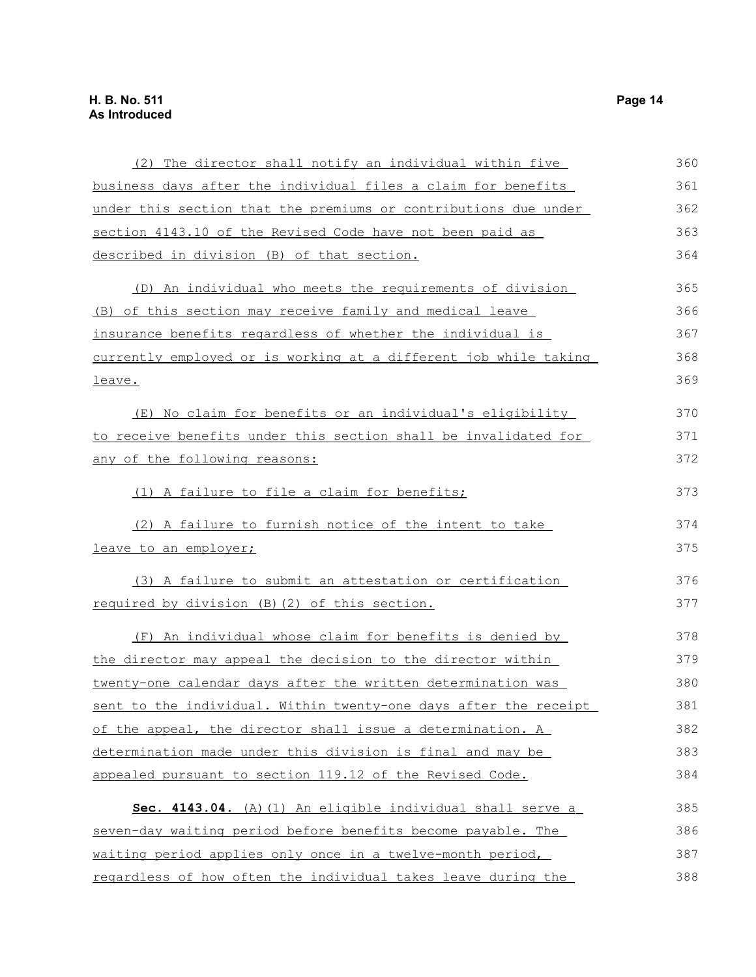| (2) The director shall notify an individual within five          | 360 |
|------------------------------------------------------------------|-----|
| business days after the individual files a claim for benefits    | 361 |
| under this section that the premiums or contributions due under  | 362 |
| section 4143.10 of the Revised Code have not been paid as        | 363 |
| described in division (B) of that section.                       | 364 |
| (D) An individual who meets the requirements of division         | 365 |
| (B) of this section may receive family and medical leave         | 366 |
| insurance benefits regardless of whether the individual is       | 367 |
| currently employed or is working at a different job while taking | 368 |
| leave.                                                           | 369 |
| (E) No claim for benefits or an individual's eligibility         | 370 |
| to receive benefits under this section shall be invalidated for  | 371 |
| any of the following reasons:                                    | 372 |
| (1) A failure to file a claim for benefits;                      | 373 |
| (2) A failure to furnish notice of the intent to take            | 374 |
| leave to an employer;                                            | 375 |
| (3) A failure to submit an attestation or certification          | 376 |
| required by division (B) (2) of this section.                    | 377 |
| (F) An individual whose claim for benefits is denied by          | 378 |
| the director may appeal the decision to the director within      | 379 |
| twenty-one calendar days after the written determination was     | 380 |
| sent to the individual. Within twenty-one days after the receipt | 381 |
| of the appeal, the director shall issue a determination. A       | 382 |
| determination made under this division is final and may be       | 383 |
| appealed pursuant to section 119.12 of the Revised Code.         | 384 |
| Sec. 4143.04. (A) (1) An eligible individual shall serve a       | 385 |
| seven-day waiting period before benefits become payable. The     | 386 |
| waiting period applies only once in a twelve-month period,       | 387 |
| regardless of how often the individual takes leave during the    | 388 |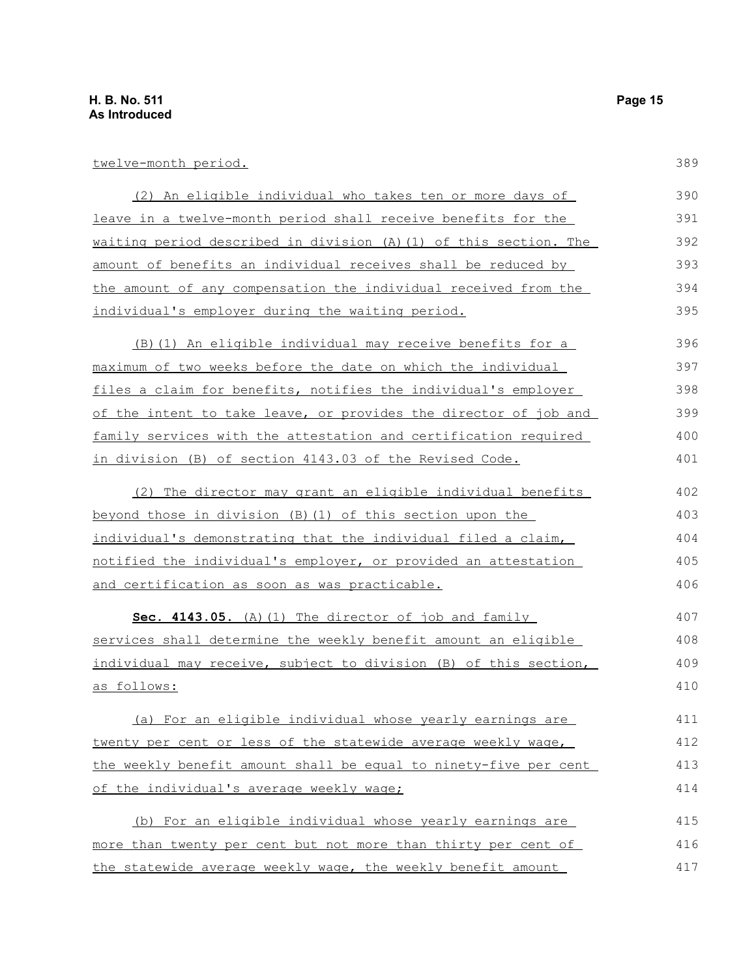twelve-month period.

| (2) An eligible individual who takes ten or more days of          | 390 |
|-------------------------------------------------------------------|-----|
| leave in a twelve-month period shall receive benefits for the     | 391 |
| waiting period described in division (A) (1) of this section. The | 392 |
| amount of benefits an individual receives shall be reduced by     | 393 |
| the amount of any compensation the individual received from the   | 394 |
| individual's employer during the waiting period.                  | 395 |
| (B) (1) An eligible individual may receive benefits for a         | 396 |
| maximum of two weeks before the date on which the individual      | 397 |
| files a claim for benefits, notifies the individual's employer    | 398 |
| of the intent to take leave, or provides the director of job and  | 399 |
| family services with the attestation and certification required   | 400 |
| in division (B) of section 4143.03 of the Revised Code.           | 401 |
| (2) The director may grant an eligible individual benefits        | 402 |
| beyond those in division (B)(1) of this section upon the          | 403 |
| individual's demonstrating that the individual filed a claim,     | 404 |
| notified the individual's employer, or provided an attestation    | 405 |
| <u>and certification as soon as was practicable.</u>              | 406 |
| Sec. 4143.05. (A) (1) The director of job and family              | 407 |
| services shall determine the weekly benefit amount an eligible    | 408 |
| individual may receive, subject to division (B) of this section,  | 409 |
| as follows:                                                       | 410 |
| (a) For an eligible individual whose yearly earnings are          | 411 |
| twenty per cent or less of the statewide average weekly wage,     | 412 |
| the weekly benefit amount shall be equal to ninety-five per cent  | 413 |
| of the individual's average weekly wage;                          | 414 |
| (b) For an eligible individual whose yearly earnings are          | 415 |
| more than twenty per cent but not more than thirty per cent of    | 416 |
| the statewide average weekly wage, the weekly benefit amount      | 417 |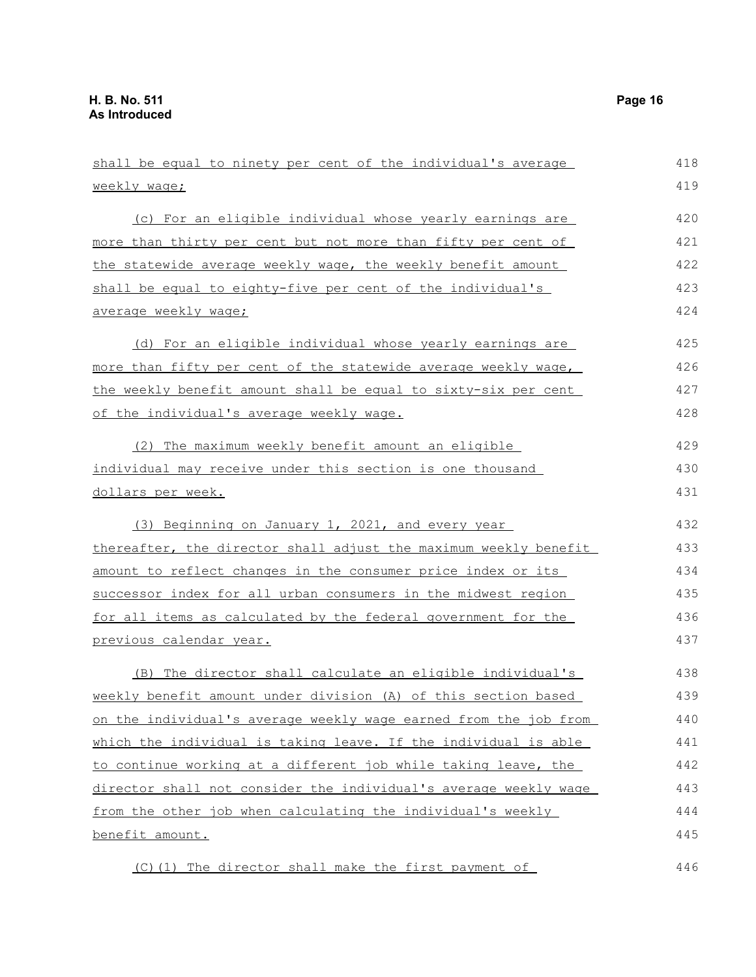| shall be equal to ninety per cent of the individual's average        | 418 |
|----------------------------------------------------------------------|-----|
| <u>weekly wage;</u>                                                  | 419 |
| (c) For an eligible individual whose yearly earnings are             | 420 |
| <u>more than thirty per cent but not more than fifty per cent of</u> | 421 |
|                                                                      | 422 |
| the statewide average weekly wage, the weekly benefit amount         |     |
| shall be equal to eighty-five per cent of the individual's           | 423 |
| average weekly wage;                                                 | 424 |
| (d) For an eligible individual whose yearly earnings are             | 425 |
| more than fifty per cent of the statewide average weekly wage,       | 426 |
| the weekly benefit amount shall be equal to sixty-six per cent       | 427 |
| of the individual's average weekly wage.                             | 428 |
| (2) The maximum weekly benefit amount an eligible                    | 429 |
| individual may receive under this section is one thousand            | 430 |
| dollars per week.                                                    | 431 |
| (3) Beginning on January 1, 2021, and every year                     | 432 |
| thereafter, the director shall adjust the maximum weekly benefit     | 433 |
| amount to reflect changes in the consumer price index or its         | 434 |
| successor index for all urban consumers in the midwest region        | 435 |
| for all items as calculated by the federal government for the        | 436 |
| <u>previous calendar year.</u>                                       | 437 |
| (B) The director shall calculate an eligible individual's            | 438 |
| weekly benefit amount under division (A) of this section based       | 439 |
| on the individual's average weekly wage earned from the job from     | 440 |
| which the individual is taking leave. If the individual is able      | 441 |
| to continue working at a different job while taking leave, the       | 442 |
| director shall not consider the individual's average weekly wage     | 443 |
| from the other job when calculating the individual's weekly          | 444 |
| <u>benefit amount.</u>                                               | 445 |
| (C) (1) The director shall make the first payment of                 | 446 |
|                                                                      |     |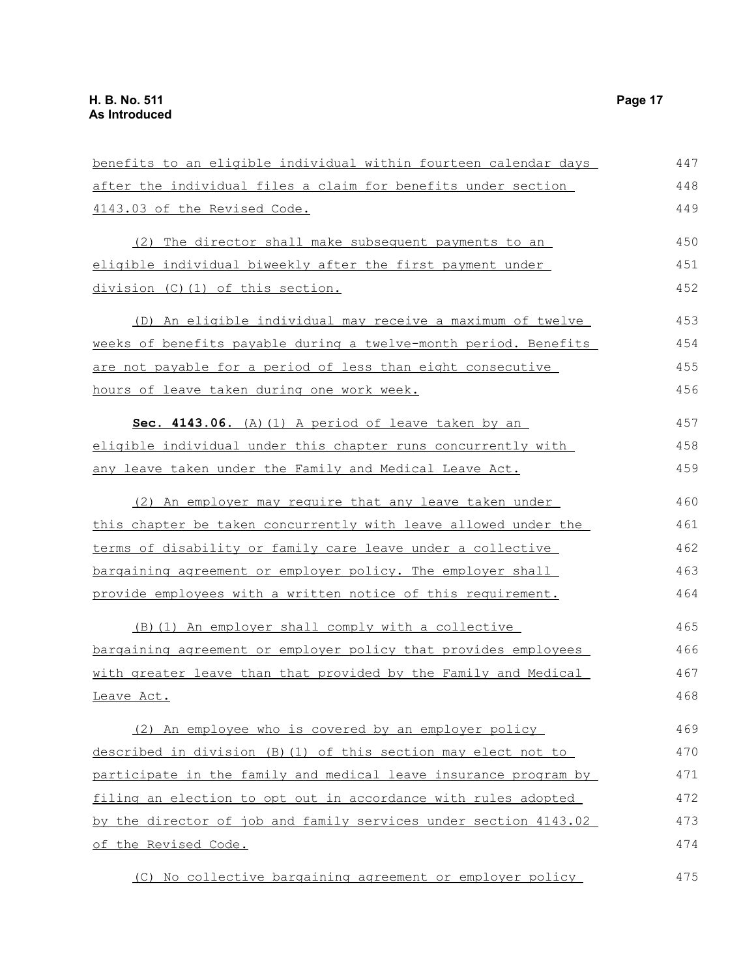| benefits to an eligible individual within fourteen calendar days | 447 |
|------------------------------------------------------------------|-----|
| after the individual files a claim for benefits under section    | 448 |
| 4143.03 of the Revised Code.                                     | 449 |
| (2) The director shall make subsequent payments to an            | 450 |
| eligible individual biweekly after the first payment under       | 451 |
| division (C)(1) of this section.                                 | 452 |
| (D) An eligible individual may receive a maximum of twelve       | 453 |
| weeks of benefits payable during a twelve-month period. Benefits | 454 |
| are not payable for a period of less than eight consecutive      | 455 |
| hours of leave taken during one work week.                       | 456 |
| Sec. 4143.06. (A) (1) A period of leave taken by an              | 457 |
| eligible individual under this chapter runs concurrently with    | 458 |
| any leave taken under the Family and Medical Leave Act.          | 459 |
| (2) An employer may require that any leave taken under           | 460 |
| this chapter be taken concurrently with leave allowed under the  | 461 |
| terms of disability or family care leave under a collective      | 462 |
| bargaining agreement or employer policy. The employer shall      | 463 |
| provide employees with a written notice of this requirement.     | 464 |
| (B) (1) An employer shall comply with a collective               | 465 |
| bargaining agreement or employer policy that provides employees  | 466 |
| with greater leave than that provided by the Family and Medical  | 467 |
| Leave Act.                                                       | 468 |
| (2) An employee who is covered by an employer policy             | 469 |
| described in division (B) (1) of this section may elect not to   | 470 |
| participate in the family and medical leave insurance program by | 471 |
| filing an election to opt out in accordance with rules adopted   | 472 |
| by the director of job and family services under section 4143.02 | 473 |
| of the Revised Code.                                             | 474 |
| (C) No collective bargaining agreement or employer policy        | 475 |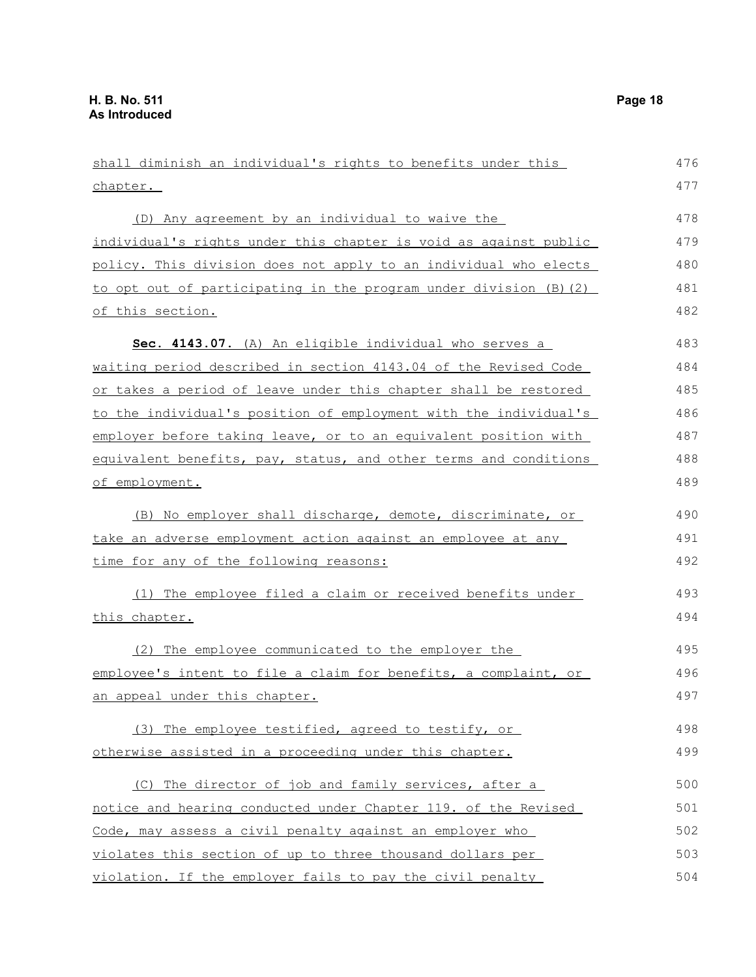shall diminish an individual's rights to benefits under this chapter. (D) Any agreement by an individual to waive the individual's rights under this chapter is void as against public policy. This division does not apply to an individual who elects to opt out of participating in the program under division (B)(2) of this section. **Sec. 4143.07.** (A) An eligible individual who serves a waiting period described in section 4143.04 of the Revised Code or takes a period of leave under this chapter shall be restored to the individual's position of employment with the individual's employer before taking leave, or to an equivalent position with equivalent benefits, pay, status, and other terms and conditions of employment. (B) No employer shall discharge, demote, discriminate, or take an adverse employment action against an employee at any time for any of the following reasons: (1) The employee filed a claim or received benefits under this chapter. (2) The employee communicated to the employer the employee's intent to file a claim for benefits, a complaint, or an appeal under this chapter. (3) The employee testified, agreed to testify, or otherwise assisted in a proceeding under this chapter. (C) The director of job and family services, after a notice and hearing conducted under Chapter 119. of the Revised Code, may assess a civil penalty against an employer who 476 477 478 479 480 481 482 483 484 485 486 487 488 489 490 491 492 493 494 495 496 497 498 499 500 501 502 503

violates this section of up to three thousand dollars per violation. If the employer fails to pay the civil penalty 504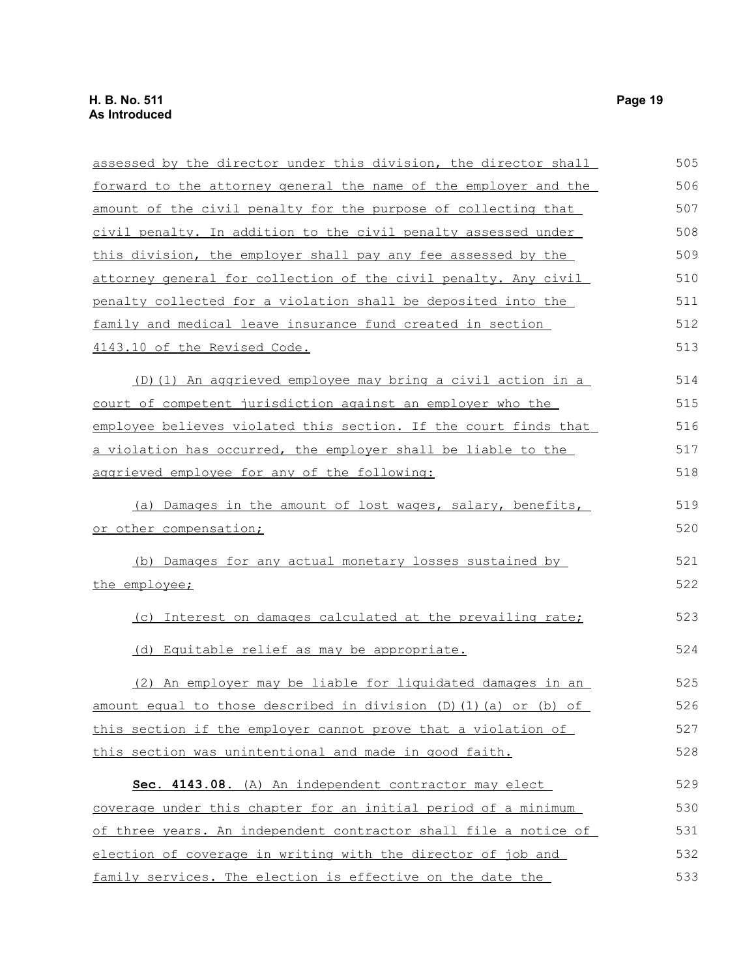| assessed by the director under this division, the director shall | 505 |
|------------------------------------------------------------------|-----|
| forward to the attorney general the name of the employer and the | 506 |
| amount of the civil penalty for the purpose of collecting that   | 507 |
| civil penalty. In addition to the civil penalty assessed under   | 508 |
| this division, the employer shall pay any fee assessed by the    | 509 |
| attorney general for collection of the civil penalty. Any civil  | 510 |
| penalty collected for a violation shall be deposited into the    | 511 |
| family and medical leave insurance fund created in section       | 512 |
| 4143.10 of the Revised Code.                                     | 513 |
| (D) (1) An aggrieved employee may bring a civil action in a      | 514 |
| court of competent jurisdiction against an employer who the      | 515 |
| employee believes violated this section. If the court finds that | 516 |
| a violation has occurred, the employer shall be liable to the    | 517 |
| aggrieved employee for any of the following:                     | 518 |
| (a) Damages in the amount of lost wages, salary, benefits,       | 519 |
| or other compensation;                                           | 520 |
| (b) Damages for any actual monetary losses sustained by          | 521 |
| the employee;                                                    | 522 |
| (c) Interest on damages calculated at the prevailing rate;       | 523 |
| (d) Equitable relief as may be appropriate.                      | 524 |
| (2) An employer may be liable for liquidated damages in an       | 525 |
| amount equal to those described in division (D)(1)(a) or (b) of  | 526 |
| this section if the employer cannot prove that a violation of    | 527 |
| this section was unintentional and made in good faith.           | 528 |
| Sec. 4143.08. (A) An independent contractor may elect            | 529 |
| coverage under this chapter for an initial period of a minimum   | 530 |
| of three years. An independent contractor shall file a notice of | 531 |
| election of coverage in writing with the director of job and     | 532 |
| family services. The election is effective on the date the       | 533 |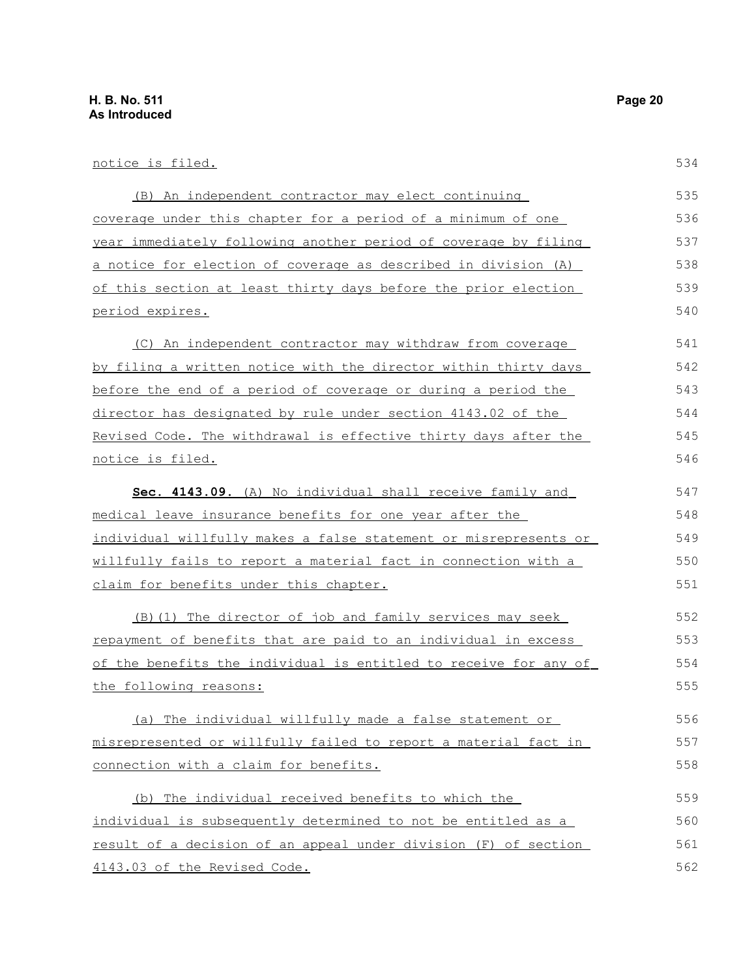| notice is filed.                                                 | 534 |
|------------------------------------------------------------------|-----|
| (B) An independent contractor may elect continuing               | 535 |
| coverage under this chapter for a period of a minimum of one     | 536 |
| year immediately following another period of coverage by filing  | 537 |
| a notice for election of coverage as described in division (A)   | 538 |
| of this section at least thirty days before the prior election   | 539 |
| period expires.                                                  | 540 |
| (C) An independent contractor may withdraw from coverage         | 541 |
| by filing a written notice with the director within thirty days  | 542 |
| before the end of a period of coverage or during a period the    | 543 |
| director has designated by rule under section 4143.02 of the     | 544 |
| Revised Code. The withdrawal is effective thirty days after the  | 545 |
| notice is filed.                                                 | 546 |
| Sec. 4143.09. (A) No individual shall receive family and         | 547 |
| medical leave insurance benefits for one year after the          | 548 |
| individual willfully makes a false statement or misrepresents or | 549 |
| willfully fails to report a material fact in connection with a   | 550 |
| claim for benefits under this chapter.                           | 551 |
| (B) (1) The director of job and family services may seek         | 552 |
| repayment of benefits that are paid to an individual in excess   | 553 |
| of the benefits the individual is entitled to receive for any of | 554 |
| the following reasons:                                           | 555 |
| (a) The individual willfully made a false statement or           | 556 |
| misrepresented or willfully failed to report a material fact in  | 557 |
| connection with a claim for benefits.                            | 558 |
| (b) The individual received benefits to which the                | 559 |
| individual is subsequently determined to not be entitled as a    | 560 |
| result of a decision of an appeal under division (F) of section  | 561 |
| 4143.03 of the Revised Code.                                     | 562 |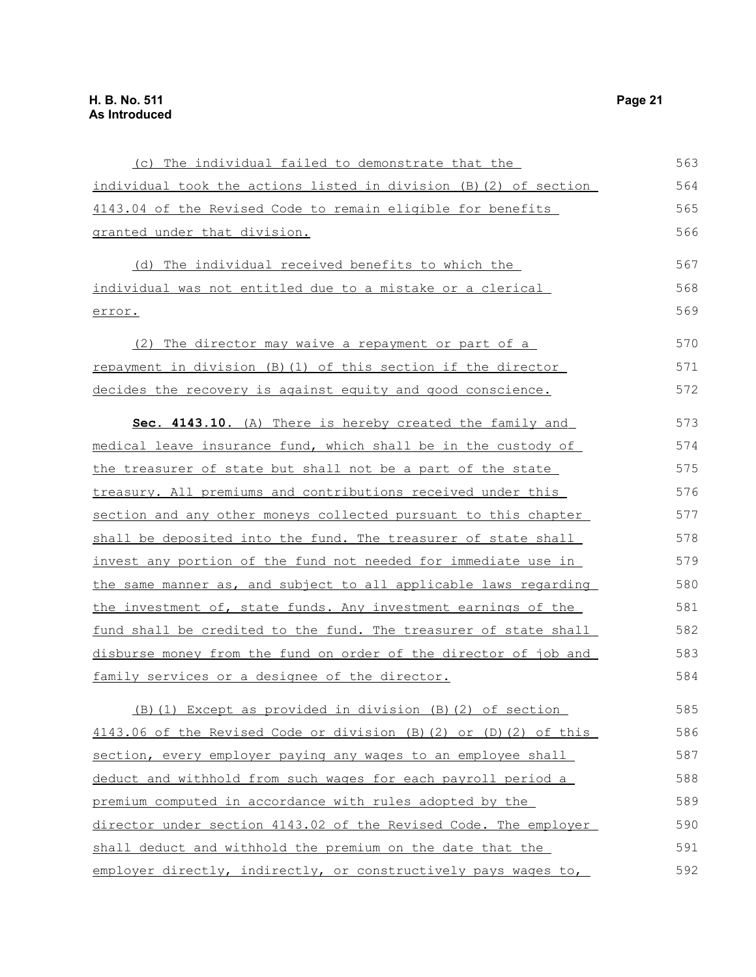| (c) The individual failed to demonstrate that the                      | 563 |
|------------------------------------------------------------------------|-----|
| individual took the actions listed in division (B) (2) of section      | 564 |
| 4143.04 of the Revised Code to remain eligible for benefits            | 565 |
| granted under that division.                                           | 566 |
| (d) The individual received benefits to which the                      | 567 |
| individual was not entitled due to a mistake or a clerical             | 568 |
| error.                                                                 | 569 |
| (2) The director may waive a repayment or part of a                    | 570 |
| repayment in division (B) (1) of this section if the director          | 571 |
| decides the recovery is against equity and good conscience.            | 572 |
| Sec. 4143.10. (A) There is hereby created the family and               | 573 |
| medical leave insurance fund, which shall be in the custody of         | 574 |
| the treasurer of state but shall not be a part of the state            | 575 |
| treasury. All premiums and contributions received under this           | 576 |
| section and any other moneys collected pursuant to this chapter        | 577 |
| shall be deposited into the fund. The treasurer of state shall         | 578 |
| <u>invest any portion of the fund not needed for immediate use in </u> | 579 |
| the same manner as, and subject to all applicable laws regarding       | 580 |
| the investment of, state funds. Any investment earnings of the         | 581 |
| fund shall be credited to the fund. The treasurer of state shall       | 582 |
| disburse money from the fund on order of the director of job and       | 583 |
| family services or a designee of the director.                         | 584 |
| (B) (1) Except as provided in division (B) (2) of section              | 585 |
| 4143.06 of the Revised Code or division (B) (2) or (D) (2) of this     | 586 |
| section, every employer paying any wages to an employee shall          | 587 |
| deduct and withhold from such wages for each payroll period a          | 588 |
| premium computed in accordance with rules adopted by the               | 589 |
| director under section 4143.02 of the Revised Code. The employer       | 590 |
| shall deduct and withhold the premium on the date that the             | 591 |
| employer directly, indirectly, or constructively pays wages to,        | 592 |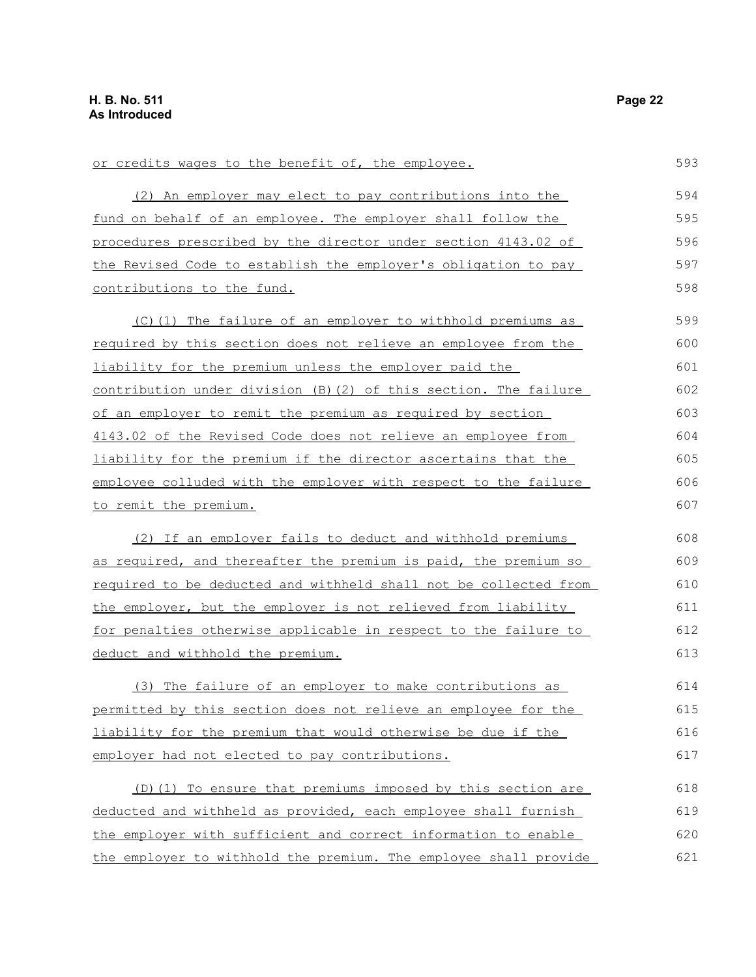contributions to the fund.

or credits wages to the benefit of, the employee. (2) An employer may elect to pay contributions into the fund on behalf of an employee. The employer shall follow the procedures prescribed by the director under section 4143.02 of the Revised Code to establish the employer's obligation to pay 593 594 595 596 597 598

(C)(1) The failure of an employer to withhold premiums as required by this section does not relieve an employee from the liability for the premium unless the employer paid the contribution under division (B)(2) of this section. The failure of an employer to remit the premium as required by section 4143.02 of the Revised Code does not relieve an employee from liability for the premium if the director ascertains that the employee colluded with the employer with respect to the failure to remit the premium. 599 600 601 602 603 604 605 606 607

(2) If an employer fails to deduct and withhold premiums as required, and thereafter the premium is paid, the premium so required to be deducted and withheld shall not be collected from the employer, but the employer is not relieved from liability for penalties otherwise applicable in respect to the failure to deduct and withhold the premium. 608 609 610 611 612 613

(3) The failure of an employer to make contributions as permitted by this section does not relieve an employee for the liability for the premium that would otherwise be due if the employer had not elected to pay contributions. 614 615 616 617

(D)(1) To ensure that premiums imposed by this section are deducted and withheld as provided, each employee shall furnish the employer with sufficient and correct information to enable the employer to withhold the premium. The employee shall provide 618 619 620 621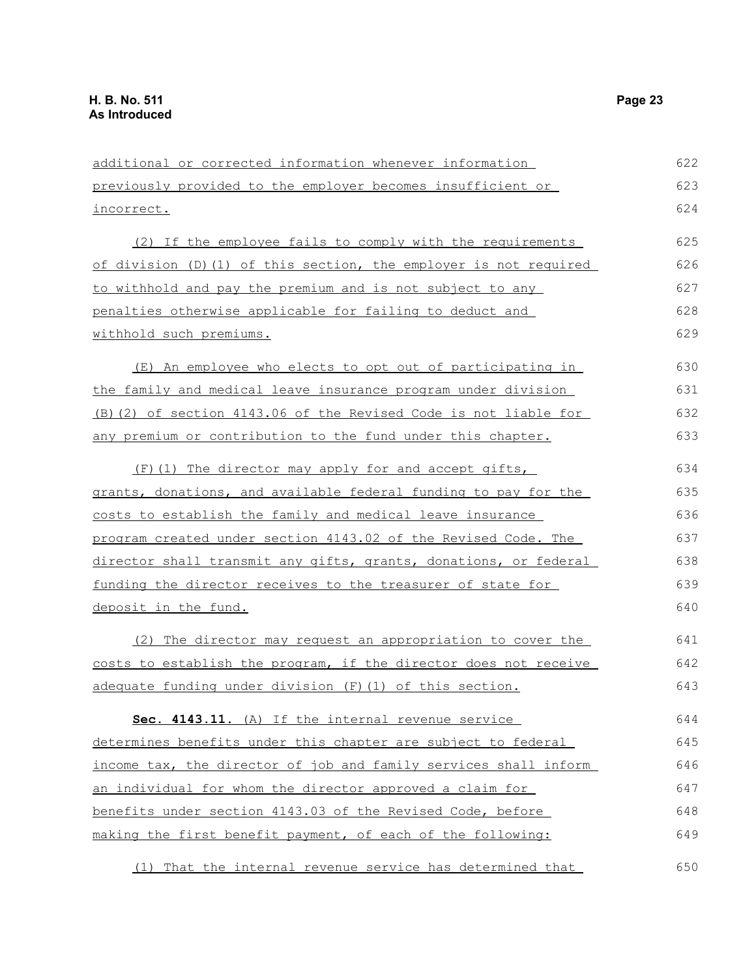additional or corrected information whenever information previously provided to the employer becomes insufficient or incorrect. (2) If the employee fails to comply with the requirements of division (D)(1) of this section, the employer is not required to withhold and pay the premium and is not subject to any penalties otherwise applicable for failing to deduct and withhold such premiums. (E) An employee who elects to opt out of participating in the family and medical leave insurance program under division (B)(2) of section 4143.06 of the Revised Code is not liable for any premium or contribution to the fund under this chapter. (F)(1) The director may apply for and accept gifts, grants, donations, and available federal funding to pay for the costs to establish the family and medical leave insurance program created under section 4143.02 of the Revised Code. The director shall transmit any gifts, grants, donations, or federal funding the director receives to the treasurer of state for deposit in the fund. (2) The director may request an appropriation to cover the costs to establish the program, if the director does not receive adequate funding under division (F)(1) of this section. Sec. 4143.11. (A) If the internal revenue service determines benefits under this chapter are subject to federal income tax, the director of job and family services shall inform an individual for whom the director approved a claim for benefits under section 4143.03 of the Revised Code, before making the first benefit payment, of each of the following: 622 623 624 625 626 627 628 629 630 631 632 633 634 635 636 637 638 639 640 641 642 643 644 645 646 647 648 649

(1) That the internal revenue service has determined that 650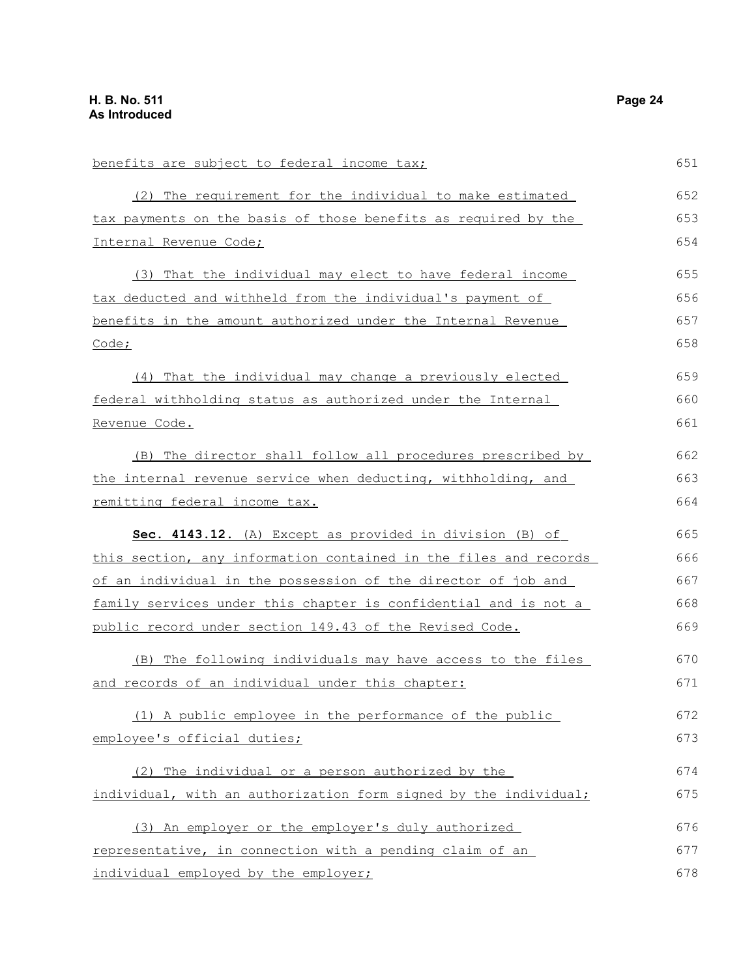| benefits are subject to federal income tax;                      | 651 |
|------------------------------------------------------------------|-----|
| (2) The requirement for the individual to make estimated         | 652 |
| tax payments on the basis of those benefits as required by the   | 653 |
| Internal Revenue Code;                                           | 654 |
| (3) That the individual may elect to have federal income         | 655 |
| tax deducted and withheld from the individual's payment of       | 656 |
| benefits in the amount authorized under the Internal Revenue     | 657 |
| Code;                                                            | 658 |
| (4) That the individual may change a previously elected          | 659 |
| federal withholding status as authorized under the Internal      | 660 |
| Revenue Code.                                                    | 661 |
| (B) The director shall follow all procedures prescribed by       | 662 |
| the internal revenue service when deducting, withholding, and    | 663 |
| remitting federal income tax.                                    | 664 |
| Sec. 4143.12. (A) Except as provided in division (B) of          | 665 |
| this section, any information contained in the files and records | 666 |
| of an individual in the possession of the director of job and    | 667 |
| family services under this chapter is confidential and is not a  | 668 |
| public record under section 149.43 of the Revised Code.          | 669 |
| (B) The following individuals may have access to the files       | 670 |
| and records of an individual under this chapter:                 | 671 |
| (1) A public employee in the performance of the public           | 672 |
| employee's official duties;                                      | 673 |
| (2) The individual or a person authorized by the                 | 674 |
| individual, with an authorization form signed by the individual; | 675 |
| (3) An employer or the employer's duly authorized                | 676 |
| representative, in connection with a pending claim of an         | 677 |
| individual employed by the employer;                             | 678 |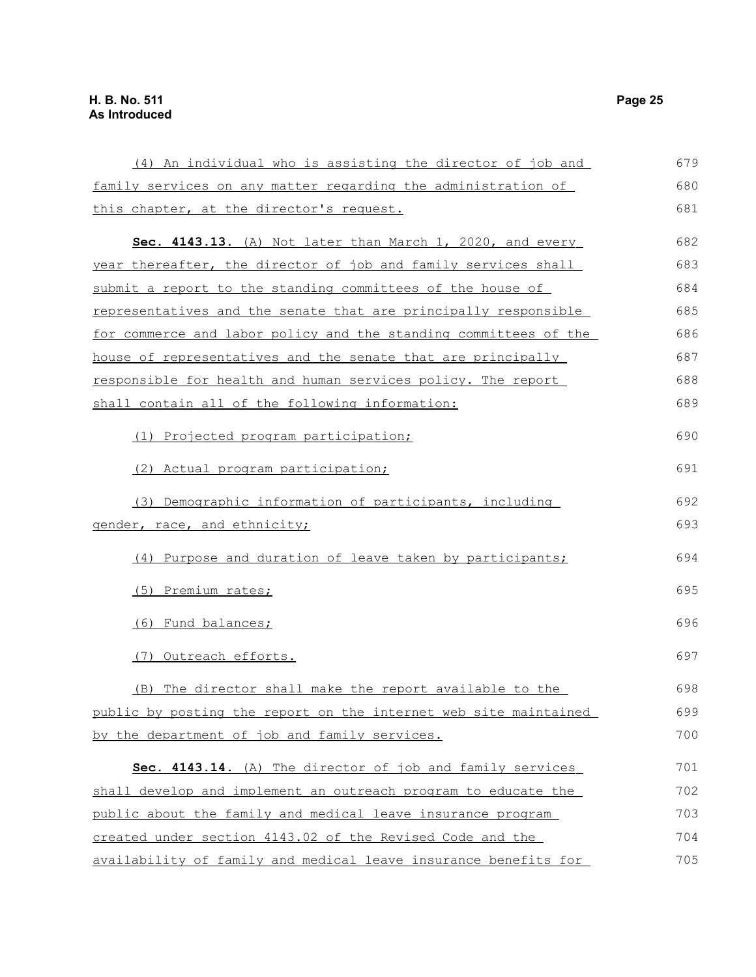(4) An individual who is assisting the director of job and family services on any matter regarding the administration of this chapter, at the director's request. **Sec. 4143.13.** (A) Not later than March 1, 2020, and every year thereafter, the director of job and family services shall submit a report to the standing committees of the house of representatives and the senate that are principally responsible for commerce and labor policy and the standing committees of the house of representatives and the senate that are principally responsible for health and human services policy. The report shall contain all of the following information: (1) Projected program participation; (2) Actual program participation; (3) Demographic information of participants, including gender, race, and ethnicity; (4) Purpose and duration of leave taken by participants; (5) Premium rates; (6) Fund balances; (7) Outreach efforts. (B) The director shall make the report available to the public by posting the report on the internet web site maintained by the department of job and family services. **Sec. 4143.14.** (A) The director of job and family services shall develop and implement an outreach program to educate the public about the family and medical leave insurance program created under section 4143.02 of the Revised Code and the availability of family and medical leave insurance benefits for 679 680 681 682 683 684 685 686 687 688 689 690 691 692 693 694 695 696 697 698 699 700 701 702 703 704 705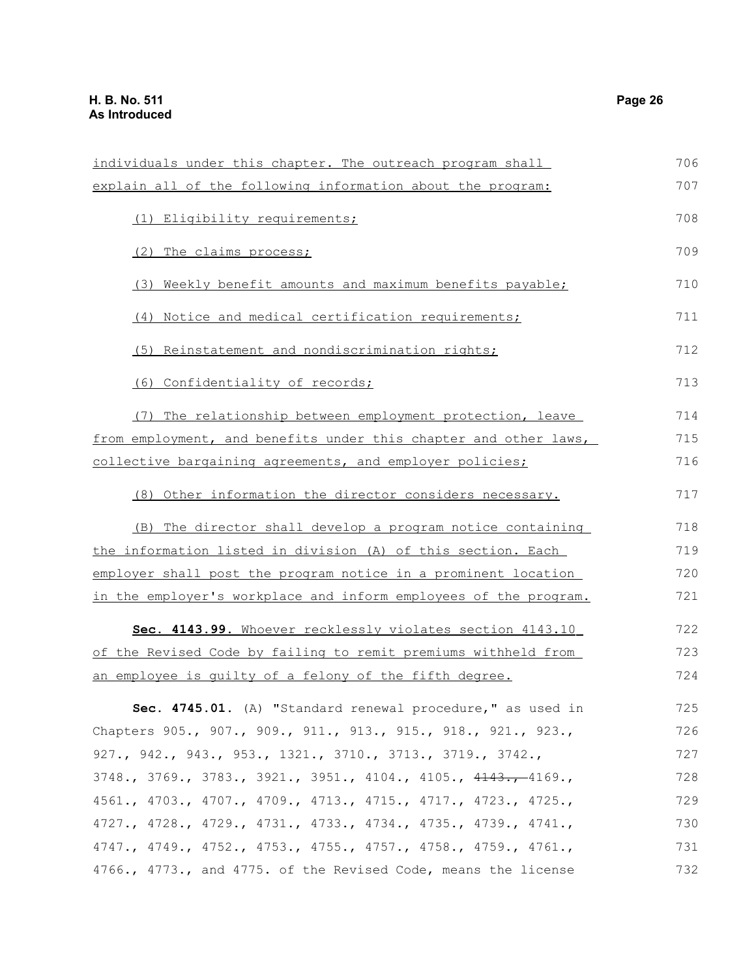individuals under this chapter. The outreach program shall explain all of the following information about the program: (1) Eligibility requirements; (2) The claims process; (3) Weekly benefit amounts and maximum benefits payable; (4) Notice and medical certification requirements; (5) Reinstatement and nondiscrimination rights; (6) Confidentiality of records; (7) The relationship between employment protection, leave from employment, and benefits under this chapter and other laws, collective bargaining agreements, and employer policies; (8) Other information the director considers necessary. (B) The director shall develop a program notice containing the information listed in division (A) of this section. Each employer shall post the program notice in a prominent location in the employer's workplace and inform employees of the program. **Sec. 4143.99.** Whoever recklessly violates section 4143.10 of the Revised Code by failing to remit premiums withheld from an employee is guilty of a felony of the fifth degree. **Sec. 4745.01.** (A) "Standard renewal procedure," as used in Chapters 905., 907., 909., 911., 913., 915., 918., 921., 923., 927., 942., 943., 953., 1321., 3710., 3713., 3719., 3742., 3748., 3769., 3783., 3921., 3951., 4104., 4105., 4143., 4169., 4561., 4703., 4707., 4709., 4713., 4715., 4717., 4723., 4725., 4727., 4728., 4729., 4731., 4733., 4734., 4735., 4739., 4741., 4747., 4749., 4752., 4753., 4755., 4757., 4758., 4759., 4761., 4766., 4773., and 4775. of the Revised Code, means the license 706 707 708 709 710 711 712 713 714 715 716 717 718 719 720 721 722 723 724 725 726 727 728 729 730 731 732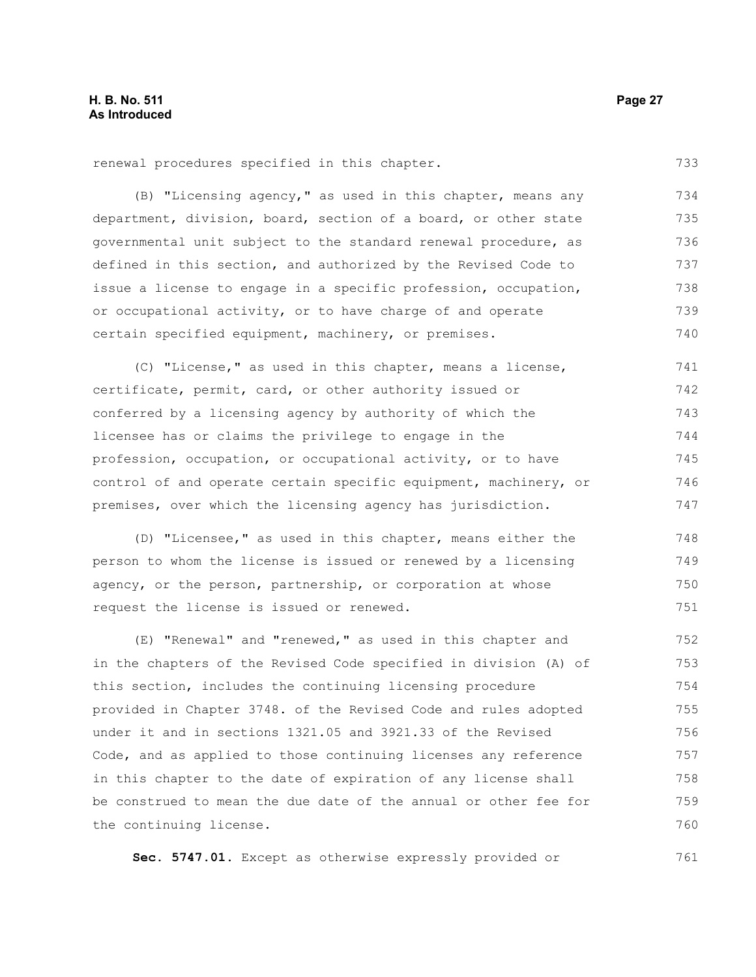(B) "Licensing agency," as used in this chapter, means any department, division, board, section of a board, or other state governmental unit subject to the standard renewal procedure, as defined in this section, and authorized by the Revised Code to issue a license to engage in a specific profession, occupation, or occupational activity, or to have charge of and operate certain specified equipment, machinery, or premises. 734 735 736 737 738 739 740

(C) "License," as used in this chapter, means a license, certificate, permit, card, or other authority issued or conferred by a licensing agency by authority of which the licensee has or claims the privilege to engage in the profession, occupation, or occupational activity, or to have control of and operate certain specific equipment, machinery, or premises, over which the licensing agency has jurisdiction. 741 742 743 744 745 746 747

(D) "Licensee," as used in this chapter, means either the person to whom the license is issued or renewed by a licensing agency, or the person, partnership, or corporation at whose request the license is issued or renewed. 748 749 750 751

(E) "Renewal" and "renewed," as used in this chapter and in the chapters of the Revised Code specified in division (A) of this section, includes the continuing licensing procedure provided in Chapter 3748. of the Revised Code and rules adopted under it and in sections 1321.05 and 3921.33 of the Revised Code, and as applied to those continuing licenses any reference in this chapter to the date of expiration of any license shall be construed to mean the due date of the annual or other fee for the continuing license. 752 753 754 755 756 757 758 759 760

**Sec. 5747.01.** Except as otherwise expressly provided or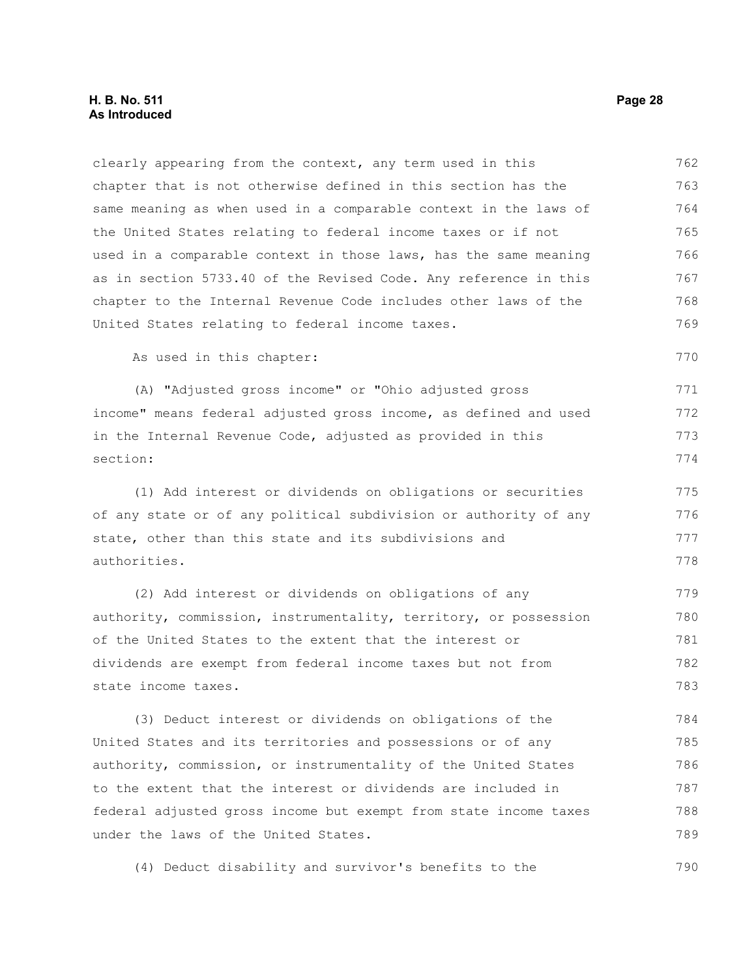#### **H. B. No. 511 Page 28 As Introduced**

clearly appearing from the context, any term used in this chapter that is not otherwise defined in this section has the same meaning as when used in a comparable context in the laws of the United States relating to federal income taxes or if not used in a comparable context in those laws, has the same meaning as in section 5733.40 of the Revised Code. Any reference in this chapter to the Internal Revenue Code includes other laws of the United States relating to federal income taxes. 762 763 764 765 766 767 768 769

As used in this chapter:

(A) "Adjusted gross income" or "Ohio adjusted gross income" means federal adjusted gross income, as defined and used in the Internal Revenue Code, adjusted as provided in this section: 771 772 773 774

(1) Add interest or dividends on obligations or securities of any state or of any political subdivision or authority of any state, other than this state and its subdivisions and authorities. 775 776 777 778

(2) Add interest or dividends on obligations of any authority, commission, instrumentality, territory, or possession of the United States to the extent that the interest or dividends are exempt from federal income taxes but not from state income taxes. 779 780 781 782 783

(3) Deduct interest or dividends on obligations of the United States and its territories and possessions or of any authority, commission, or instrumentality of the United States to the extent that the interest or dividends are included in federal adjusted gross income but exempt from state income taxes under the laws of the United States. 784 785 786 787 788 789

(4) Deduct disability and survivor's benefits to the 790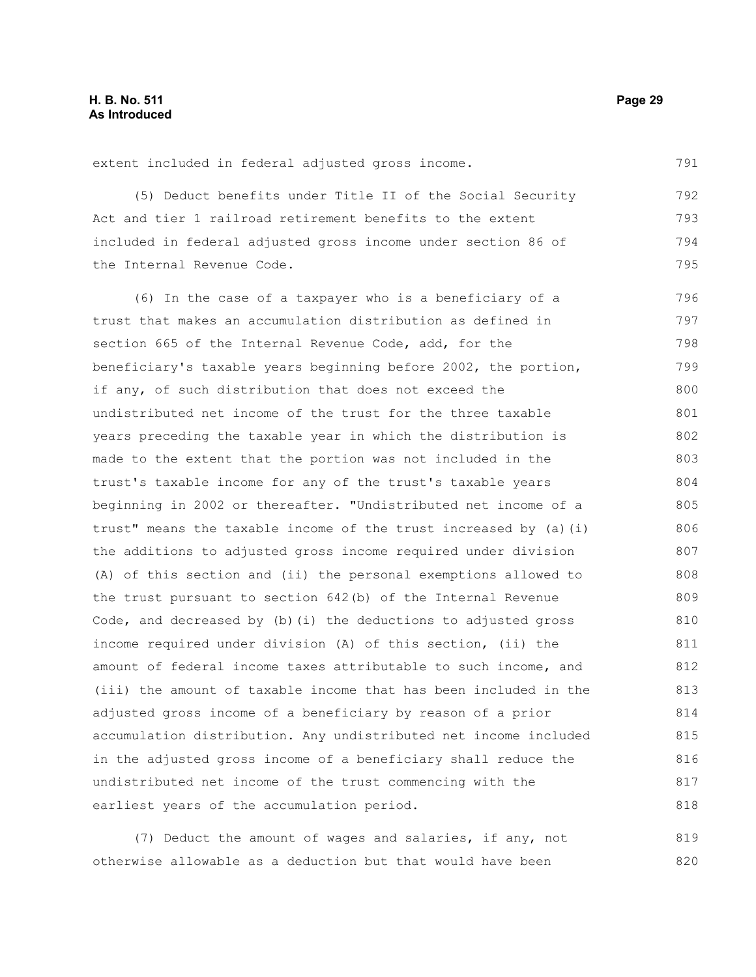extent included in federal adjusted gross income.

(5) Deduct benefits under Title II of the Social Security Act and tier 1 railroad retirement benefits to the extent included in federal adjusted gross income under section 86 of the Internal Revenue Code. 792 793 794 795

(6) In the case of a taxpayer who is a beneficiary of a trust that makes an accumulation distribution as defined in section 665 of the Internal Revenue Code, add, for the beneficiary's taxable years beginning before 2002, the portion, if any, of such distribution that does not exceed the undistributed net income of the trust for the three taxable years preceding the taxable year in which the distribution is made to the extent that the portion was not included in the trust's taxable income for any of the trust's taxable years beginning in 2002 or thereafter. "Undistributed net income of a trust" means the taxable income of the trust increased by (a)(i) the additions to adjusted gross income required under division (A) of this section and (ii) the personal exemptions allowed to the trust pursuant to section 642(b) of the Internal Revenue Code, and decreased by (b)(i) the deductions to adjusted gross income required under division (A) of this section, (ii) the amount of federal income taxes attributable to such income, and (iii) the amount of taxable income that has been included in the adjusted gross income of a beneficiary by reason of a prior accumulation distribution. Any undistributed net income included in the adjusted gross income of a beneficiary shall reduce the undistributed net income of the trust commencing with the earliest years of the accumulation period. 796 797 798 799 800 801 802 803 804 805 806 807 808 809 810 811 812 813 814 815 816 817 818

(7) Deduct the amount of wages and salaries, if any, not otherwise allowable as a deduction but that would have been 819 820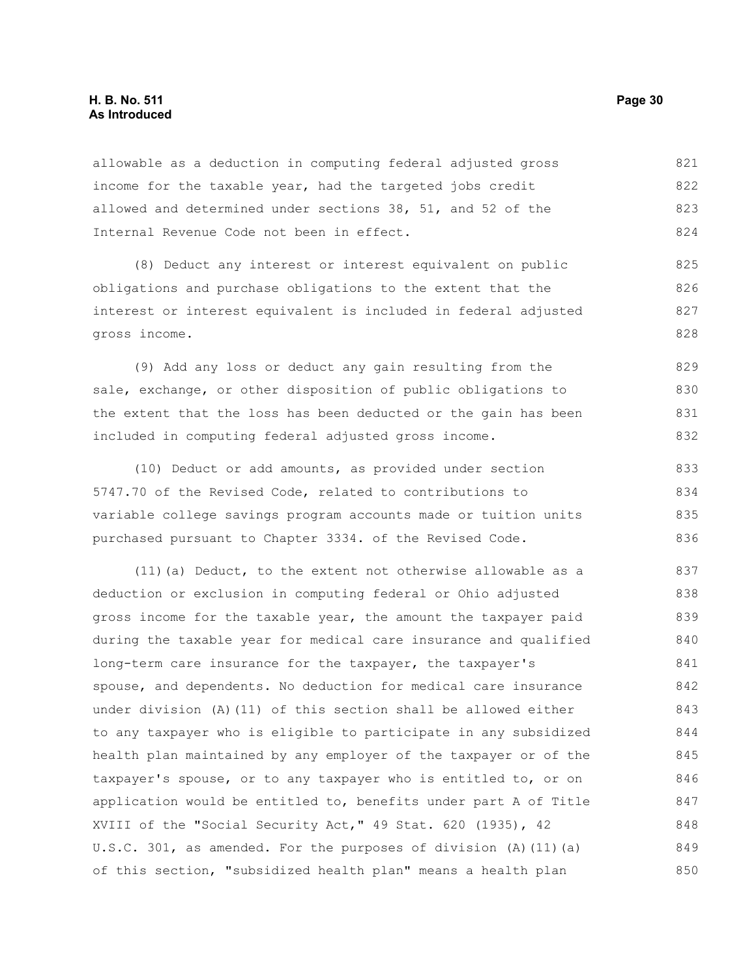#### **H. B. No. 511 Page 30 As Introduced**

allowable as a deduction in computing federal adjusted gross income for the taxable year, had the targeted jobs credit allowed and determined under sections 38, 51, and 52 of the Internal Revenue Code not been in effect. 821 822 823 824

(8) Deduct any interest or interest equivalent on public obligations and purchase obligations to the extent that the interest or interest equivalent is included in federal adjusted gross income. 825 826 827 828

(9) Add any loss or deduct any gain resulting from the sale, exchange, or other disposition of public obligations to the extent that the loss has been deducted or the gain has been included in computing federal adjusted gross income. 829 830 831 832

(10) Deduct or add amounts, as provided under section 5747.70 of the Revised Code, related to contributions to variable college savings program accounts made or tuition units purchased pursuant to Chapter 3334. of the Revised Code. 833 834 835 836

(11)(a) Deduct, to the extent not otherwise allowable as a deduction or exclusion in computing federal or Ohio adjusted gross income for the taxable year, the amount the taxpayer paid during the taxable year for medical care insurance and qualified long-term care insurance for the taxpayer, the taxpayer's spouse, and dependents. No deduction for medical care insurance under division (A)(11) of this section shall be allowed either to any taxpayer who is eligible to participate in any subsidized health plan maintained by any employer of the taxpayer or of the taxpayer's spouse, or to any taxpayer who is entitled to, or on application would be entitled to, benefits under part A of Title XVIII of the "Social Security Act," 49 Stat. 620 (1935), 42 U.S.C. 301, as amended. For the purposes of division (A)(11)(a) of this section, "subsidized health plan" means a health plan 837 838 839 840 841 842 843 844 845 846 847 848 849 850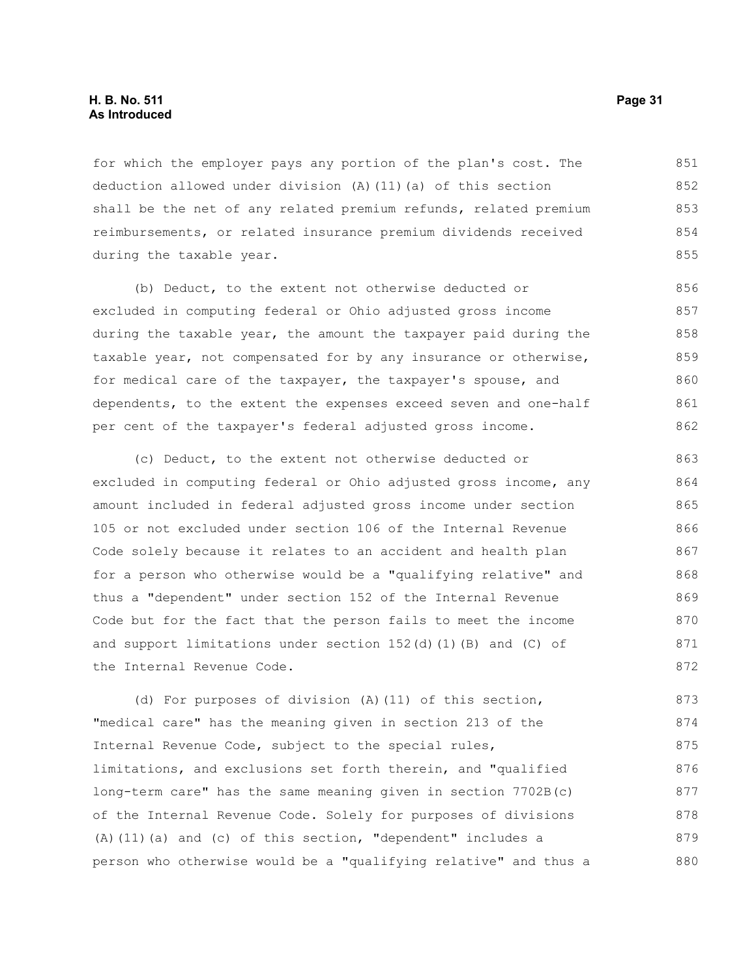#### **H. B. No. 511 Page 31 As Introduced**

for which the employer pays any portion of the plan's cost. The deduction allowed under division (A)(11)(a) of this section shall be the net of any related premium refunds, related premium reimbursements, or related insurance premium dividends received during the taxable year. 851 852 853 854 855

(b) Deduct, to the extent not otherwise deducted or excluded in computing federal or Ohio adjusted gross income during the taxable year, the amount the taxpayer paid during the taxable year, not compensated for by any insurance or otherwise, for medical care of the taxpayer, the taxpayer's spouse, and dependents, to the extent the expenses exceed seven and one-half per cent of the taxpayer's federal adjusted gross income. 856 857 858 859 860 861 862

(c) Deduct, to the extent not otherwise deducted or excluded in computing federal or Ohio adjusted gross income, any amount included in federal adjusted gross income under section 105 or not excluded under section 106 of the Internal Revenue Code solely because it relates to an accident and health plan for a person who otherwise would be a "qualifying relative" and thus a "dependent" under section 152 of the Internal Revenue Code but for the fact that the person fails to meet the income and support limitations under section 152(d)(1)(B) and (C) of the Internal Revenue Code. 863 864 865 866 867 868 869 870 871 872

(d) For purposes of division (A)(11) of this section, "medical care" has the meaning given in section 213 of the Internal Revenue Code, subject to the special rules, limitations, and exclusions set forth therein, and "qualified long-term care" has the same meaning given in section 7702B(c) of the Internal Revenue Code. Solely for purposes of divisions (A)(11)(a) and (c) of this section, "dependent" includes a person who otherwise would be a "qualifying relative" and thus a 873 874 875 876 877 878 879 880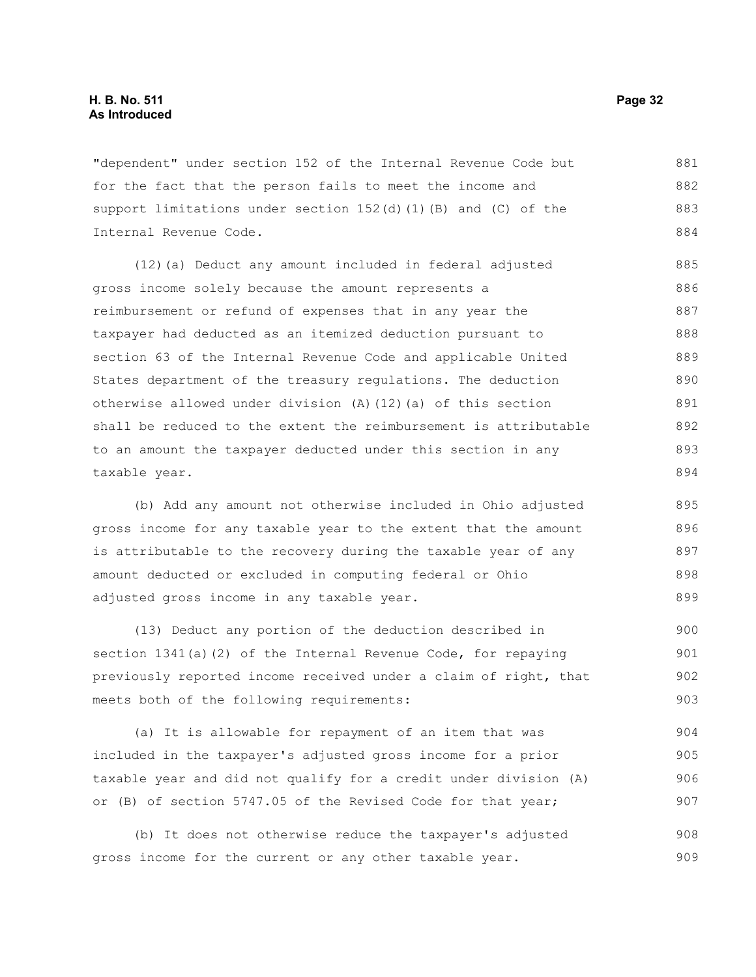"dependent" under section 152 of the Internal Revenue Code but for the fact that the person fails to meet the income and support limitations under section 152(d)(1)(B) and (C) of the Internal Revenue Code. 881 882 883 884

(12)(a) Deduct any amount included in federal adjusted gross income solely because the amount represents a reimbursement or refund of expenses that in any year the taxpayer had deducted as an itemized deduction pursuant to section 63 of the Internal Revenue Code and applicable United States department of the treasury regulations. The deduction otherwise allowed under division (A)(12)(a) of this section shall be reduced to the extent the reimbursement is attributable to an amount the taxpayer deducted under this section in any taxable year. 885 886 887 888 889 890 891 892 893 894

(b) Add any amount not otherwise included in Ohio adjusted gross income for any taxable year to the extent that the amount is attributable to the recovery during the taxable year of any amount deducted or excluded in computing federal or Ohio adjusted gross income in any taxable year. 895 896 897 898 899

(13) Deduct any portion of the deduction described in section 1341(a)(2) of the Internal Revenue Code, for repaying previously reported income received under a claim of right, that meets both of the following requirements: 900 901 902 903

(a) It is allowable for repayment of an item that was included in the taxpayer's adjusted gross income for a prior taxable year and did not qualify for a credit under division (A) or (B) of section 5747.05 of the Revised Code for that year; 904 905 906 907

(b) It does not otherwise reduce the taxpayer's adjusted gross income for the current or any other taxable year. 908 909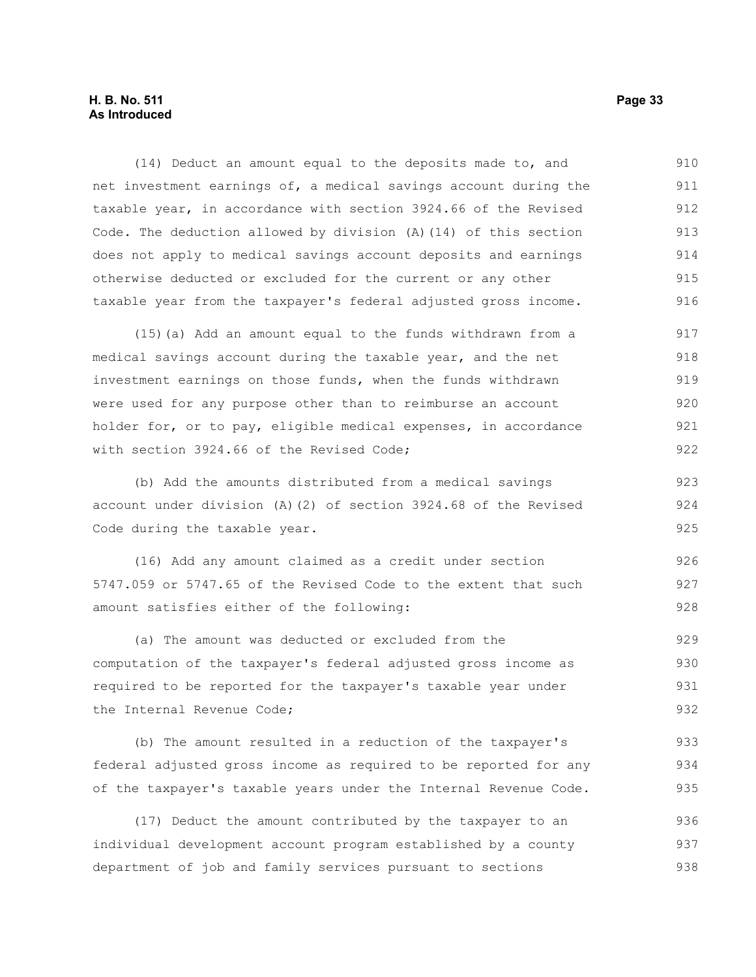#### **H. B. No. 511 Page 33 As Introduced**

(14) Deduct an amount equal to the deposits made to, and net investment earnings of, a medical savings account during the taxable year, in accordance with section 3924.66 of the Revised Code. The deduction allowed by division (A)(14) of this section does not apply to medical savings account deposits and earnings otherwise deducted or excluded for the current or any other taxable year from the taxpayer's federal adjusted gross income. 910 911 912 913 914 915 916

(15)(a) Add an amount equal to the funds withdrawn from a medical savings account during the taxable year, and the net investment earnings on those funds, when the funds withdrawn were used for any purpose other than to reimburse an account holder for, or to pay, eligible medical expenses, in accordance with section 3924.66 of the Revised Code; 917 918 919 920 921 922

(b) Add the amounts distributed from a medical savings account under division (A)(2) of section 3924.68 of the Revised Code during the taxable year.

(16) Add any amount claimed as a credit under section 5747.059 or 5747.65 of the Revised Code to the extent that such amount satisfies either of the following:

(a) The amount was deducted or excluded from the computation of the taxpayer's federal adjusted gross income as required to be reported for the taxpayer's taxable year under the Internal Revenue Code; 929 930 931 932

(b) The amount resulted in a reduction of the taxpayer's federal adjusted gross income as required to be reported for any of the taxpayer's taxable years under the Internal Revenue Code. 933 934 935

(17) Deduct the amount contributed by the taxpayer to an individual development account program established by a county department of job and family services pursuant to sections 936 937 938

923 924 925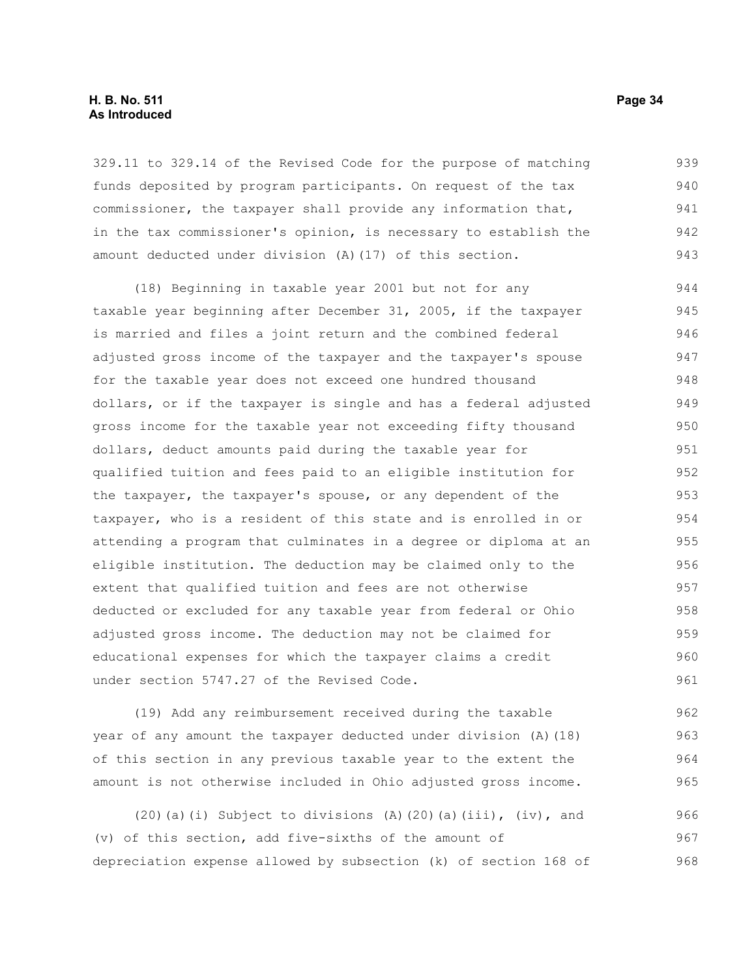#### **H. B. No. 511 Page 34 As Introduced**

329.11 to 329.14 of the Revised Code for the purpose of matching funds deposited by program participants. On request of the tax commissioner, the taxpayer shall provide any information that, in the tax commissioner's opinion, is necessary to establish the amount deducted under division (A)(17) of this section. 939 940 941 942 943

(18) Beginning in taxable year 2001 but not for any taxable year beginning after December 31, 2005, if the taxpayer is married and files a joint return and the combined federal adjusted gross income of the taxpayer and the taxpayer's spouse for the taxable year does not exceed one hundred thousand dollars, or if the taxpayer is single and has a federal adjusted gross income for the taxable year not exceeding fifty thousand dollars, deduct amounts paid during the taxable year for qualified tuition and fees paid to an eligible institution for the taxpayer, the taxpayer's spouse, or any dependent of the taxpayer, who is a resident of this state and is enrolled in or attending a program that culminates in a degree or diploma at an eligible institution. The deduction may be claimed only to the extent that qualified tuition and fees are not otherwise deducted or excluded for any taxable year from federal or Ohio adjusted gross income. The deduction may not be claimed for educational expenses for which the taxpayer claims a credit under section 5747.27 of the Revised Code. 944 945 946 947 948 949 950 951 952 953 954 955 956 957 958 959 960 961

(19) Add any reimbursement received during the taxable year of any amount the taxpayer deducted under division (A)(18) of this section in any previous taxable year to the extent the amount is not otherwise included in Ohio adjusted gross income. 962 963 964 965

(20)(a)(i) Subject to divisions (A)(20)(a)(iii), (iv), and (v) of this section, add five-sixths of the amount of depreciation expense allowed by subsection (k) of section 168 of 966 967 968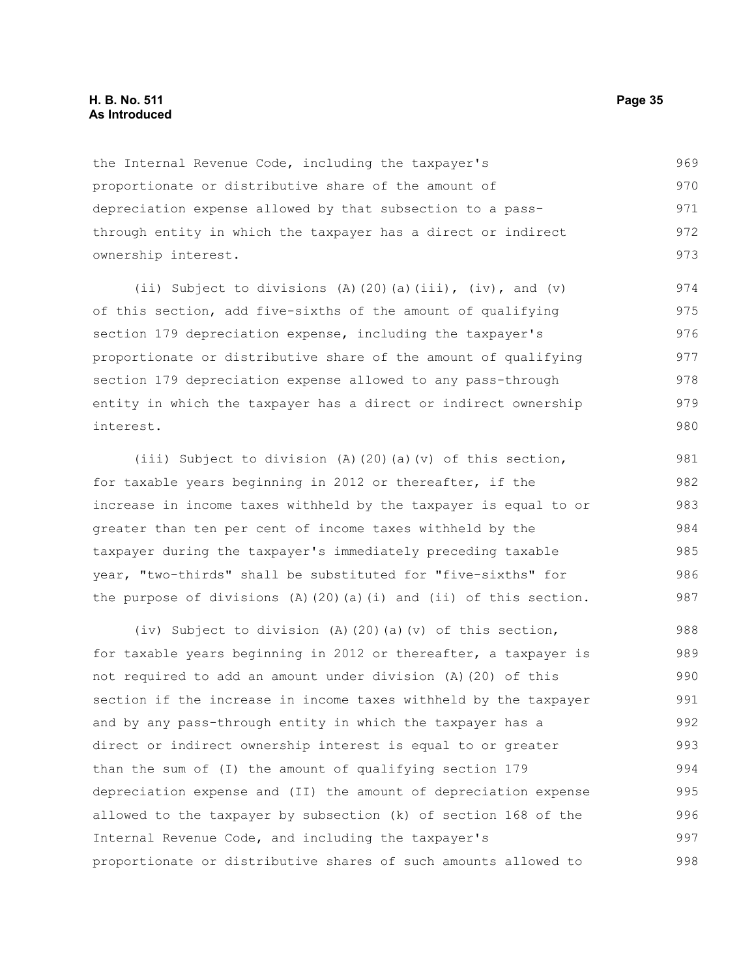the Internal Revenue Code, including the taxpayer's proportionate or distributive share of the amount of depreciation expense allowed by that subsection to a passthrough entity in which the taxpayer has a direct or indirect ownership interest. 969 970 971 972 973

(ii) Subject to divisions (A)(20)(a)(iii), (iv), and (v) of this section, add five-sixths of the amount of qualifying section 179 depreciation expense, including the taxpayer's proportionate or distributive share of the amount of qualifying section 179 depreciation expense allowed to any pass-through entity in which the taxpayer has a direct or indirect ownership interest. 974 975 976 977 978 979 980

(iii) Subject to division (A)(20)(a)(v) of this section, for taxable years beginning in 2012 or thereafter, if the increase in income taxes withheld by the taxpayer is equal to or greater than ten per cent of income taxes withheld by the taxpayer during the taxpayer's immediately preceding taxable year, "two-thirds" shall be substituted for "five-sixths" for the purpose of divisions  $(A)$  (20)(a)(i) and (ii) of this section. 981 982 983 984 985 986 987

(iv) Subject to division (A)(20)(a)(v) of this section, for taxable years beginning in 2012 or thereafter, a taxpayer is not required to add an amount under division (A)(20) of this section if the increase in income taxes withheld by the taxpayer and by any pass-through entity in which the taxpayer has a direct or indirect ownership interest is equal to or greater than the sum of (I) the amount of qualifying section 179 depreciation expense and (II) the amount of depreciation expense allowed to the taxpayer by subsection (k) of section 168 of the Internal Revenue Code, and including the taxpayer's proportionate or distributive shares of such amounts allowed to 988 989 990 991 992 993 994 995 996 997 998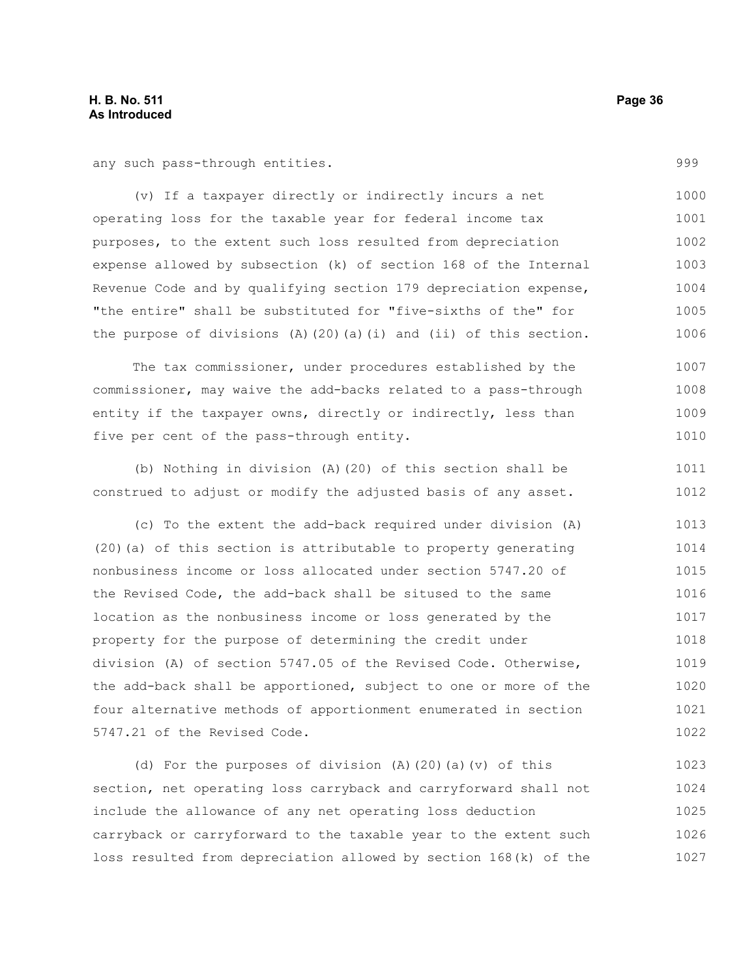any such pass-through entities.

(v) If a taxpayer directly or indirectly incurs a net operating loss for the taxable year for federal income tax purposes, to the extent such loss resulted from depreciation expense allowed by subsection (k) of section 168 of the Internal Revenue Code and by qualifying section 179 depreciation expense, "the entire" shall be substituted for "five-sixths of the" for the purpose of divisions (A)(20)(a)(i) and (ii) of this section. 1000 1001 1002 1003 1004 1005 1006

The tax commissioner, under procedures established by the commissioner, may waive the add-backs related to a pass-through entity if the taxpayer owns, directly or indirectly, less than five per cent of the pass-through entity. 1007 1008 1009 1010

(b) Nothing in division (A)(20) of this section shall be construed to adjust or modify the adjusted basis of any asset. 1011 1012

(c) To the extent the add-back required under division (A) (20)(a) of this section is attributable to property generating nonbusiness income or loss allocated under section 5747.20 of the Revised Code, the add-back shall be sitused to the same location as the nonbusiness income or loss generated by the property for the purpose of determining the credit under division (A) of section 5747.05 of the Revised Code. Otherwise, the add-back shall be apportioned, subject to one or more of the four alternative methods of apportionment enumerated in section 5747.21 of the Revised Code. 1013 1014 1015 1016 1017 1018 1019 1020 1021 1022

(d) For the purposes of division (A)(20)(a)(v) of this section, net operating loss carryback and carryforward shall not include the allowance of any net operating loss deduction carryback or carryforward to the taxable year to the extent such loss resulted from depreciation allowed by section 168(k) of the 1023 1024 1025 1026 1027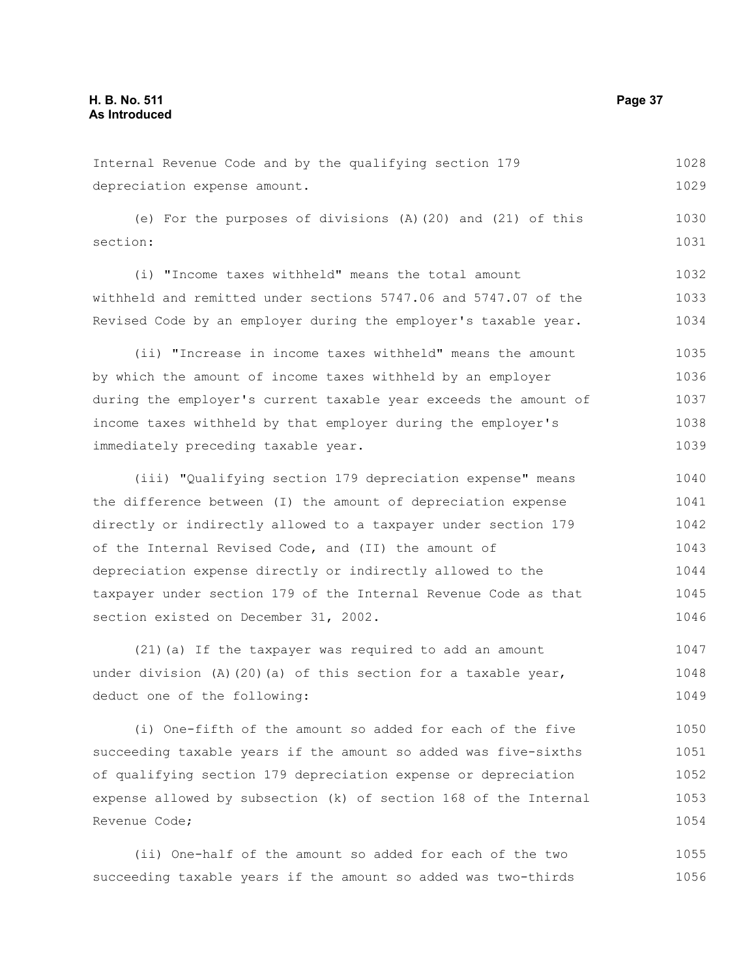| Internal Revenue Code and by the qualifying section 179          | 1028 |
|------------------------------------------------------------------|------|
| depreciation expense amount.                                     | 1029 |
|                                                                  |      |
| (e) For the purposes of divisions $(A)$ (20) and (21) of this    | 1030 |
| section:                                                         | 1031 |
|                                                                  |      |
| (i) "Income taxes withheld" means the total amount               | 1032 |
| withheld and remitted under sections 5747.06 and 5747.07 of the  | 1033 |
| Revised Code by an employer during the employer's taxable year.  | 1034 |
|                                                                  |      |
| (ii) "Increase in income taxes withheld" means the amount        | 1035 |
| by which the amount of income taxes withheld by an employer      | 1036 |
| during the employer's current taxable year exceeds the amount of | 1037 |
| income taxes withheld by that employer during the employer's     | 1038 |
| immediately preceding taxable year.                              | 1039 |
|                                                                  |      |
| (iii) "Qualifying section 179 depreciation expense" means        | 1040 |

the difference between (I) the amount of depreciation expense directly or indirectly allowed to a taxpayer under section 179 of the Internal Revised Code, and (II) the amount of depreciation expense directly or indirectly allowed to the taxpayer under section 179 of the Internal Revenue Code as that section existed on December 31, 2002. 1041 1042 1043 1044 1045 1046

(21)(a) If the taxpayer was required to add an amount under division (A)(20)(a) of this section for a taxable year, deduct one of the following: 1047 1048 1049

(i) One-fifth of the amount so added for each of the five succeeding taxable years if the amount so added was five-sixths of qualifying section 179 depreciation expense or depreciation expense allowed by subsection (k) of section 168 of the Internal Revenue Code; 1050 1051 1052 1053 1054

(ii) One-half of the amount so added for each of the two succeeding taxable years if the amount so added was two-thirds 1055 1056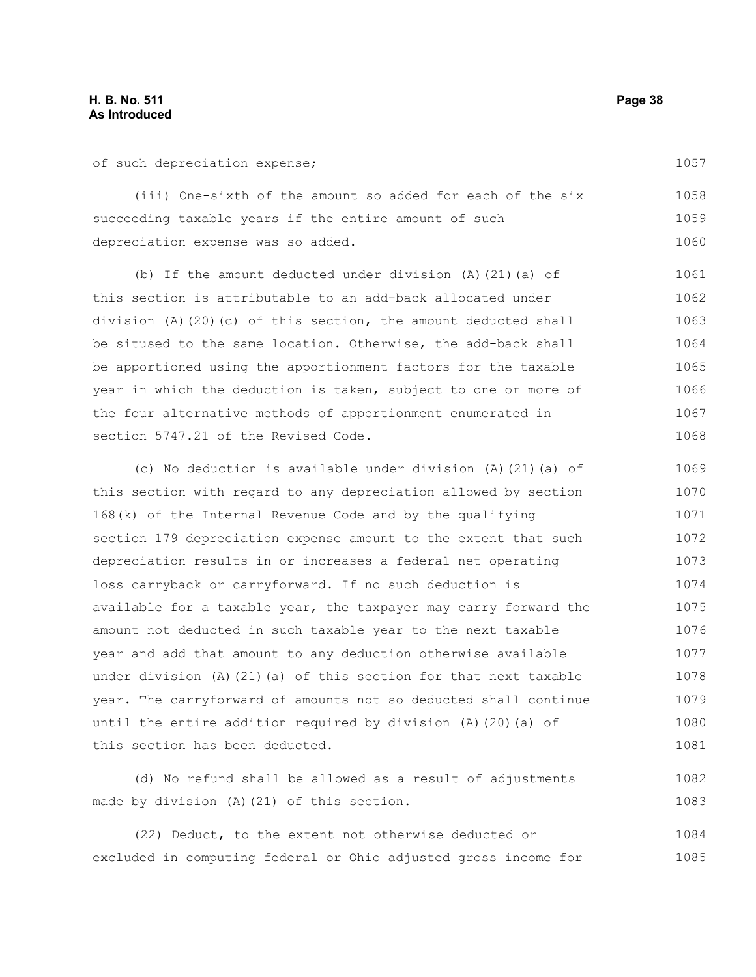of such depreciation expense;

(iii) One-sixth of the amount so added for each of the six succeeding taxable years if the entire amount of such depreciation expense was so added. 1058 1059 1060

(b) If the amount deducted under division (A)(21)(a) of this section is attributable to an add-back allocated under division (A)(20)(c) of this section, the amount deducted shall be sitused to the same location. Otherwise, the add-back shall be apportioned using the apportionment factors for the taxable year in which the deduction is taken, subject to one or more of the four alternative methods of apportionment enumerated in section 5747.21 of the Revised Code. 1061 1062 1063 1064 1065 1066 1067 1068

(c) No deduction is available under division (A)(21)(a) of this section with regard to any depreciation allowed by section 168(k) of the Internal Revenue Code and by the qualifying section 179 depreciation expense amount to the extent that such depreciation results in or increases a federal net operating loss carryback or carryforward. If no such deduction is available for a taxable year, the taxpayer may carry forward the amount not deducted in such taxable year to the next taxable year and add that amount to any deduction otherwise available under division (A)(21)(a) of this section for that next taxable year. The carryforward of amounts not so deducted shall continue until the entire addition required by division (A)(20)(a) of this section has been deducted. 1069 1070 1071 1072 1073 1074 1075 1076 1077 1078 1079 1080 1081

(d) No refund shall be allowed as a result of adjustments made by division (A)(21) of this section. 1082 1083

(22) Deduct, to the extent not otherwise deducted or excluded in computing federal or Ohio adjusted gross income for 1084 1085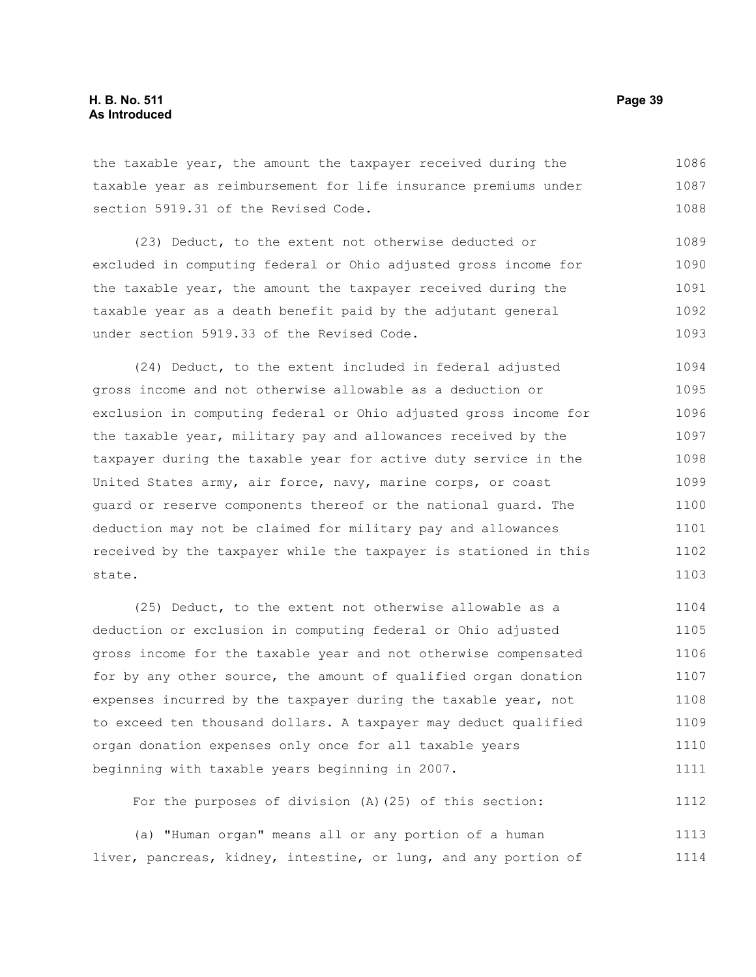the taxable year, the amount the taxpayer received during the taxable year as reimbursement for life insurance premiums under section 5919.31 of the Revised Code. 1086 1087 1088

(23) Deduct, to the extent not otherwise deducted or excluded in computing federal or Ohio adjusted gross income for the taxable year, the amount the taxpayer received during the taxable year as a death benefit paid by the adjutant general under section 5919.33 of the Revised Code. 1089 1090 1091 1092 1093

(24) Deduct, to the extent included in federal adjusted gross income and not otherwise allowable as a deduction or exclusion in computing federal or Ohio adjusted gross income for the taxable year, military pay and allowances received by the taxpayer during the taxable year for active duty service in the United States army, air force, navy, marine corps, or coast guard or reserve components thereof or the national guard. The deduction may not be claimed for military pay and allowances received by the taxpayer while the taxpayer is stationed in this state. 1094 1095 1096 1097 1098 1099 1100 1101 1102 1103

(25) Deduct, to the extent not otherwise allowable as a deduction or exclusion in computing federal or Ohio adjusted gross income for the taxable year and not otherwise compensated for by any other source, the amount of qualified organ donation expenses incurred by the taxpayer during the taxable year, not to exceed ten thousand dollars. A taxpayer may deduct qualified organ donation expenses only once for all taxable years beginning with taxable years beginning in 2007. 1104 1105 1106 1107 1108 1109 1110 1111

For the purposes of division (A)(25) of this section: 1112

(a) "Human organ" means all or any portion of a human liver, pancreas, kidney, intestine, or lung, and any portion of 1113 1114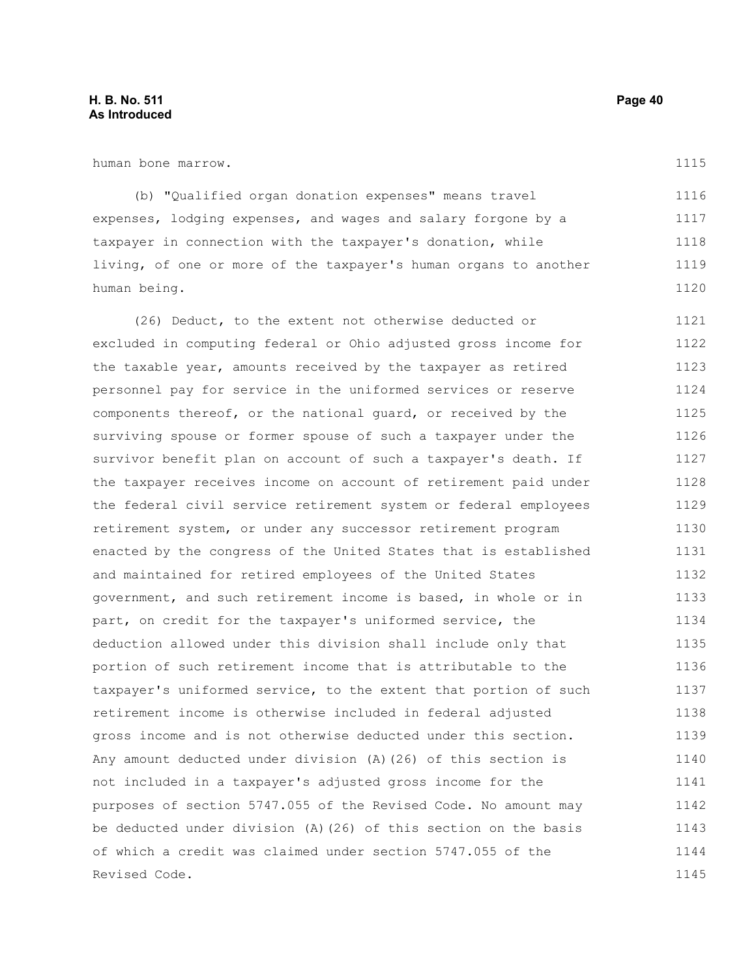human bone marrow.

(b) "Qualified organ donation expenses" means travel expenses, lodging expenses, and wages and salary forgone by a taxpayer in connection with the taxpayer's donation, while living, of one or more of the taxpayer's human organs to another human being. 1116 1117 1118 1119 1120

(26) Deduct, to the extent not otherwise deducted or excluded in computing federal or Ohio adjusted gross income for the taxable year, amounts received by the taxpayer as retired personnel pay for service in the uniformed services or reserve components thereof, or the national guard, or received by the surviving spouse or former spouse of such a taxpayer under the survivor benefit plan on account of such a taxpayer's death. If the taxpayer receives income on account of retirement paid under the federal civil service retirement system or federal employees retirement system, or under any successor retirement program enacted by the congress of the United States that is established and maintained for retired employees of the United States government, and such retirement income is based, in whole or in part, on credit for the taxpayer's uniformed service, the deduction allowed under this division shall include only that portion of such retirement income that is attributable to the taxpayer's uniformed service, to the extent that portion of such retirement income is otherwise included in federal adjusted gross income and is not otherwise deducted under this section. Any amount deducted under division (A)(26) of this section is not included in a taxpayer's adjusted gross income for the purposes of section 5747.055 of the Revised Code. No amount may be deducted under division (A)(26) of this section on the basis of which a credit was claimed under section 5747.055 of the Revised Code. 1121 1122 1123 1124 1125 1126 1127 1128 1129 1130 1131 1132 1133 1134 1135 1136 1137 1138 1139 1140 1141 1142 1143 1144 1145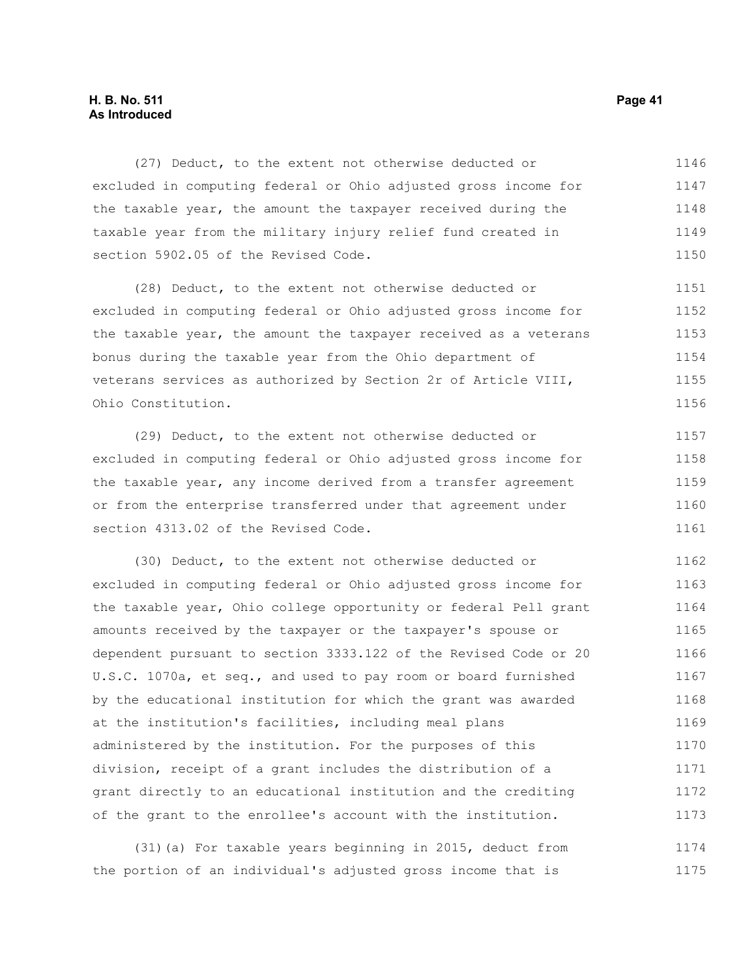#### **H. B. No. 511 Page 41 As Introduced**

(27) Deduct, to the extent not otherwise deducted or excluded in computing federal or Ohio adjusted gross income for the taxable year, the amount the taxpayer received during the taxable year from the military injury relief fund created in section 5902.05 of the Revised Code. 1146 1147 1148 1149 1150

(28) Deduct, to the extent not otherwise deducted or excluded in computing federal or Ohio adjusted gross income for the taxable year, the amount the taxpayer received as a veterans bonus during the taxable year from the Ohio department of veterans services as authorized by Section 2r of Article VIII, Ohio Constitution. 1151 1152 1153 1154 1155 1156

(29) Deduct, to the extent not otherwise deducted or excluded in computing federal or Ohio adjusted gross income for the taxable year, any income derived from a transfer agreement or from the enterprise transferred under that agreement under section 4313.02 of the Revised Code. 1157 1158 1159 1160 1161

(30) Deduct, to the extent not otherwise deducted or excluded in computing federal or Ohio adjusted gross income for the taxable year, Ohio college opportunity or federal Pell grant amounts received by the taxpayer or the taxpayer's spouse or dependent pursuant to section 3333.122 of the Revised Code or 20 U.S.C. 1070a, et seq., and used to pay room or board furnished by the educational institution for which the grant was awarded at the institution's facilities, including meal plans administered by the institution. For the purposes of this division, receipt of a grant includes the distribution of a grant directly to an educational institution and the crediting of the grant to the enrollee's account with the institution. 1162 1163 1164 1165 1166 1167 1168 1169 1170 1171 1172 1173

(31)(a) For taxable years beginning in 2015, deduct from the portion of an individual's adjusted gross income that is 1174 1175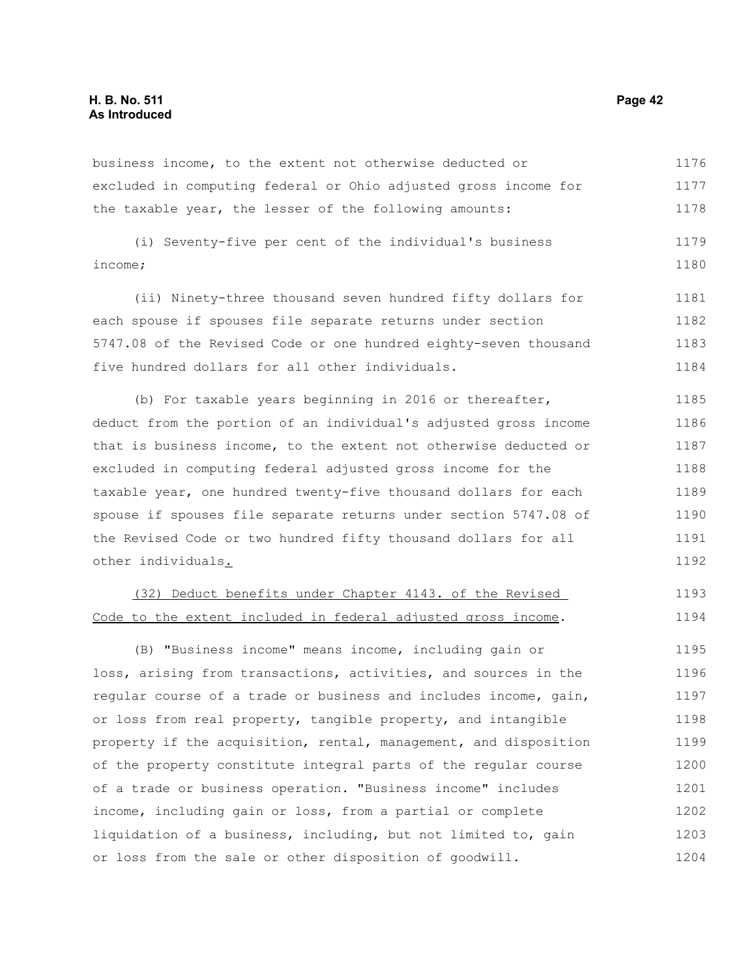business income, to the extent not otherwise deducted or excluded in computing federal or Ohio adjusted gross income for the taxable year, the lesser of the following amounts: 1176 1177 1178

(i) Seventy-five per cent of the individual's business income; 1179 1180

(ii) Ninety-three thousand seven hundred fifty dollars for each spouse if spouses file separate returns under section 5747.08 of the Revised Code or one hundred eighty-seven thousand five hundred dollars for all other individuals. 1181 1182 1183 1184

(b) For taxable years beginning in 2016 or thereafter, deduct from the portion of an individual's adjusted gross income that is business income, to the extent not otherwise deducted or excluded in computing federal adjusted gross income for the taxable year, one hundred twenty-five thousand dollars for each spouse if spouses file separate returns under section 5747.08 of the Revised Code or two hundred fifty thousand dollars for all other individuals. 1185 1186 1187 1188 1189 1190 1191 1192

## (32) Deduct benefits under Chapter 4143. of the Revised Code to the extent included in federal adjusted gross income.

(B) "Business income" means income, including gain or loss, arising from transactions, activities, and sources in the regular course of a trade or business and includes income, gain, or loss from real property, tangible property, and intangible property if the acquisition, rental, management, and disposition of the property constitute integral parts of the regular course of a trade or business operation. "Business income" includes income, including gain or loss, from a partial or complete liquidation of a business, including, but not limited to, gain or loss from the sale or other disposition of goodwill. 1195 1196 1197 1198 1199 1200 1201 1202 1203 1204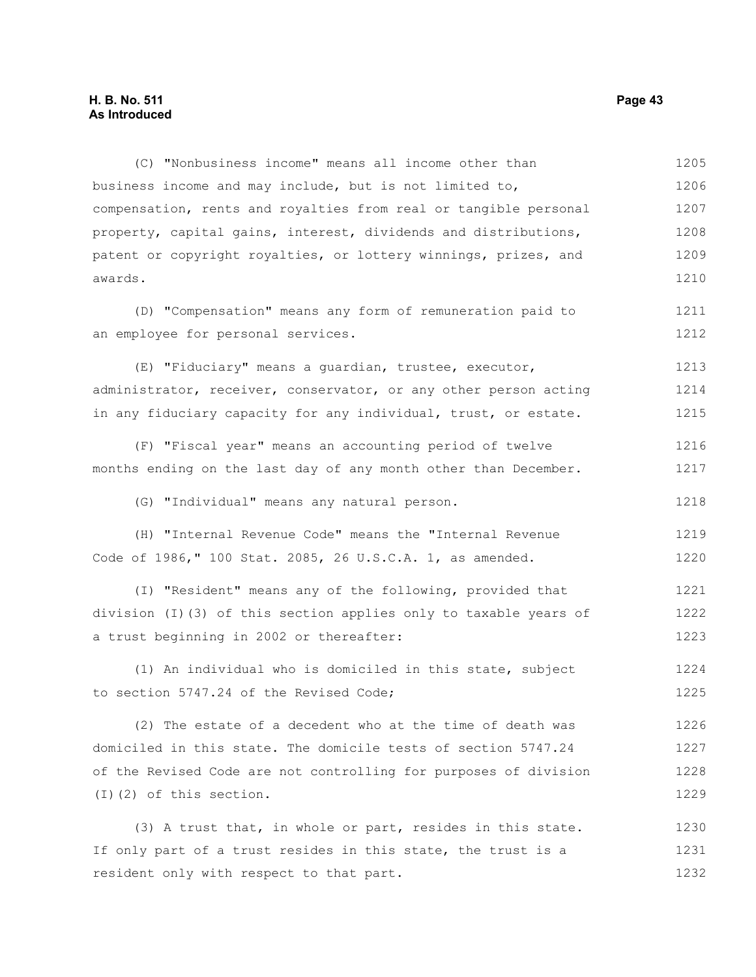#### **H. B. No. 511 Page 43 As Introduced**

(C) "Nonbusiness income" means all income other than business income and may include, but is not limited to, compensation, rents and royalties from real or tangible personal property, capital gains, interest, dividends and distributions, patent or copyright royalties, or lottery winnings, prizes, and awards. 1205 1206 1207 1208 1209 1210

(D) "Compensation" means any form of remuneration paid to an employee for personal services.

(E) "Fiduciary" means a guardian, trustee, executor, administrator, receiver, conservator, or any other person acting in any fiduciary capacity for any individual, trust, or estate. 1213 1214 1215

(F) "Fiscal year" means an accounting period of twelve months ending on the last day of any month other than December. 1216 1217

(G) "Individual" means any natural person.

(H) "Internal Revenue Code" means the "Internal Revenue Code of 1986," 100 Stat. 2085, 26 U.S.C.A. 1, as amended. 1219 1220

(I) "Resident" means any of the following, provided that division (I)(3) of this section applies only to taxable years of a trust beginning in 2002 or thereafter: 1221 1222 1223

(1) An individual who is domiciled in this state, subject to section 5747.24 of the Revised Code; 1224 1225

(2) The estate of a decedent who at the time of death was domiciled in this state. The domicile tests of section 5747.24 of the Revised Code are not controlling for purposes of division (I)(2) of this section. 1226 1227 1228 1229

(3) A trust that, in whole or part, resides in this state. If only part of a trust resides in this state, the trust is a resident only with respect to that part. 1230 1231 1232

1211 1212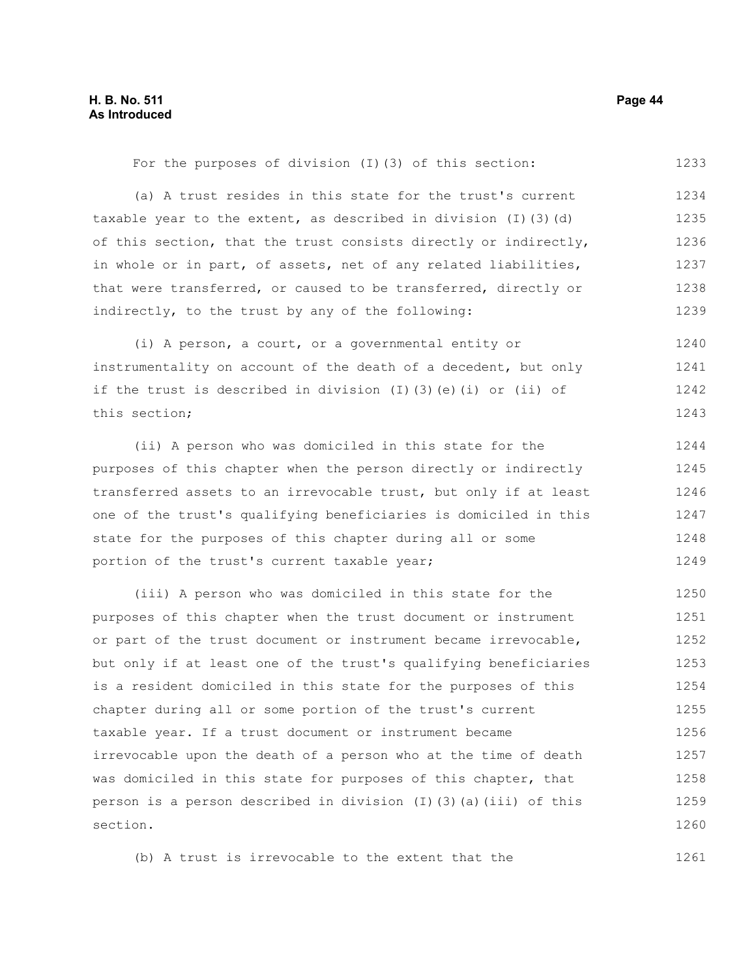1233

For the purposes of division (I)(3) of this section:

(a) A trust resides in this state for the trust's current taxable year to the extent, as described in division (I)(3)(d) of this section, that the trust consists directly or indirectly, in whole or in part, of assets, net of any related liabilities, that were transferred, or caused to be transferred, directly or indirectly, to the trust by any of the following: 1234 1235 1236 1237 1238 1239

(i) A person, a court, or a governmental entity or instrumentality on account of the death of a decedent, but only if the trust is described in division  $(I)$   $(3)$   $(e)$   $(i)$  or  $(ii)$  of this section; 1240 1241 1242 1243

(ii) A person who was domiciled in this state for the purposes of this chapter when the person directly or indirectly transferred assets to an irrevocable trust, but only if at least one of the trust's qualifying beneficiaries is domiciled in this state for the purposes of this chapter during all or some portion of the trust's current taxable year; 1244 1245 1246 1247 1248 1249

(iii) A person who was domiciled in this state for the purposes of this chapter when the trust document or instrument or part of the trust document or instrument became irrevocable, but only if at least one of the trust's qualifying beneficiaries is a resident domiciled in this state for the purposes of this chapter during all or some portion of the trust's current taxable year. If a trust document or instrument became irrevocable upon the death of a person who at the time of death was domiciled in this state for purposes of this chapter, that person is a person described in division  $(I)$   $(3)$   $(a)$   $(iii)$  of this section. 1250 1251 1252 1253 1254 1255 1256 1257 1258 1259 1260

(b) A trust is irrevocable to the extent that the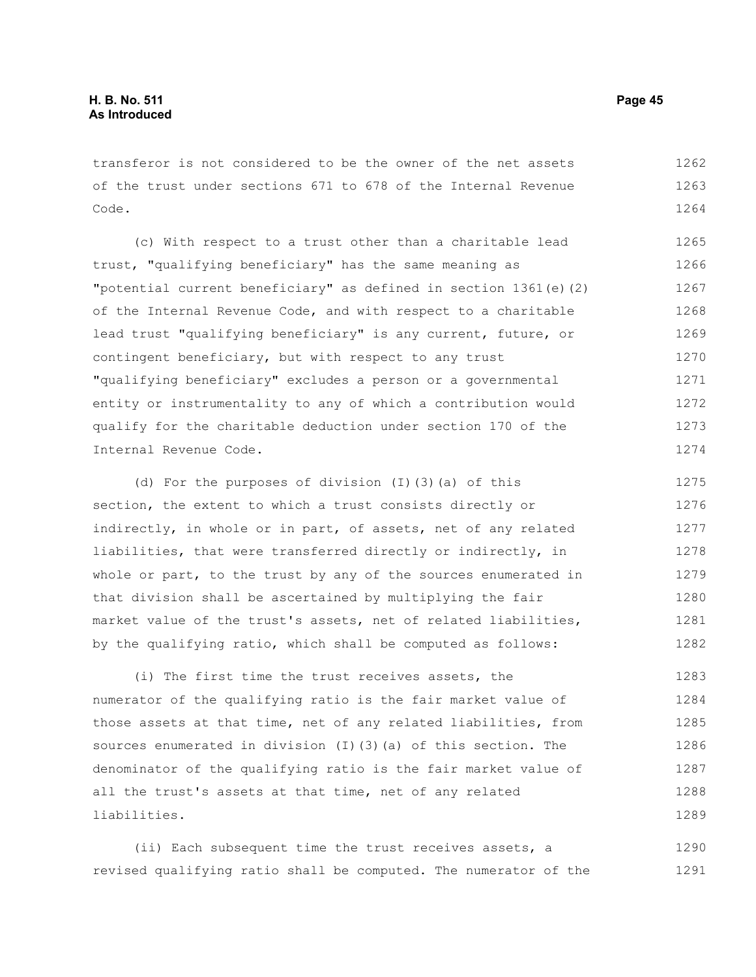transferor is not considered to be the owner of the net assets of the trust under sections 671 to 678 of the Internal Revenue Code. 1262 1263 1264

(c) With respect to a trust other than a charitable lead trust, "qualifying beneficiary" has the same meaning as "potential current beneficiary" as defined in section 1361(e)(2) of the Internal Revenue Code, and with respect to a charitable lead trust "qualifying beneficiary" is any current, future, or contingent beneficiary, but with respect to any trust "qualifying beneficiary" excludes a person or a governmental entity or instrumentality to any of which a contribution would qualify for the charitable deduction under section 170 of the Internal Revenue Code. 1265 1266 1267 1268 1269 1270 1271 1272 1273 1274

(d) For the purposes of division (I)(3)(a) of this section, the extent to which a trust consists directly or indirectly, in whole or in part, of assets, net of any related liabilities, that were transferred directly or indirectly, in whole or part, to the trust by any of the sources enumerated in that division shall be ascertained by multiplying the fair market value of the trust's assets, net of related liabilities, by the qualifying ratio, which shall be computed as follows: 1275 1276 1277 1278 1279 1280 1281 1282

(i) The first time the trust receives assets, the numerator of the qualifying ratio is the fair market value of those assets at that time, net of any related liabilities, from sources enumerated in division (I)(3)(a) of this section. The denominator of the qualifying ratio is the fair market value of all the trust's assets at that time, net of any related liabilities. 1283 1284 1285 1286 1287 1288 1289

(ii) Each subsequent time the trust receives assets, a revised qualifying ratio shall be computed. The numerator of the 1290 1291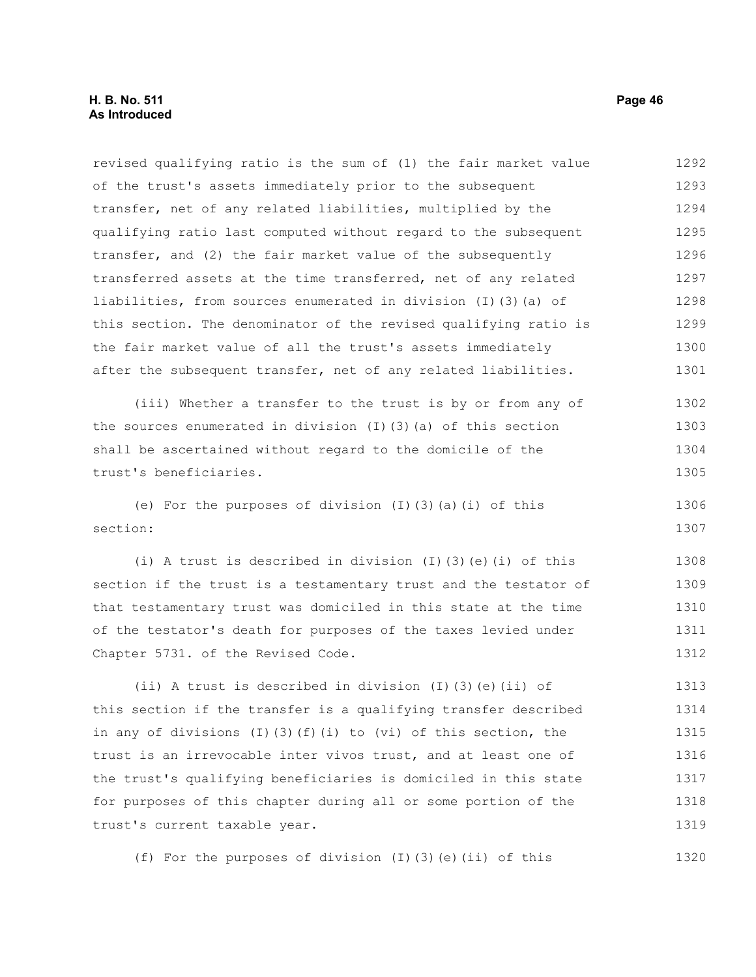revised qualifying ratio is the sum of (1) the fair market value of the trust's assets immediately prior to the subsequent transfer, net of any related liabilities, multiplied by the qualifying ratio last computed without regard to the subsequent transfer, and (2) the fair market value of the subsequently transferred assets at the time transferred, net of any related liabilities, from sources enumerated in division (I)(3)(a) of this section. The denominator of the revised qualifying ratio is the fair market value of all the trust's assets immediately after the subsequent transfer, net of any related liabilities. 1292 1293 1294 1295 1296 1297 1298 1299 1300 1301

(iii) Whether a transfer to the trust is by or from any of the sources enumerated in division (I)(3)(a) of this section shall be ascertained without regard to the domicile of the trust's beneficiaries. 1302 1303 1304 1305

(e) For the purposes of division  $(I)$   $(3)$   $(a)$   $(i)$  of this section: 1306 1307

(i) A trust is described in division (I)(3)(e)(i) of this section if the trust is a testamentary trust and the testator of that testamentary trust was domiciled in this state at the time of the testator's death for purposes of the taxes levied under Chapter 5731. of the Revised Code. 1308 1309 1310 1311 1312

(ii) A trust is described in division (I)(3)(e)(ii) of this section if the transfer is a qualifying transfer described in any of divisions  $(I)$  (3)(f)(i) to (vi) of this section, the trust is an irrevocable inter vivos trust, and at least one of the trust's qualifying beneficiaries is domiciled in this state for purposes of this chapter during all or some portion of the trust's current taxable year. 1313 1314 1315 1316 1317 1318 1319

(f) For the purposes of division (I)(3)(e)(ii) of this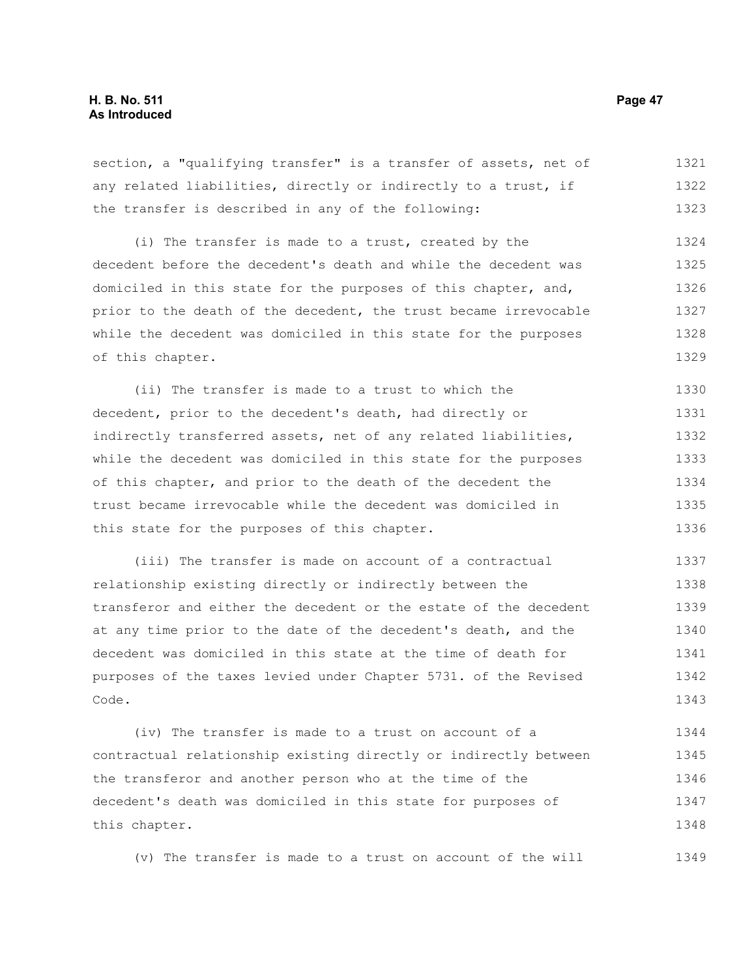section, a "qualifying transfer" is a transfer of assets, net of any related liabilities, directly or indirectly to a trust, if the transfer is described in any of the following: 1321 1322 1323

(i) The transfer is made to a trust, created by the decedent before the decedent's death and while the decedent was domiciled in this state for the purposes of this chapter, and, prior to the death of the decedent, the trust became irrevocable while the decedent was domiciled in this state for the purposes of this chapter. 1324 1325 1326 1327 1328 1329

(ii) The transfer is made to a trust to which the decedent, prior to the decedent's death, had directly or indirectly transferred assets, net of any related liabilities, while the decedent was domiciled in this state for the purposes of this chapter, and prior to the death of the decedent the trust became irrevocable while the decedent was domiciled in this state for the purposes of this chapter. 1330 1331 1332 1333 1334 1335 1336

(iii) The transfer is made on account of a contractual relationship existing directly or indirectly between the transferor and either the decedent or the estate of the decedent at any time prior to the date of the decedent's death, and the decedent was domiciled in this state at the time of death for purposes of the taxes levied under Chapter 5731. of the Revised Code. 1337 1338 1339 1340 1341 1342 1343

(iv) The transfer is made to a trust on account of a contractual relationship existing directly or indirectly between the transferor and another person who at the time of the decedent's death was domiciled in this state for purposes of this chapter. 1344 1345 1346 1347 1348

(v) The transfer is made to a trust on account of the will 1349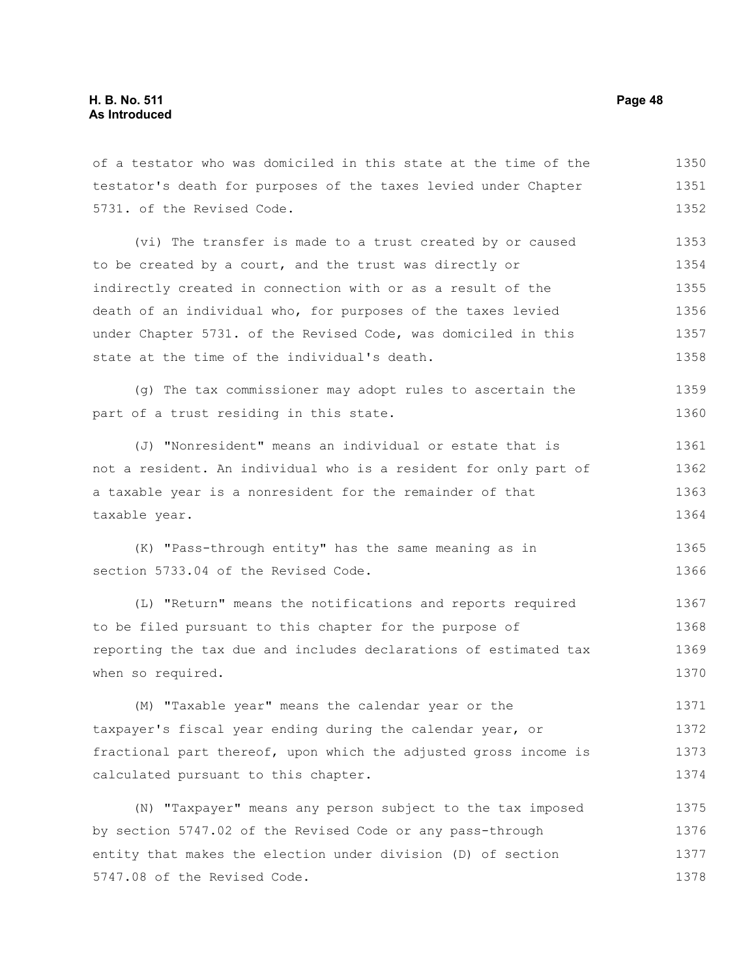5731. of the Revised Code.

of a testator who was domiciled in this state at the time of the testator's death for purposes of the taxes levied under Chapter

(vi) The transfer is made to a trust created by or caused to be created by a court, and the trust was directly or indirectly created in connection with or as a result of the death of an individual who, for purposes of the taxes levied under Chapter 5731. of the Revised Code, was domiciled in this state at the time of the individual's death. 1353 1354 1355 1356 1357 1358

(g) The tax commissioner may adopt rules to ascertain the part of a trust residing in this state. 1359 1360

(J) "Nonresident" means an individual or estate that is not a resident. An individual who is a resident for only part of a taxable year is a nonresident for the remainder of that taxable year. 1361 1362 1363 1364

(K) "Pass-through entity" has the same meaning as in section 5733.04 of the Revised Code. 1365 1366

(L) "Return" means the notifications and reports required to be filed pursuant to this chapter for the purpose of reporting the tax due and includes declarations of estimated tax when so required. 1367 1368 1369 1370

(M) "Taxable year" means the calendar year or the taxpayer's fiscal year ending during the calendar year, or fractional part thereof, upon which the adjusted gross income is calculated pursuant to this chapter. 1371 1372 1373 1374

(N) "Taxpayer" means any person subject to the tax imposed by section 5747.02 of the Revised Code or any pass-through entity that makes the election under division (D) of section 5747.08 of the Revised Code. 1375 1376 1377 1378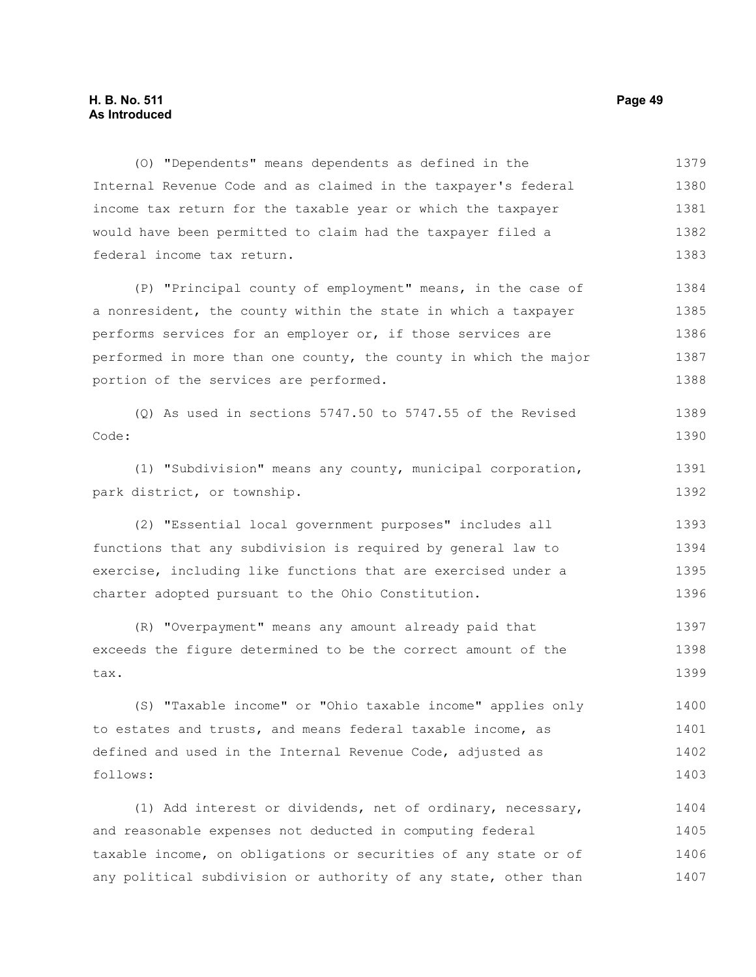#### **H. B. No. 511 Page 49 As Introduced**

(O) "Dependents" means dependents as defined in the Internal Revenue Code and as claimed in the taxpayer's federal income tax return for the taxable year or which the taxpayer would have been permitted to claim had the taxpayer filed a federal income tax return. 1379 1380 1381 1382 1383

(P) "Principal county of employment" means, in the case of a nonresident, the county within the state in which a taxpayer performs services for an employer or, if those services are performed in more than one county, the county in which the major portion of the services are performed. 1384 1385 1386 1387 1388

(Q) As used in sections 5747.50 to 5747.55 of the Revised Code: 1389 1390

(1) "Subdivision" means any county, municipal corporation, park district, or township.

(2) "Essential local government purposes" includes all functions that any subdivision is required by general law to exercise, including like functions that are exercised under a charter adopted pursuant to the Ohio Constitution. 1393 1394 1395 1396

(R) "Overpayment" means any amount already paid that exceeds the figure determined to be the correct amount of the tax. 1397 1398 1399

(S) "Taxable income" or "Ohio taxable income" applies only to estates and trusts, and means federal taxable income, as defined and used in the Internal Revenue Code, adjusted as follows: 1400 1401 1402 1403

(1) Add interest or dividends, net of ordinary, necessary, and reasonable expenses not deducted in computing federal taxable income, on obligations or securities of any state or of any political subdivision or authority of any state, other than 1404 1405 1406 1407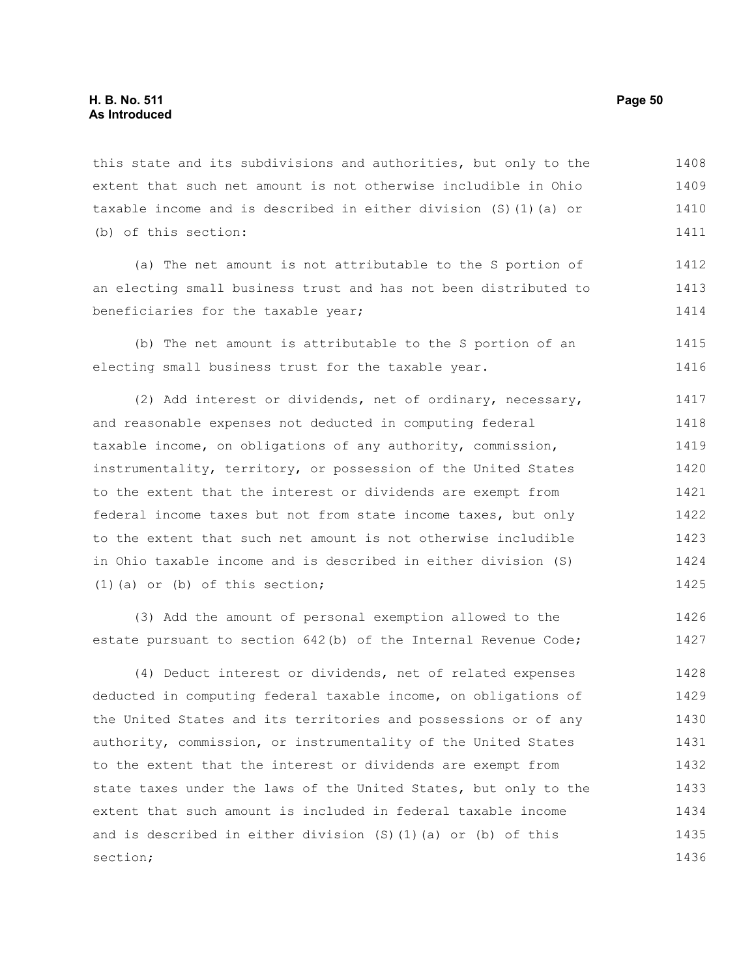this state and its subdivisions and authorities, but only to the extent that such net amount is not otherwise includible in Ohio taxable income and is described in either division (S)(1)(a) or (b) of this section: 1408 1409 1410 1411

(a) The net amount is not attributable to the S portion of an electing small business trust and has not been distributed to beneficiaries for the taxable year; 1412 1413 1414

(b) The net amount is attributable to the S portion of an electing small business trust for the taxable year. 1415 1416

(2) Add interest or dividends, net of ordinary, necessary, and reasonable expenses not deducted in computing federal taxable income, on obligations of any authority, commission, instrumentality, territory, or possession of the United States to the extent that the interest or dividends are exempt from federal income taxes but not from state income taxes, but only to the extent that such net amount is not otherwise includible in Ohio taxable income and is described in either division (S) (1)(a) or (b) of this section; 1417 1418 1419 1420 1421 1422 1423 1424 1425

(3) Add the amount of personal exemption allowed to the estate pursuant to section 642(b) of the Internal Revenue Code; 1426 1427

(4) Deduct interest or dividends, net of related expenses deducted in computing federal taxable income, on obligations of the United States and its territories and possessions or of any authority, commission, or instrumentality of the United States to the extent that the interest or dividends are exempt from state taxes under the laws of the United States, but only to the extent that such amount is included in federal taxable income and is described in either division (S)(1)(a) or (b) of this section; 1428 1429 1430 1431 1432 1433 1434 1435 1436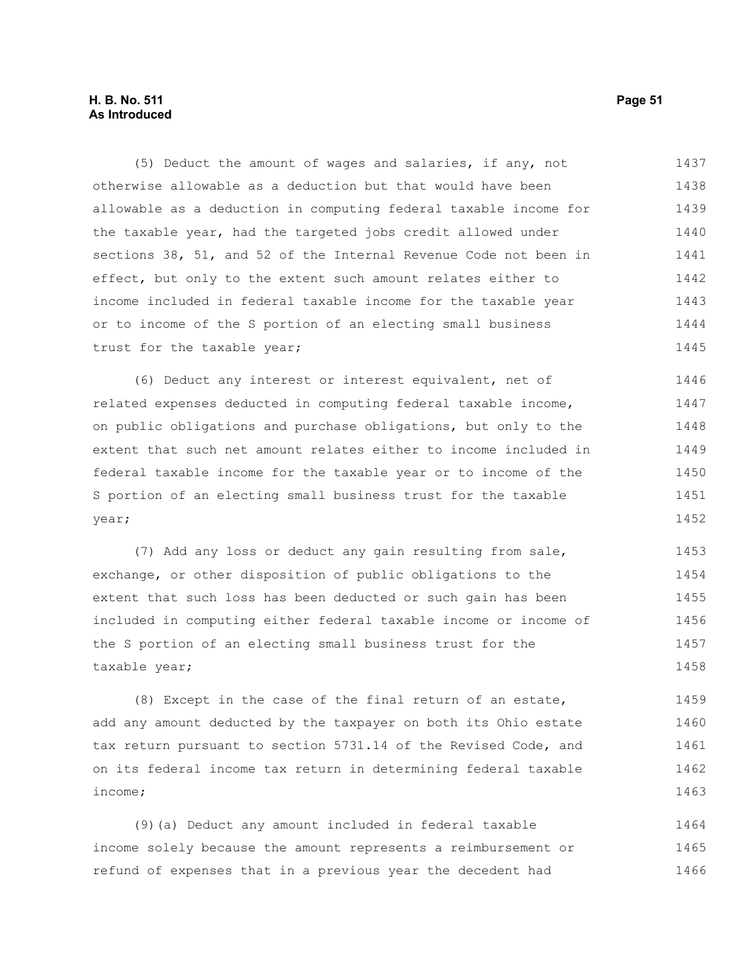#### **H. B. No. 511 Page 51 As Introduced**

(5) Deduct the amount of wages and salaries, if any, not otherwise allowable as a deduction but that would have been allowable as a deduction in computing federal taxable income for the taxable year, had the targeted jobs credit allowed under sections 38, 51, and 52 of the Internal Revenue Code not been in effect, but only to the extent such amount relates either to income included in federal taxable income for the taxable year or to income of the S portion of an electing small business trust for the taxable year; 1437 1438 1439 1440 1441 1442 1443 1444 1445

(6) Deduct any interest or interest equivalent, net of related expenses deducted in computing federal taxable income, on public obligations and purchase obligations, but only to the extent that such net amount relates either to income included in federal taxable income for the taxable year or to income of the S portion of an electing small business trust for the taxable year; 1446 1447 1448 1449 1450 1451 1452

(7) Add any loss or deduct any gain resulting from sale, exchange, or other disposition of public obligations to the extent that such loss has been deducted or such gain has been included in computing either federal taxable income or income of the S portion of an electing small business trust for the taxable year; 1453 1454 1455 1456 1457 1458

(8) Except in the case of the final return of an estate, add any amount deducted by the taxpayer on both its Ohio estate tax return pursuant to section 5731.14 of the Revised Code, and on its federal income tax return in determining federal taxable income; 1459 1460 1461 1462 1463

(9)(a) Deduct any amount included in federal taxable income solely because the amount represents a reimbursement or refund of expenses that in a previous year the decedent had 1464 1465 1466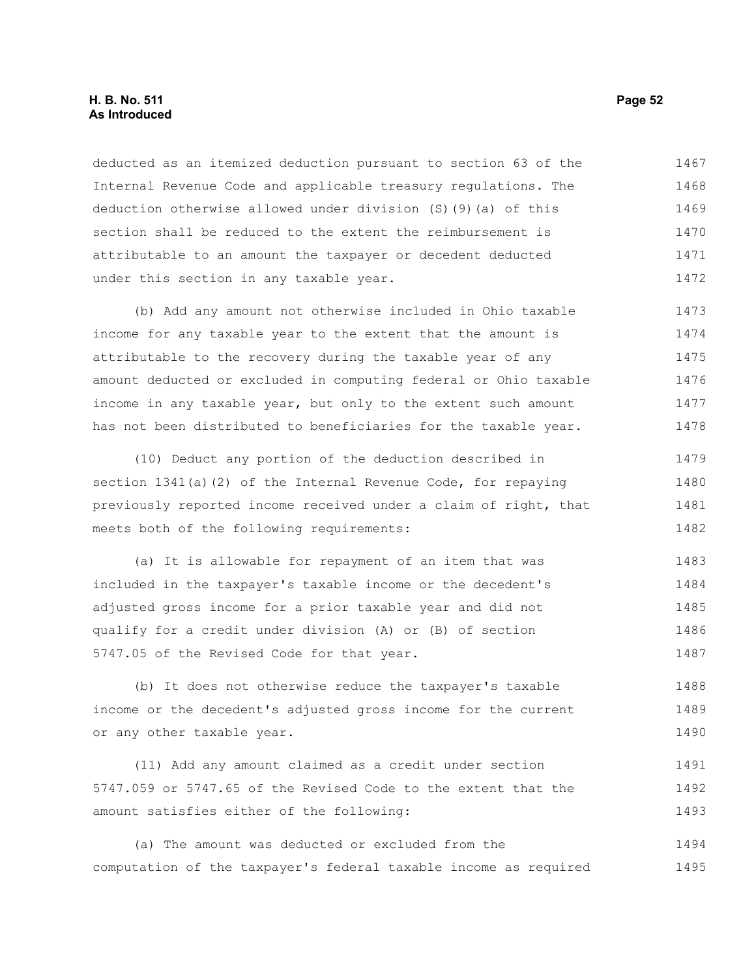#### **H. B. No. 511 Page 52 As Introduced**

deducted as an itemized deduction pursuant to section 63 of the Internal Revenue Code and applicable treasury regulations. The deduction otherwise allowed under division (S)(9)(a) of this section shall be reduced to the extent the reimbursement is attributable to an amount the taxpayer or decedent deducted under this section in any taxable year. 1467 1468 1469 1470 1471 1472

(b) Add any amount not otherwise included in Ohio taxable income for any taxable year to the extent that the amount is attributable to the recovery during the taxable year of any amount deducted or excluded in computing federal or Ohio taxable income in any taxable year, but only to the extent such amount has not been distributed to beneficiaries for the taxable year. 1473 1474 1475 1476 1477 1478

(10) Deduct any portion of the deduction described in section 1341(a)(2) of the Internal Revenue Code, for repaying previously reported income received under a claim of right, that meets both of the following requirements: 1479 1480 1481 1482

(a) It is allowable for repayment of an item that was included in the taxpayer's taxable income or the decedent's adjusted gross income for a prior taxable year and did not qualify for a credit under division (A) or (B) of section 5747.05 of the Revised Code for that year. 1483 1484 1485 1486 1487

(b) It does not otherwise reduce the taxpayer's taxable income or the decedent's adjusted gross income for the current or any other taxable year. 1488 1489 1490

(11) Add any amount claimed as a credit under section 5747.059 or 5747.65 of the Revised Code to the extent that the amount satisfies either of the following: 1491 1492 1493

(a) The amount was deducted or excluded from the computation of the taxpayer's federal taxable income as required 1494 1495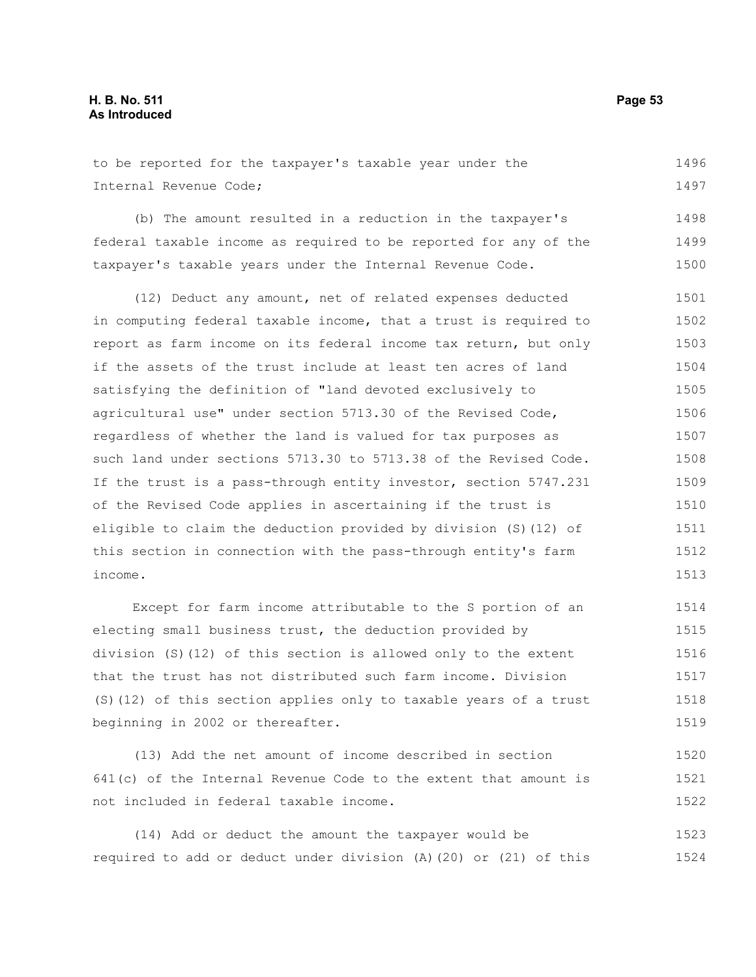to be reported for the taxpayer's taxable year under the Internal Revenue Code; (b) The amount resulted in a reduction in the taxpayer's federal taxable income as required to be reported for any of the taxpayer's taxable years under the Internal Revenue Code. (12) Deduct any amount, net of related expenses deducted in computing federal taxable income, that a trust is required to report as farm income on its federal income tax return, but only if the assets of the trust include at least ten acres of land satisfying the definition of "land devoted exclusively to agricultural use" under section 5713.30 of the Revised Code, regardless of whether the land is valued for tax purposes as such land under sections 5713.30 to 5713.38 of the Revised Code. If the trust is a pass-through entity investor, section 5747.231 of the Revised Code applies in ascertaining if the trust is eligible to claim the deduction provided by division (S)(12) of this section in connection with the pass-through entity's farm income. Except for farm income attributable to the S portion of an 1496 1497 1498 1499 1500 1501 1502 1503 1504 1505 1506 1507 1508 1509 1510 1511 1512 1513 1514

electing small business trust, the deduction provided by division (S)(12) of this section is allowed only to the extent that the trust has not distributed such farm income. Division (S)(12) of this section applies only to taxable years of a trust beginning in 2002 or thereafter. 1515 1516 1517 1518 1519

(13) Add the net amount of income described in section 641(c) of the Internal Revenue Code to the extent that amount is not included in federal taxable income. 1520 1521 1522

(14) Add or deduct the amount the taxpayer would be required to add or deduct under division (A)(20) or (21) of this 1523 1524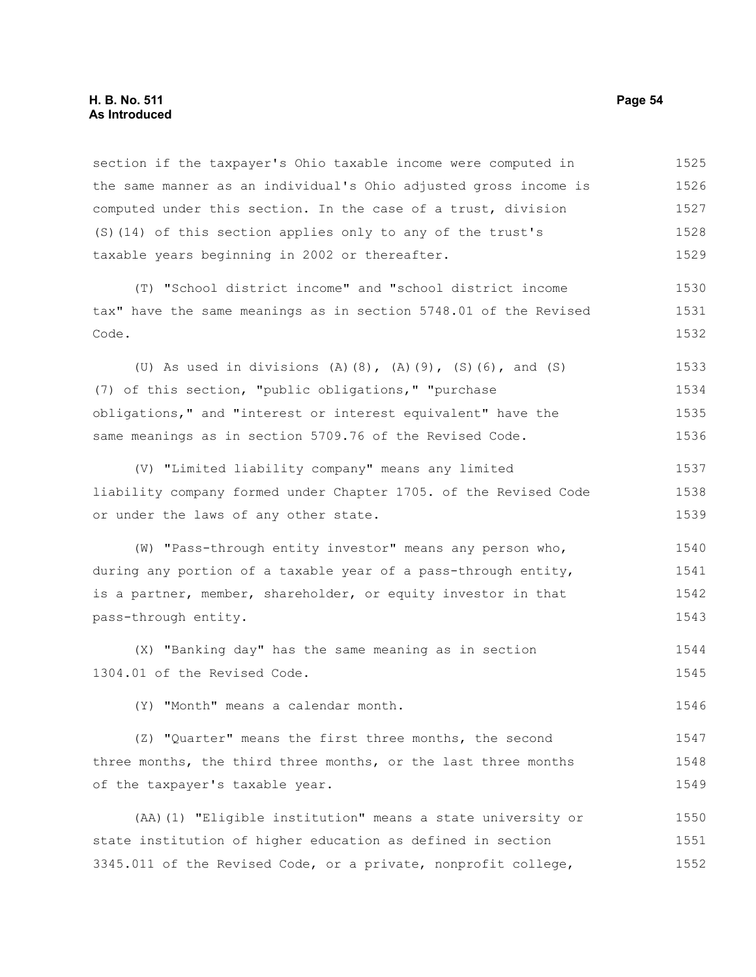#### **H. B. No. 511 Page 54 As Introduced**

section if the taxpayer's Ohio taxable income were computed in the same manner as an individual's Ohio adjusted gross income is computed under this section. In the case of a trust, division (S)(14) of this section applies only to any of the trust's taxable years beginning in 2002 or thereafter. 1525 1526 1527 1528 1529

(T) "School district income" and "school district income tax" have the same meanings as in section 5748.01 of the Revised Code. 1530 1531 1532

(U) As used in divisions (A)(8), (A)(9), (S)(6), and (S) (7) of this section, "public obligations," "purchase obligations," and "interest or interest equivalent" have the same meanings as in section 5709.76 of the Revised Code. 1533 1534 1535 1536

(V) "Limited liability company" means any limited liability company formed under Chapter 1705. of the Revised Code or under the laws of any other state. 1537 1538 1539

(W) "Pass-through entity investor" means any person who, during any portion of a taxable year of a pass-through entity, is a partner, member, shareholder, or equity investor in that pass-through entity. 1540 1541 1542 1543

(X) "Banking day" has the same meaning as in section 1304.01 of the Revised Code. 1544 1545

(Y) "Month" means a calendar month. 1546

(Z) "Quarter" means the first three months, the second three months, the third three months, or the last three months of the taxpayer's taxable year. 1547 1548 1549

(AA)(1) "Eligible institution" means a state university or state institution of higher education as defined in section 3345.011 of the Revised Code, or a private, nonprofit college, 1550 1551 1552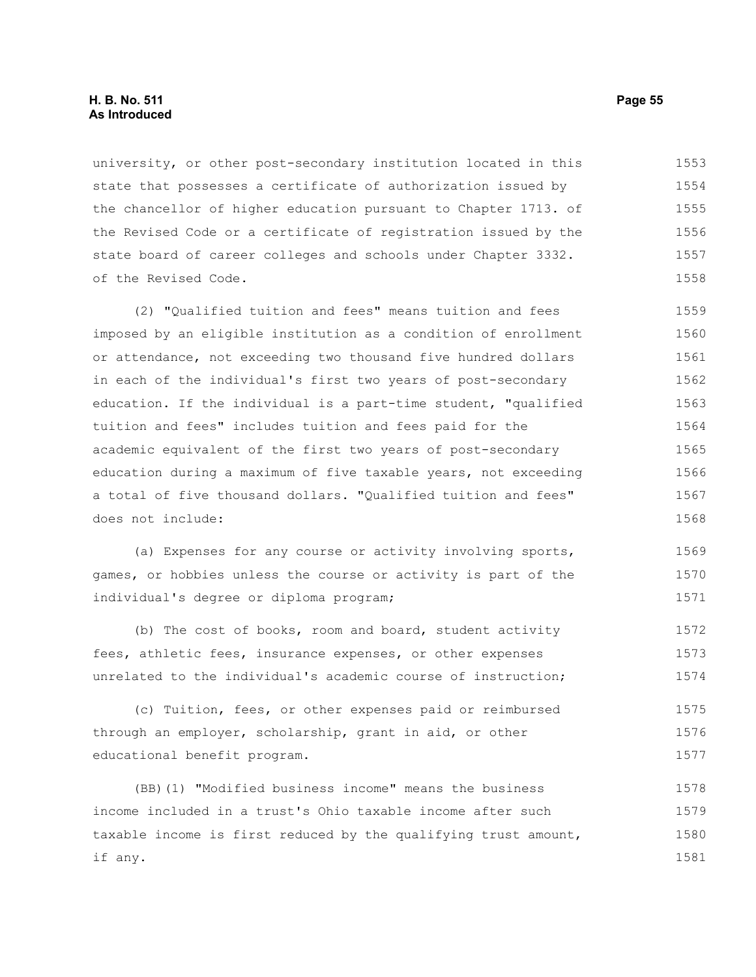#### **H. B. No. 511 Page 55 As Introduced**

university, or other post-secondary institution located in this state that possesses a certificate of authorization issued by the chancellor of higher education pursuant to Chapter 1713. of the Revised Code or a certificate of registration issued by the state board of career colleges and schools under Chapter 3332. of the Revised Code. 1553 1554 1555 1556 1557 1558

(2) "Qualified tuition and fees" means tuition and fees imposed by an eligible institution as a condition of enrollment or attendance, not exceeding two thousand five hundred dollars in each of the individual's first two years of post-secondary education. If the individual is a part-time student, "qualified tuition and fees" includes tuition and fees paid for the academic equivalent of the first two years of post-secondary education during a maximum of five taxable years, not exceeding a total of five thousand dollars. "Qualified tuition and fees" does not include: 1559 1560 1561 1562 1563 1564 1565 1566 1567 1568

(a) Expenses for any course or activity involving sports, games, or hobbies unless the course or activity is part of the individual's degree or diploma program; 1569 1570 1571

(b) The cost of books, room and board, student activity fees, athletic fees, insurance expenses, or other expenses unrelated to the individual's academic course of instruction; 1572 1573 1574

(c) Tuition, fees, or other expenses paid or reimbursed through an employer, scholarship, grant in aid, or other educational benefit program. 1575 1576 1577

(BB)(1) "Modified business income" means the business income included in a trust's Ohio taxable income after such taxable income is first reduced by the qualifying trust amount, if any. 1578 1579 1580 1581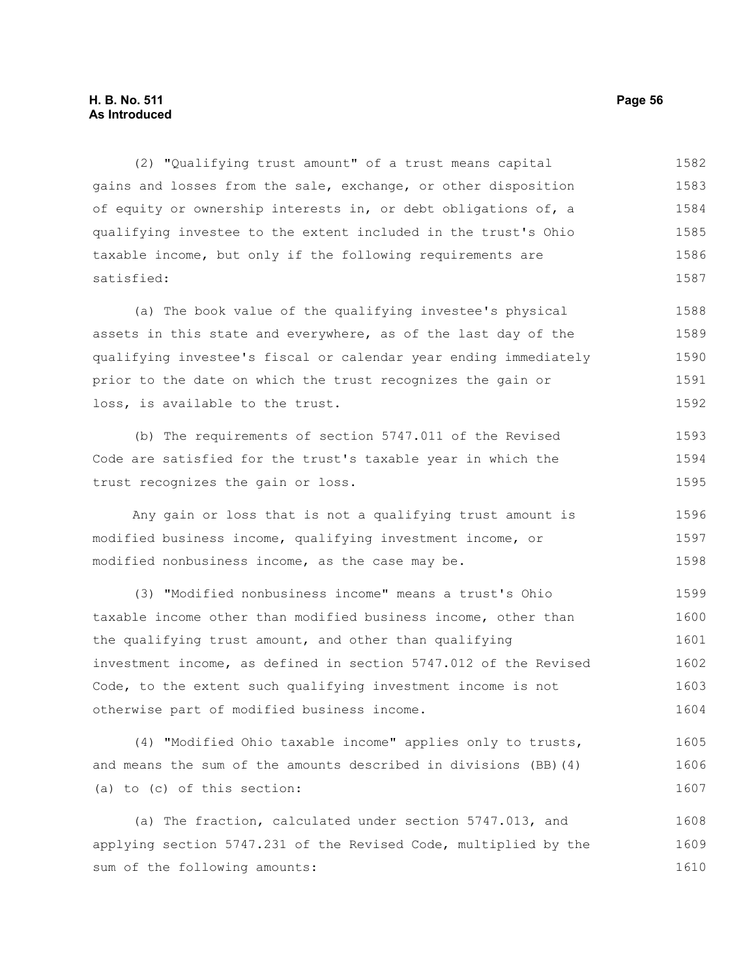#### **H. B. No. 511 Page 56 As Introduced**

(2) "Qualifying trust amount" of a trust means capital gains and losses from the sale, exchange, or other disposition of equity or ownership interests in, or debt obligations of, a qualifying investee to the extent included in the trust's Ohio taxable income, but only if the following requirements are satisfied: 1582 1583 1584 1585 1586 1587

(a) The book value of the qualifying investee's physical assets in this state and everywhere, as of the last day of the qualifying investee's fiscal or calendar year ending immediately prior to the date on which the trust recognizes the gain or loss, is available to the trust. 1588 1589 1590 1591 1592

(b) The requirements of section 5747.011 of the Revised Code are satisfied for the trust's taxable year in which the trust recognizes the gain or loss. 1593 1594 1595

Any gain or loss that is not a qualifying trust amount is modified business income, qualifying investment income, or modified nonbusiness income, as the case may be. 1596 1597 1598

(3) "Modified nonbusiness income" means a trust's Ohio taxable income other than modified business income, other than the qualifying trust amount, and other than qualifying investment income, as defined in section 5747.012 of the Revised Code, to the extent such qualifying investment income is not otherwise part of modified business income. 1599 1600 1601 1602 1603 1604

(4) "Modified Ohio taxable income" applies only to trusts, and means the sum of the amounts described in divisions (BB)(4) (a) to (c) of this section: 1605 1606 1607

(a) The fraction, calculated under section 5747.013, and applying section 5747.231 of the Revised Code, multiplied by the sum of the following amounts: 1608 1609 1610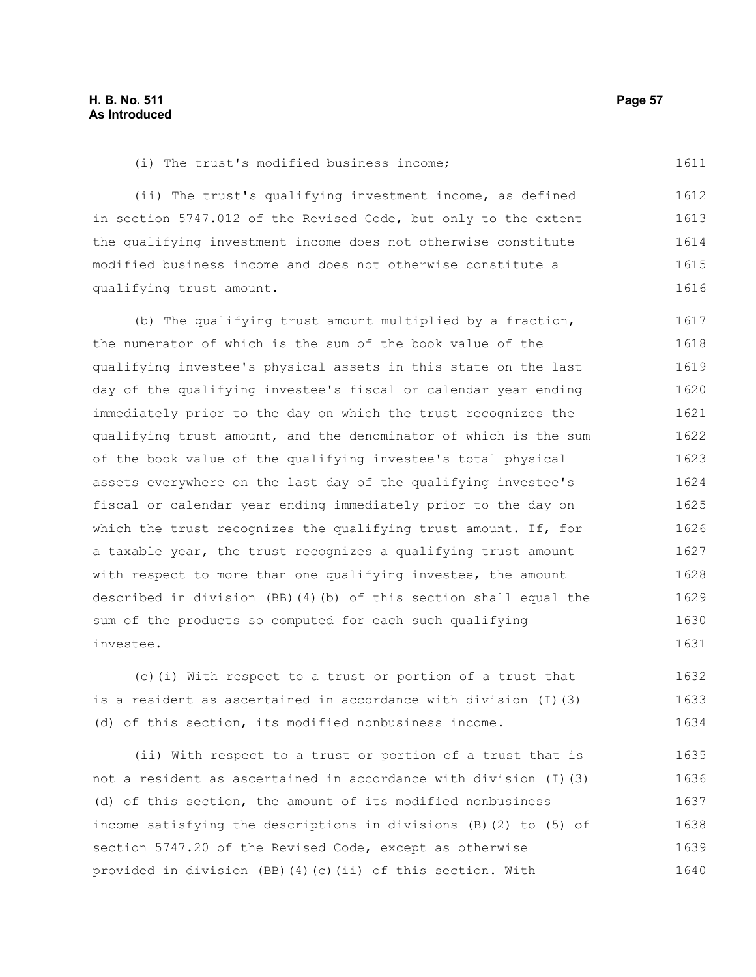(i) The trust's modified business income;

(ii) The trust's qualifying investment income, as defined in section 5747.012 of the Revised Code, but only to the extent the qualifying investment income does not otherwise constitute modified business income and does not otherwise constitute a qualifying trust amount. 1612 1613 1614 1615 1616

(b) The qualifying trust amount multiplied by a fraction, the numerator of which is the sum of the book value of the qualifying investee's physical assets in this state on the last day of the qualifying investee's fiscal or calendar year ending immediately prior to the day on which the trust recognizes the qualifying trust amount, and the denominator of which is the sum of the book value of the qualifying investee's total physical assets everywhere on the last day of the qualifying investee's fiscal or calendar year ending immediately prior to the day on which the trust recognizes the qualifying trust amount. If, for a taxable year, the trust recognizes a qualifying trust amount with respect to more than one qualifying investee, the amount described in division (BB)(4)(b) of this section shall equal the sum of the products so computed for each such qualifying investee. 1617 1618 1619 1620 1621 1622 1623 1624 1625 1626 1627 1628 1629 1630 1631

(c)(i) With respect to a trust or portion of a trust that is a resident as ascertained in accordance with division (I)(3) (d) of this section, its modified nonbusiness income. 1632 1633 1634

(ii) With respect to a trust or portion of a trust that is not a resident as ascertained in accordance with division (I)(3) (d) of this section, the amount of its modified nonbusiness income satisfying the descriptions in divisions (B)(2) to (5) of section 5747.20 of the Revised Code, except as otherwise provided in division (BB)(4)(c)(ii) of this section. With 1635 1636 1637 1638 1639 1640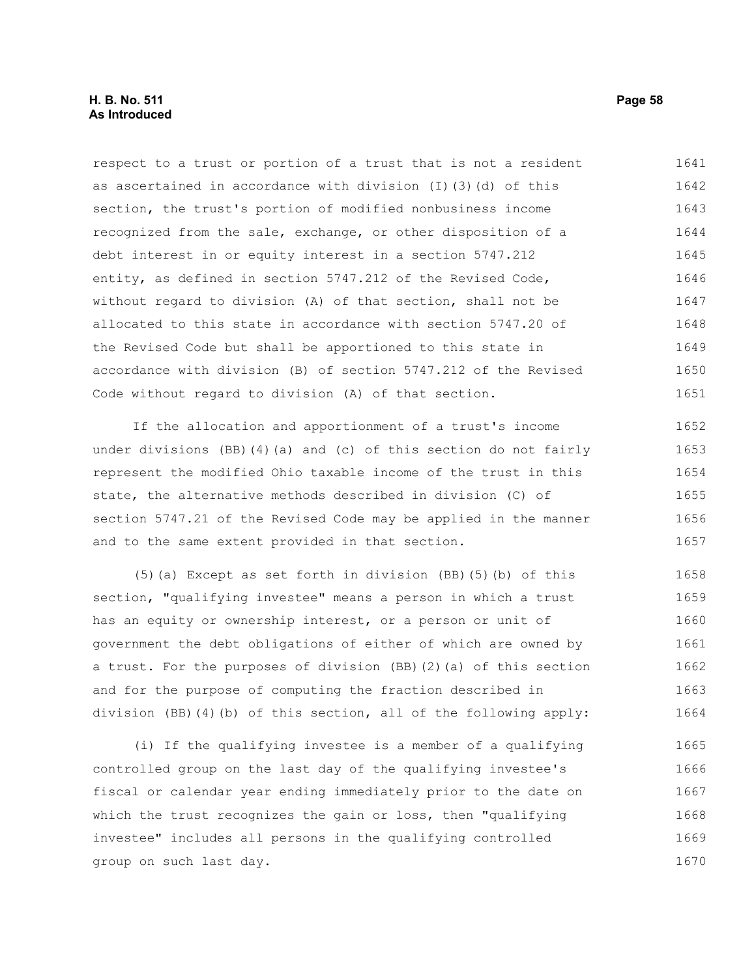respect to a trust or portion of a trust that is not a resident as ascertained in accordance with division (I)(3)(d) of this section, the trust's portion of modified nonbusiness income recognized from the sale, exchange, or other disposition of a debt interest in or equity interest in a section 5747.212 entity, as defined in section 5747.212 of the Revised Code, without regard to division (A) of that section, shall not be allocated to this state in accordance with section 5747.20 of the Revised Code but shall be apportioned to this state in accordance with division (B) of section 5747.212 of the Revised Code without regard to division (A) of that section. 1641 1642 1643 1644 1645 1646 1647 1648 1649 1650 1651

If the allocation and apportionment of a trust's income under divisions (BB)(4)(a) and (c) of this section do not fairly represent the modified Ohio taxable income of the trust in this state, the alternative methods described in division (C) of section 5747.21 of the Revised Code may be applied in the manner and to the same extent provided in that section. 1652 1653 1654 1655 1656 1657

(5)(a) Except as set forth in division (BB)(5)(b) of this section, "qualifying investee" means a person in which a trust has an equity or ownership interest, or a person or unit of government the debt obligations of either of which are owned by a trust. For the purposes of division (BB)(2)(a) of this section and for the purpose of computing the fraction described in division (BB)(4)(b) of this section, all of the following apply: 1658 1659 1660 1661 1662 1663 1664

(i) If the qualifying investee is a member of a qualifying controlled group on the last day of the qualifying investee's fiscal or calendar year ending immediately prior to the date on which the trust recognizes the gain or loss, then "qualifying investee" includes all persons in the qualifying controlled group on such last day. 1665 1666 1667 1668 1669 1670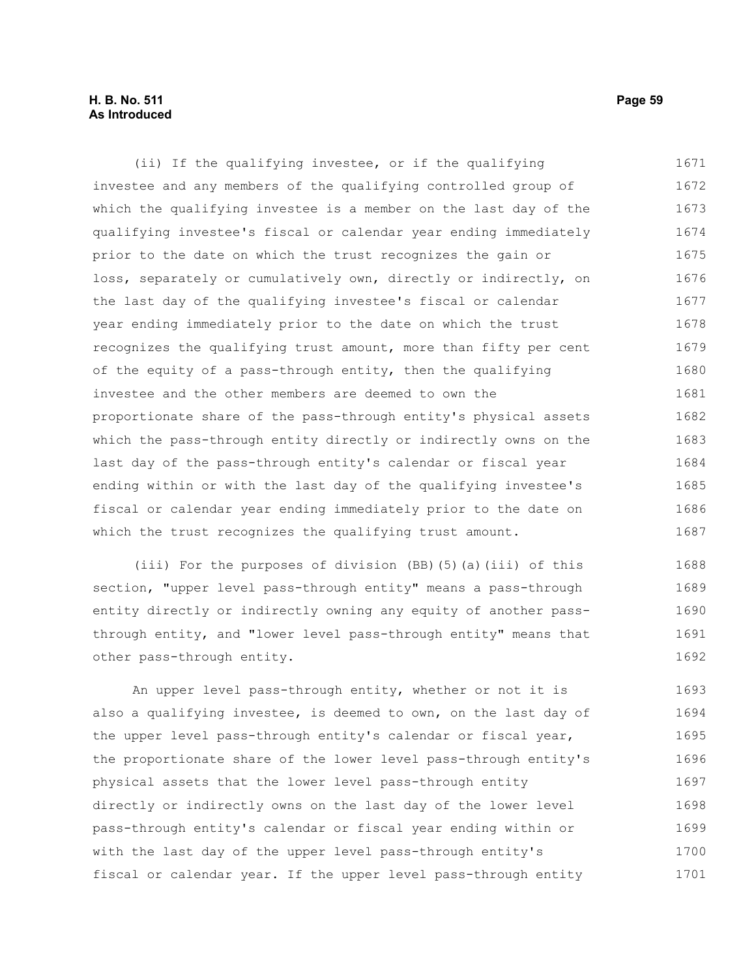#### **H. B. No. 511 Page 59 As Introduced**

(ii) If the qualifying investee, or if the qualifying investee and any members of the qualifying controlled group of which the qualifying investee is a member on the last day of the qualifying investee's fiscal or calendar year ending immediately prior to the date on which the trust recognizes the gain or loss, separately or cumulatively own, directly or indirectly, on the last day of the qualifying investee's fiscal or calendar year ending immediately prior to the date on which the trust recognizes the qualifying trust amount, more than fifty per cent of the equity of a pass-through entity, then the qualifying investee and the other members are deemed to own the proportionate share of the pass-through entity's physical assets which the pass-through entity directly or indirectly owns on the last day of the pass-through entity's calendar or fiscal year ending within or with the last day of the qualifying investee's fiscal or calendar year ending immediately prior to the date on which the trust recognizes the qualifying trust amount. 1671 1672 1673 1674 1675 1676 1677 1678 1679 1680 1681 1682 1683 1684 1685 1686 1687

(iii) For the purposes of division (BB)(5)(a)(iii) of this section, "upper level pass-through entity" means a pass-through entity directly or indirectly owning any equity of another passthrough entity, and "lower level pass-through entity" means that other pass-through entity. 1688 1689 1690 1691 1692

An upper level pass-through entity, whether or not it is also a qualifying investee, is deemed to own, on the last day of the upper level pass-through entity's calendar or fiscal year, the proportionate share of the lower level pass-through entity's physical assets that the lower level pass-through entity directly or indirectly owns on the last day of the lower level pass-through entity's calendar or fiscal year ending within or with the last day of the upper level pass-through entity's fiscal or calendar year. If the upper level pass-through entity 1693 1694 1695 1696 1697 1698 1699 1700 1701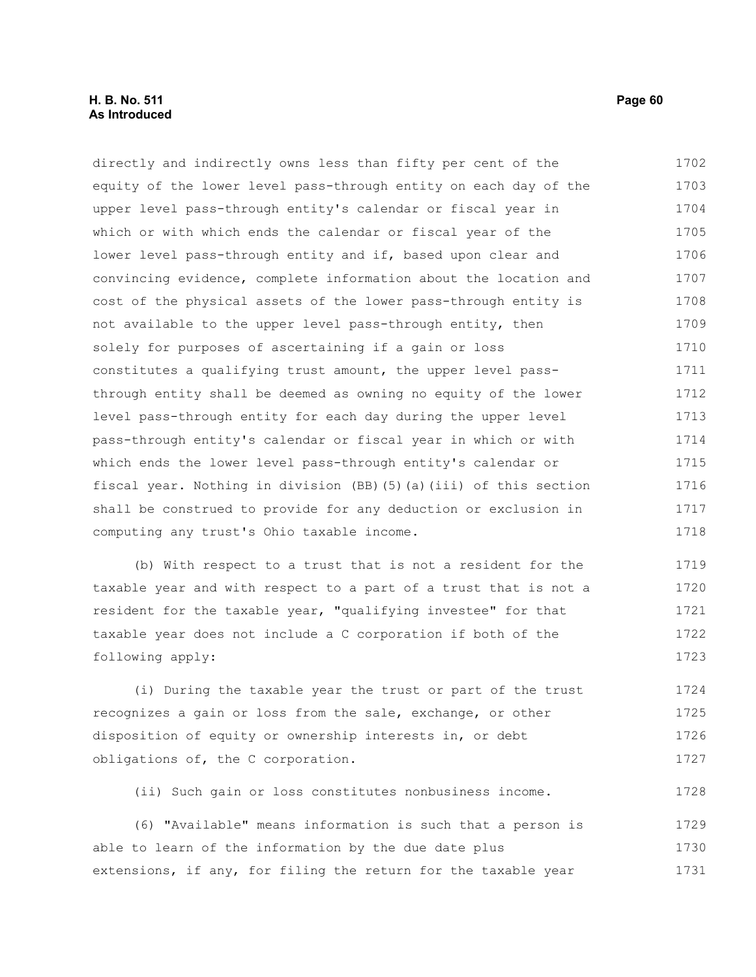#### **H. B. No. 511 Page 60 As Introduced**

directly and indirectly owns less than fifty per cent of the equity of the lower level pass-through entity on each day of the upper level pass-through entity's calendar or fiscal year in which or with which ends the calendar or fiscal year of the lower level pass-through entity and if, based upon clear and convincing evidence, complete information about the location and cost of the physical assets of the lower pass-through entity is not available to the upper level pass-through entity, then solely for purposes of ascertaining if a gain or loss constitutes a qualifying trust amount, the upper level passthrough entity shall be deemed as owning no equity of the lower level pass-through entity for each day during the upper level pass-through entity's calendar or fiscal year in which or with which ends the lower level pass-through entity's calendar or fiscal year. Nothing in division (BB)(5)(a)(iii) of this section shall be construed to provide for any deduction or exclusion in computing any trust's Ohio taxable income. 1702 1703 1704 1705 1706 1707 1708 1709 1710 1711 1712 1713 1714 1715 1716 1717 1718

(b) With respect to a trust that is not a resident for the taxable year and with respect to a part of a trust that is not a resident for the taxable year, "qualifying investee" for that taxable year does not include a C corporation if both of the following apply: 1719 1720 1721 1722 1723

(i) During the taxable year the trust or part of the trust recognizes a gain or loss from the sale, exchange, or other disposition of equity or ownership interests in, or debt obligations of, the C corporation. 1724 1725 1726 1727

(ii) Such gain or loss constitutes nonbusiness income. 1728

(6) "Available" means information is such that a person is able to learn of the information by the due date plus extensions, if any, for filing the return for the taxable year 1729 1730 1731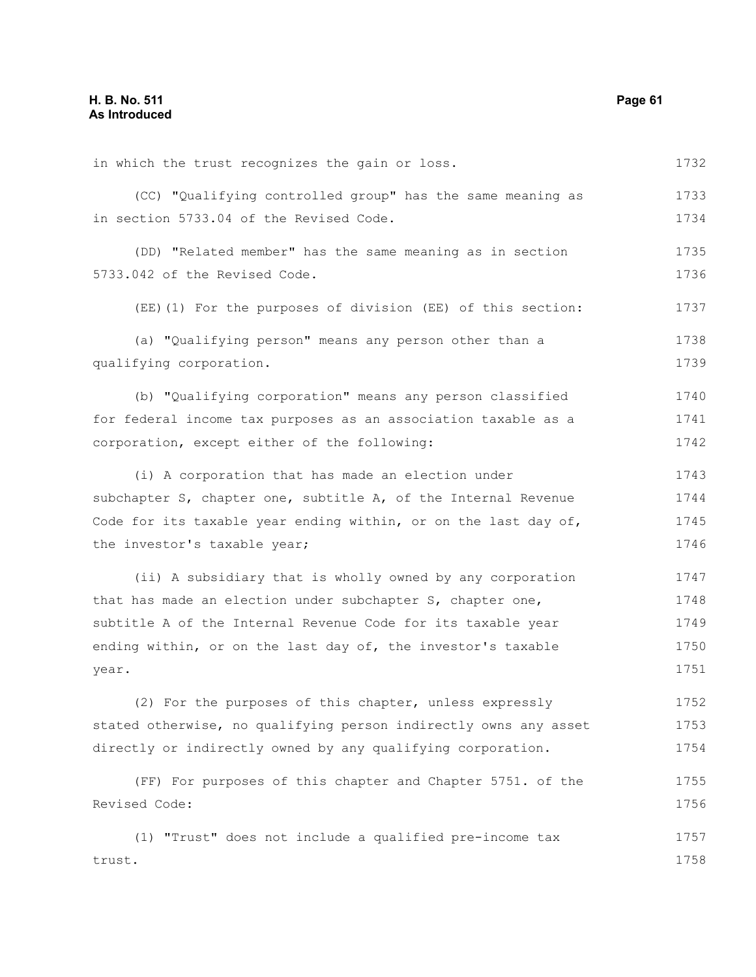in which the trust recognizes the gain or loss. (CC) "Qualifying controlled group" has the same meaning as in section 5733.04 of the Revised Code. (DD) "Related member" has the same meaning as in section 5733.042 of the Revised Code. (EE)(1) For the purposes of division (EE) of this section: (a) "Qualifying person" means any person other than a qualifying corporation. (b) "Qualifying corporation" means any person classified for federal income tax purposes as an association taxable as a corporation, except either of the following: (i) A corporation that has made an election under subchapter S, chapter one, subtitle A, of the Internal Revenue Code for its taxable year ending within, or on the last day of, the investor's taxable year; (ii) A subsidiary that is wholly owned by any corporation that has made an election under subchapter S, chapter one, subtitle A of the Internal Revenue Code for its taxable year ending within, or on the last day of, the investor's taxable year. (2) For the purposes of this chapter, unless expressly stated otherwise, no qualifying person indirectly owns any asset directly or indirectly owned by any qualifying corporation. (FF) For purposes of this chapter and Chapter 5751. of the Revised Code: (1) "Trust" does not include a qualified pre-income tax trust. 1732 1733 1734 1735 1736 1737 1738 1739 1740 1741 1742 1743 1744 1745 1746 1747 1748 1749 1750 1751 1752 1753 1754 1755 1756 1757 1758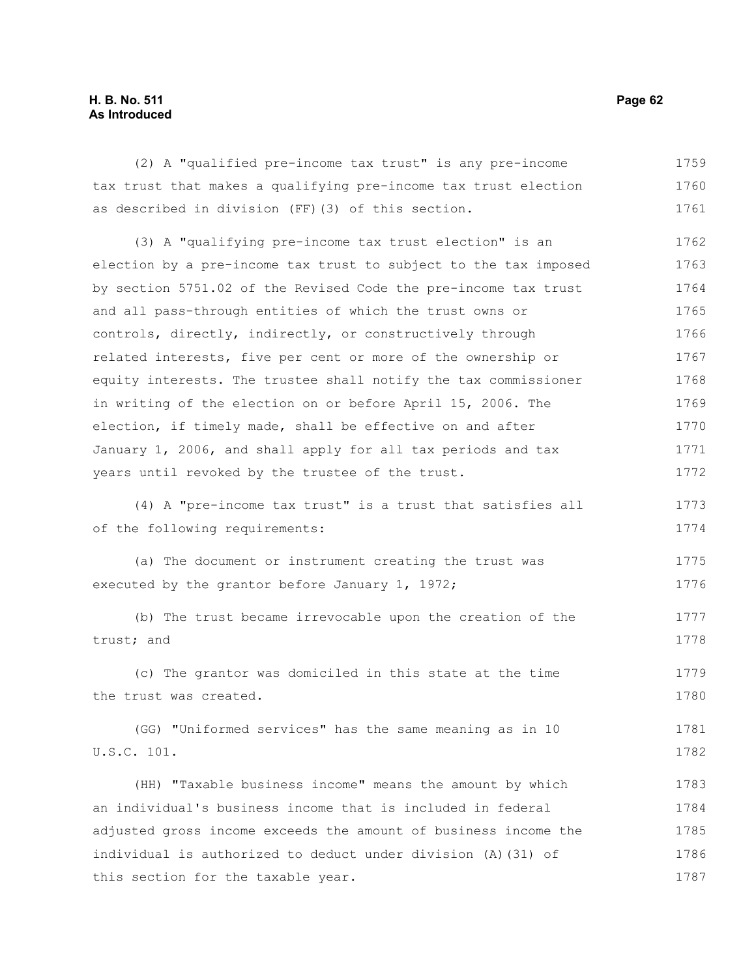#### **H. B. No. 511 Page 62 As Introduced**

(2) A "qualified pre-income tax trust" is any pre-income tax trust that makes a qualifying pre-income tax trust election as described in division (FF)(3) of this section. 1759 1760 1761

(3) A "qualifying pre-income tax trust election" is an election by a pre-income tax trust to subject to the tax imposed by section 5751.02 of the Revised Code the pre-income tax trust and all pass-through entities of which the trust owns or controls, directly, indirectly, or constructively through related interests, five per cent or more of the ownership or equity interests. The trustee shall notify the tax commissioner in writing of the election on or before April 15, 2006. The election, if timely made, shall be effective on and after January 1, 2006, and shall apply for all tax periods and tax years until revoked by the trustee of the trust. 1762 1763 1764 1765 1766 1767 1768 1769 1770 1771 1772

(4) A "pre-income tax trust" is a trust that satisfies all of the following requirements: 1773 1774

(a) The document or instrument creating the trust was executed by the grantor before January 1, 1972; 1775 1776

(b) The trust became irrevocable upon the creation of the trust; and 1777 1778

(c) The grantor was domiciled in this state at the time the trust was created. 1779 1780

(GG) "Uniformed services" has the same meaning as in 10 U.S.C. 101. 1781 1782

(HH) "Taxable business income" means the amount by which an individual's business income that is included in federal adjusted gross income exceeds the amount of business income the individual is authorized to deduct under division (A)(31) of this section for the taxable year. 1783 1784 1785 1786 1787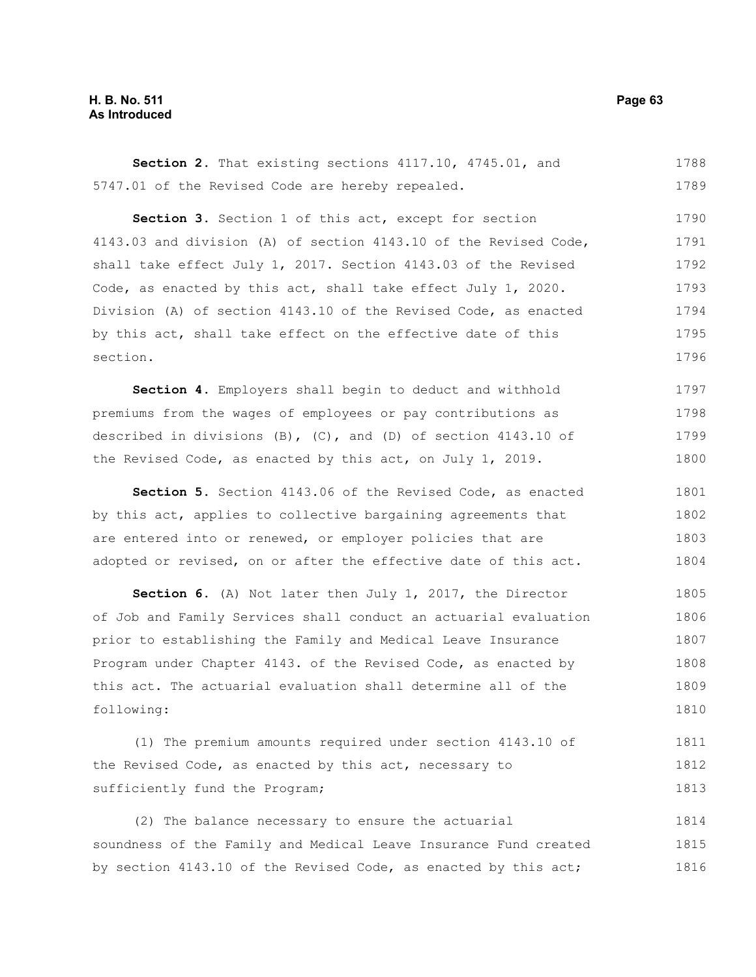#### **H. B. No. 511 Page 63 As Introduced**

**Section 2.** That existing sections 4117.10, 4745.01, and 5747.01 of the Revised Code are hereby repealed. 1788 1789

Section 3. Section 1 of this act, except for section 4143.03 and division (A) of section 4143.10 of the Revised Code, shall take effect July 1, 2017. Section 4143.03 of the Revised Code, as enacted by this act, shall take effect July 1, 2020. Division (A) of section 4143.10 of the Revised Code, as enacted by this act, shall take effect on the effective date of this section. 1790 1791 1792 1793 1794 1795 1796

**Section 4.** Employers shall begin to deduct and withhold premiums from the wages of employees or pay contributions as described in divisions (B), (C), and (D) of section 4143.10 of the Revised Code, as enacted by this act, on July 1, 2019. 1797 1798 1799 1800

**Section 5.** Section 4143.06 of the Revised Code, as enacted by this act, applies to collective bargaining agreements that are entered into or renewed, or employer policies that are adopted or revised, on or after the effective date of this act. 1801 1802 1803 1804

**Section 6.** (A) Not later then July 1, 2017, the Director of Job and Family Services shall conduct an actuarial evaluation prior to establishing the Family and Medical Leave Insurance Program under Chapter 4143. of the Revised Code, as enacted by this act. The actuarial evaluation shall determine all of the following: 1805 1806 1807 1808 1809 1810

(1) The premium amounts required under section 4143.10 of the Revised Code, as enacted by this act, necessary to sufficiently fund the Program; 1811 1812 1813

(2) The balance necessary to ensure the actuarial soundness of the Family and Medical Leave Insurance Fund created by section 4143.10 of the Revised Code, as enacted by this act; 1814 1815 1816